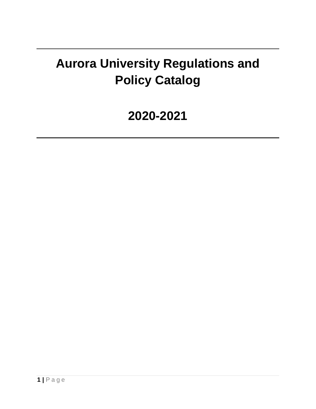# **Aurora University Regulations and Policy Catalog**

## **2020-2021**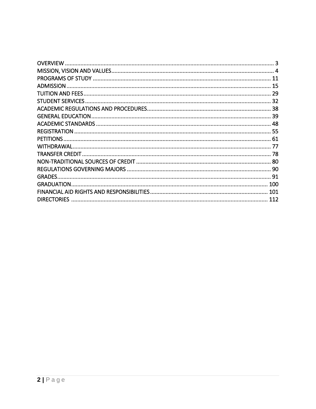|                    | 11  |
|--------------------|-----|
|                    | 15  |
|                    |     |
|                    |     |
|                    |     |
|                    |     |
|                    |     |
|                    |     |
|                    |     |
|                    |     |
|                    |     |
|                    |     |
|                    |     |
| <b>GRADES.</b>     |     |
|                    |     |
|                    |     |
| <b>DIRECTORIES</b> | 112 |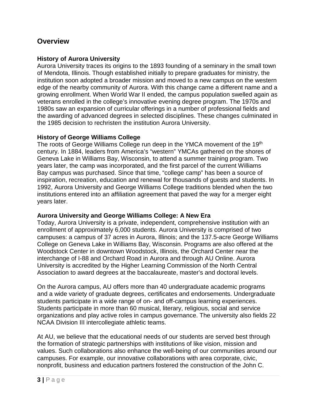#### <span id="page-2-0"></span>**Overview**

#### **History of Aurora University**

Aurora University traces its origins to the 1893 founding of a seminary in the small town of Mendota, Illinois. Though established initially to prepare graduates for ministry, the institution soon adopted a broader mission and moved to a new campus on the western edge of the nearby community of Aurora. With this change came a different name and a growing enrollment. When World War II ended, the campus population swelled again as veterans enrolled in the college's innovative evening degree program. The 1970s and 1980s saw an expansion of curricular offerings in a number of professional fields and the awarding of advanced degrees in selected disciplines. These changes culminated in the 1985 decision to rechristen the institution Aurora University.

#### **History of George Williams College**

The roots of George Williams College run deep in the YMCA movement of the 19<sup>th</sup> century. In 1884, leaders from America's "western" YMCAs gathered on the shores of Geneva Lake in Williams Bay, Wisconsin, to attend a summer training program. Two years later, the camp was incorporated, and the first parcel of the current Williams Bay campus was purchased. Since that time, "college camp" has been a source of inspiration, recreation, education and renewal for thousands of guests and students. In 1992, Aurora University and George Williams College traditions blended when the two institutions entered into an affiliation agreement that paved the way for a merger eight years later.

#### **Aurora University and George Williams College: A New Era**

Today, Aurora University is a private, independent, comprehensive institution with an enrollment of approximately 6,000 students. Aurora University is comprised of two campuses: a campus of 37 acres in Aurora, Illinois; and the 137.5-acre George Williams College on Geneva Lake in Williams Bay, Wisconsin. Programs are also offered at the Woodstock Center in downtown Woodstock, Illinois, the Orchard Center near the interchange of I-88 and Orchard Road in Aurora and through AU Online. Aurora University is accredited by the Higher Learning Commission of the North Central Association to award degrees at the baccalaureate, master's and doctoral levels.

On the Aurora campus, AU offers more than 40 undergraduate academic programs and a wide variety of graduate degrees, certificates and endorsements. Undergraduate students participate in a wide range of on- and off-campus learning experiences. Students participate in more than 60 musical, literary, religious, social and service organizations and play active roles in campus governance. The university also fields 22 NCAA Division III intercollegiate athletic teams.

At AU, we believe that the educational needs of our students are served best through the formation of strategic partnerships with institutions of like vision, mission and values. Such collaborations also enhance the well-being of our communities around our campuses. For example, our innovative collaborations with area corporate, civic, nonprofit, business and education partners fostered the construction of the John C.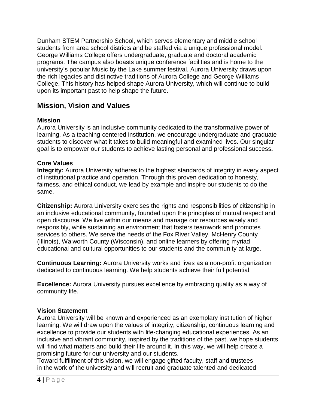Dunham STEM Partnership School, which serves elementary and middle school students from area school districts and be staffed via a unique professional model. George Williams College offers undergraduate, graduate and doctoral academic programs. The campus also boasts unique conference facilities and is home to the university's popular Music by the Lake summer festival. Aurora University draws upon the rich legacies and distinctive traditions of Aurora College and George Williams College. This history has helped shape Aurora University, which will continue to build upon its important past to help shape the future.

#### <span id="page-3-0"></span>**Mission, Vision and Values**

#### **Mission**

Aurora University is an inclusive community dedicated to the transformative power of learning. As a teaching-centered institution, we encourage undergraduate and graduate students to discover what it takes to build meaningful and examined lives. Our singular goal is to empower our students to achieve lasting personal and professional success**.**

#### **Core Values**

**Integrity:** Aurora University adheres to the highest standards of integrity in every aspect of institutional practice and operation. Through this proven dedication to honesty, fairness, and ethical conduct, we lead by example and inspire our students to do the same.

**Citizenship:** Aurora University exercises the rights and responsibilities of citizenship in an inclusive educational community, founded upon the principles of mutual respect and open discourse. We live within our means and manage our resources wisely and responsibly, while sustaining an environment that fosters teamwork and promotes services to others. We serve the needs of the Fox River Valley, McHenry County (Illinois), Walworth County (Wisconsin), and online learners by offering myriad educational and cultural opportunities to our students and the community-at-large.

**Continuous Learning:** Aurora University works and lives as a non-profit organization dedicated to continuous learning. We help students achieve their full potential.

**Excellence:** Aurora University pursues excellence by embracing quality as a way of community life.

#### **Vision Statement**

Aurora University will be known and experienced as an exemplary institution of higher learning. We will draw upon the values of integrity, citizenship, continuous learning and excellence to provide our students with life-changing educational experiences. As an inclusive and vibrant community, inspired by the traditions of the past, we hope students will find what matters and build their life around it. In this way, we will help create a promising future for our university and our students.

Toward fulfillment of this vision, we will engage gifted faculty, staff and trustees in the work of the university and will recruit and graduate talented and dedicated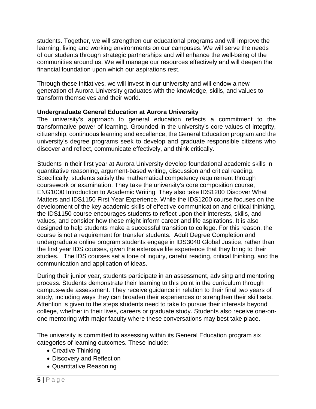students. Together, we will strengthen our educational programs and will improve the learning, living and working environments on our campuses. We will serve the needs of our students through strategic partnerships and will enhance the well-being of the communities around us. We will manage our resources effectively and will deepen the financial foundation upon which our aspirations rest.

Through these initiatives, we will invest in our university and will endow a new generation of Aurora University graduates with the knowledge, skills, and values to transform themselves and their world.

#### **Undergraduate General Education at Aurora University**

The university's approach to general education reflects a commitment to the transformative power of learning. Grounded in the university's core values of integrity, citizenship, continuous learning and excellence, the General Education program and the university's degree programs seek to develop and graduate responsible citizens who discover and reflect, communicate effectively, and think critically.

Students in their first year at Aurora University develop foundational academic skills in quantitative reasoning, argument-based writing, discussion and critical reading. Specifically, students satisfy the mathematical competency requirement through coursework or examination. They take the university's core composition course, ENG1000 Introduction to Academic Writing. They also take IDS1200 Discover What Matters and IDS1150 First Year Experience. While the IDS1200 course focuses on the development of the key academic skills of effective communication and critical thinking, the IDS1150 course encourages students to reflect upon their interests, skills, and values, and consider how these might inform career and life aspirations. It is also designed to help students make a successful transition to college. For this reason, the course is not a requirement for transfer students. Adult Degree Completion and undergraduate online program students engage in IDS3040 Global Justice, rather than the first year IDS courses, given the extensive life experience that they bring to their studies. The IDS courses set a tone of inquiry, careful reading, critical thinking, and the communication and application of ideas.

During their junior year, students participate in an assessment, advising and mentoring process. Students demonstrate their learning to this point in the curriculum through campus-wide assessment. They receive guidance in relation to their final two years of study, including ways they can broaden their experiences or strengthen their skill sets. Attention is given to the steps students need to take to pursue their interests beyond college, whether in their lives, careers or graduate study. Students also receive one-onone mentoring with major faculty where these conversations may best take place.

The university is committed to assessing within its General Education program six categories of learning outcomes. These include:

- Creative Thinking
- Discovery and Reflection
- Quantitative Reasoning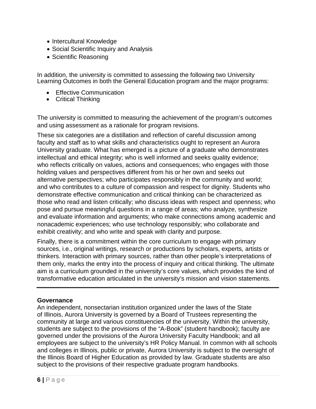- Intercultural Knowledge
- Social Scientific Inquiry and Analysis
- Scientific Reasoning

In addition, the university is committed to assessing the following two University Learning Outcomes in both the General Education program and the major programs:

- Effective Communication
- Critical Thinking

The university is committed to measuring the achievement of the program's outcomes and using assessment as a rationale for program revisions.

These six categories are a distillation and reflection of careful discussion among faculty and staff as to what skills and characteristics ought to represent an Aurora University graduate. What has emerged is a picture of a graduate who demonstrates intellectual and ethical integrity; who is well informed and seeks quality evidence; who reflects critically on values, actions and consequences; who engages with those holding values and perspectives different from his or her own and seeks out alternative perspectives; who participates responsibly in the community and world; and who contributes to a culture of compassion and respect for dignity. Students who demonstrate effective communication and critical thinking can be characterized as those who read and listen critically; who discuss ideas with respect and openness; who pose and pursue meaningful questions in a range of areas; who analyze, synthesize and evaluate information and arguments; who make connections among academic and nonacademic experiences; who use technology responsibly; who collaborate and exhibit creativity; and who write and speak with clarity and purpose.

Finally, there is a commitment within the core curriculum to engage with primary sources, i.e., original writings, research or productions by scholars, experts, artists or thinkers. Interaction with primary sources, rather than other people's interpretations of them only, marks the entry into the process of inquiry and critical thinking. The ultimate aim is a curriculum grounded in the university's core values, which provides the kind of transformative education articulated in the university's mission and vision statements.

#### **Governance**

An independent, nonsectarian institution organized under the laws of the State of Illinois, Aurora University is governed by a Board of Trustees representing the community at large and various constituencies of the university. Within the university, students are subject to the provisions of the "A-Book" (student handbook); faculty are governed under the provisions of the Aurora University Faculty Handbook; and all employees are subject to the university's HR Policy Manual. In common with all schools and colleges in Illinois, public or private, Aurora University is subject to the oversight of the Illinois Board of Higher Education as provided by law. Graduate students are also subject to the provisions of their respective graduate program handbooks.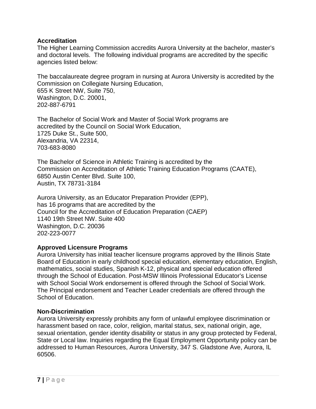#### **Accreditation**

The Higher Learning Commission accredits Aurora University at the bachelor, master's and doctoral levels. The following individual programs are accredited by the specific agencies listed below:

The baccalaureate degree program in nursing at Aurora University is accredited by the Commission on Collegiate Nursing Education, 655 K Street NW, Suite 750, Washington, D.C. 20001, 202-887-6791

The Bachelor of Social Work and Master of Social Work programs are accredited by the Council on Social Work Education, 1725 Duke St., Suite 500, Alexandria, VA 22314, 703-683-8080

The Bachelor of Science in Athletic Training is accredited by the Commission on Accreditation of Athletic Training Education Programs (CAATE), 6850 Austin Center Blvd. Suite 100, Austin, TX 78731-3184

Aurora University, as an Educator Preparation Provider (EPP), has 16 programs that are accredited by the Council for the Accreditation of Education Preparation (CAEP) 1140 19th Street NW. Suite 400 Washington, D.C. 20036 202-223-0077

#### **Approved Licensure Programs**

Aurora University has initial teacher licensure programs approved by the Illinois State Board of Education in early childhood special education, elementary education, English, mathematics, social studies, Spanish K-12, physical and special education offered through the School of Education. Post-MSW Illinois Professional Educator's License with School Social Work endorsement is offered through the School of Social Work. The Principal endorsement and Teacher Leader credentials are offered through the School of Education.

#### **Non-Discrimination**

Aurora University expressly prohibits any form of unlawful employee discrimination or harassment based on race, color, religion, marital status, sex, national origin, age, sexual orientation, gender identity disability or status in any group protected by Federal, State or Local law. Inquiries regarding the Equal Employment Opportunity policy can be addressed to Human Resources, Aurora University, 347 S. Gladstone Ave, Aurora, IL 60506.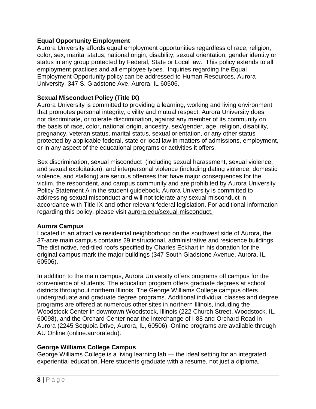#### **Equal Opportunity Employment**

Aurora University affords equal employment opportunities regardless of race, religion, color, sex, marital status, national origin, disability, sexual orientation, gender identity or status in any group protected by Federal, State or Local law. This policy extends to all employment practices and all employee types. Inquiries regarding the Equal Employment Opportunity policy can be addressed to Human Resources, Aurora University, 347 S. Gladstone Ave, Aurora, IL 60506.

#### **Sexual Misconduct Policy (Title IX)**

Aurora University is committed to providing a learning, working and living environment that promotes personal integrity, civility and mutual respect. Aurora University does not discriminate, or tolerate discrimination, against any member of its community on the basis of race, color, national origin, ancestry, sex/gender, age, religion, disability, pregnancy, veteran status, marital status, sexual orientation, or any other status protected by applicable federal, state or local law in matters of admissions, employment, or in any aspect of the educational programs or activities it offers.

Sex discrimination, sexual misconduct (including sexual harassment, sexual violence, and sexual exploitation), and interpersonal violence (including dating violence, domestic violence, and stalking) are serious offenses that have major consequences for the victim, the respondent, and campus community and are prohibited by Aurora University Policy Statement A in the student guidebook. Aurora University is committed to addressing sexual misconduct and will not tolerate any sexual misconduct in accordance with Title IX and other relevant federal legislation. For additional information regarding this policy, please visit aurora.edu/sexual-misconduct.

#### **Aurora Campus**

Located in an attractive residential neighborhood on the southwest side of Aurora, the 37-acre main campus contains 29 instructional, administrative and residence buildings. The distinctive, red-tiled roofs specified by Charles Eckhart in his donation for the original campus mark the major buildings (347 South Gladstone Avenue, Aurora, IL, 60506).

In addition to the main campus, Aurora University offers programs off campus for the convenience of students. The education program offers graduate degrees at school districts throughout northern Illinois. The George Williams College campus offers undergraduate and graduate degree programs. Additional individual classes and degree programs are offered at numerous other sites in northern Illinois, including the Woodstock Center in downtown Woodstock, Illinois (222 Church Street, Woodstock, IL, 60098), and the Orchard Center near the interchange of I-88 and Orchard Road in Aurora (2245 Sequoia Drive, Aurora, IL, 60506). Online programs are available through AU Online (online.aurora.edu).

#### **George Williams College Campus**

George Williams College is a living learning lab — the ideal setting for an integrated, experiential education. Here students graduate with a resume, not just a diploma.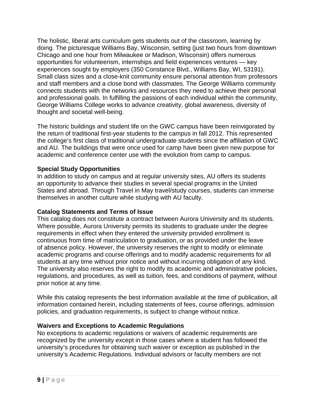The holistic, liberal arts curriculum gets students out of the classroom, learning by doing. The picturesque Williams Bay, Wisconsin, setting (just two hours from downtown Chicago and one hour from Milwaukee or Madison, Wisconsin) offers numerous opportunities for volunteerism, internships and field experiences ventures — key experiences sought by employers (350 Constance Blvd., Williams Bay, WI, 53191). Small class sizes and a close-knit community ensure personal attention from professors and staff members and a close bond with classmates. The George Williams community connects students with the networks and resources they need to achieve their personal and professional goals. In fulfilling the passions of each individual within the community, George Williams College works to advance creativity, global awareness, diversity of thought and societal well-being.

The historic buildings and student life on the GWC campus have been reinvigorated by the return of traditional first-year students to the campus in fall 2012. This represented the college's first class of traditional undergraduate students since the affiliation of GWC and AU. The buildings that were once used for camp have been given new purpose for academic and conference center use with the evolution from camp to campus.

#### **Special Study Opportunities**

In addition to study on campus and at regular university sites, AU offers its students an opportunity to advance their studies in several special programs in the United States and abroad. Through Travel in May travel/study courses, students can immerse themselves in another culture while studying with AU faculty.

#### **Catalog Statements and Terms of Issue**

This catalog does not constitute a contract between Aurora University and its students. Where possible, Aurora University permits its students to graduate under the degree requirements in effect when they entered the university provided enrollment is continuous from time of matriculation to graduation, or as provided under the leave of absence policy. However, the university reserves the right to modify or eliminate academic programs and course offerings and to modify academic requirements for all students at any time without prior notice and without incurring obligation of any kind. The university also reserves the right to modify its academic and administrative policies, regulations, and procedures, as well as tuition, fees, and conditions of payment, without prior notice at any time.

While this catalog represents the best information available at the time of publication, all information contained herein, including statements of fees, course offerings, admission policies, and graduation requirements, is subject to change without notice.

#### **Waivers and Exceptions to Academic Regulations**

No exceptions to academic regulations or waivers of academic requirements are recognized by the university except in those cases where a student has followed the university's procedures for obtaining such waiver or exception as published in the university's Academic Regulations. Individual advisors or faculty members are not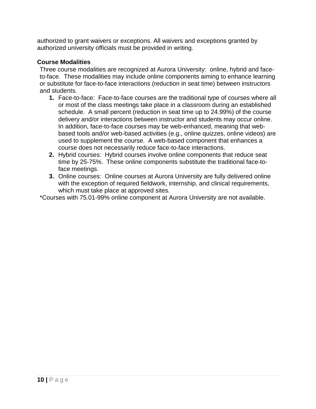authorized to grant waivers or exceptions. All waivers and exceptions granted by authorized university officials must be provided in writing.

#### **Course Modalities**

Three course modalities are recognized at Aurora University: online, hybrid and faceto-face. These modalities may include online components aiming to enhance learning or substitute for face-to-face interactions (reduction in seat time) between instructors and students.

- **1.** Face-to-face: Face-to-face courses are the traditional type of courses where all or most of the class meetings take place in a classroom during an established schedule. A small percent (reduction in seat time up to 24.99%) of the course delivery and/or interactions between instructor and students may occur online. In addition, face-to-face courses may be web-enhanced, meaning that webbased tools and/or web-based activities (e.g., online quizzes, online videos) are used to supplement the course. A web-based component that enhances a course does not necessarily reduce face-to-face interactions.
- **2.** Hybrid courses: Hybrid courses involve online components that reduce seat time by 25-75%. These online components substitute the traditional face-toface meetings.
- **3.** Online courses: Online courses at Aurora University are fully delivered online with the exception of required fieldwork, internship, and clinical requirements, which must take place at approved sites.

\*Courses with 75.01-99% online component at Aurora University are not available.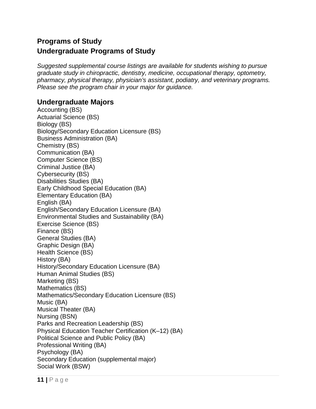## <span id="page-10-0"></span>**Programs of Study Undergraduate Programs of Study**

*Suggested supplemental course listings are available for students wishing to pursue graduate study in chiropractic, dentistry, medicine, occupational therapy, optometry, pharmacy, physical therapy, physician's assistant, podiatry, and veterinary programs. Please see the program chair in your major for guidance.*

#### **Undergraduate Majors**

Accounting (BS) Actuarial Science (BS) Biology (BS) Biology/Secondary Education Licensure (BS) Business Administration (BA) Chemistry (BS) Communication (BA) Computer Science (BS) Criminal Justice (BA) Cybersecurity (BS) Disabilities Studies (BA) Early Childhood Special Education (BA) Elementary Education (BA) English (BA) English/Secondary Education Licensure (BA) Environmental Studies and Sustainability (BA) Exercise Science (BS) Finance (BS) General Studies (BA) Graphic Design (BA) Health Science (BS) History (BA) History/Secondary Education Licensure (BA) Human Animal Studies (BS) Marketing (BS) Mathematics (BS) Mathematics/Secondary Education Licensure (BS) Music (BA) Musical Theater (BA) Nursing (BSN) Parks and Recreation Leadership (BS) Physical Education Teacher Certification (K–12) (BA) Political Science and Public Policy (BA) Professional Writing (BA) Psychology (BA) Secondary Education (supplemental major) Social Work (BSW)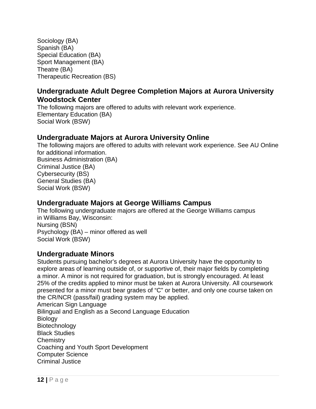Sociology (BA) Spanish (BA) Special Education (BA) Sport Management (BA) Theatre (BA) Therapeutic Recreation (BS)

### **Undergraduate Adult Degree Completion Majors at Aurora University Woodstock Center**

The following majors are offered to adults with relevant work experience. Elementary Education (BA) Social Work (BSW)

#### **Undergraduate Majors at Aurora University Online**

The following majors are offered to adults with relevant work experience. See AU Online for additional information. Business Administration (BA) Criminal Justice (BA) Cybersecurity (BS) General Studies (BA) Social Work (BSW)

## **Undergraduate Majors at George Williams Campus**

The following undergraduate majors are offered at the George Williams campus in Williams Bay, Wisconsin: Nursing (BSN) Psychology (BA) – minor offered as well Social Work (BSW)

#### **Undergraduate Minors**

Students pursuing bachelor's degrees at Aurora University have the opportunity to explore areas of learning outside of, or supportive of, their major fields by completing a minor. A minor is not required for graduation, but is strongly encouraged. At least 25% of the credits applied to minor must be taken at Aurora University. All coursework presented for a minor must bear grades of "C" or better, and only one course taken on the CR/NCR (pass/fail) grading system may be applied. American Sign Language Bilingual and English as a Second Language Education **Biology** Biotechnology Black Studies **Chemistry** Coaching and Youth Sport Development Computer Science Criminal Justice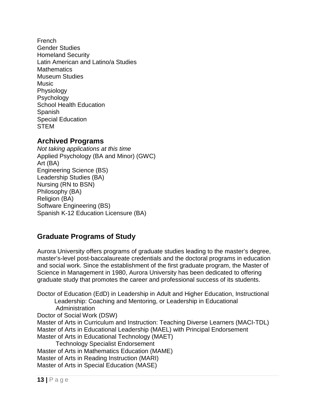French Gender Studies Homeland Security Latin American and Latino/a Studies **Mathematics** Museum Studies **Music** Physiology **Psychology** School Health Education Spanish Special Education STEM

#### **Archived Programs**

*Not taking applications at this time* Applied Psychology (BA and Minor) (GWC) Art (BA) Engineering Science (BS) Leadership Studies (BA) Nursing (RN to BSN) Philosophy (BA) Religion (BA) Software Engineering (BS) Spanish K-12 Education Licensure (BA)

## **Graduate Programs of Study**

Aurora University offers programs of graduate studies leading to the master's degree, master's-level post-baccalaureate credentials and the doctoral programs in education and social work. Since the establishment of the first graduate program, the Master of Science in Management in 1980, Aurora University has been dedicated to offering graduate study that promotes the career and professional success of its students.

Doctor of Education (EdD) in Leadership in Adult and Higher Education, Instructional Leadership: Coaching and Mentoring, or Leadership in Educational Administration Doctor of Social Work (DSW) Master of Arts in Curriculum and Instruction: Teaching Diverse Learners (MACI-TDL) Master of Arts in Educational Leadership (MAEL) with Principal Endorsement Master of Arts in Educational Technology (MAET) Technology Specialist Endorsement Master of Arts in Mathematics Education (MAME) Master of Arts in Reading Instruction (MARI) Master of Arts in Special Education (MASE)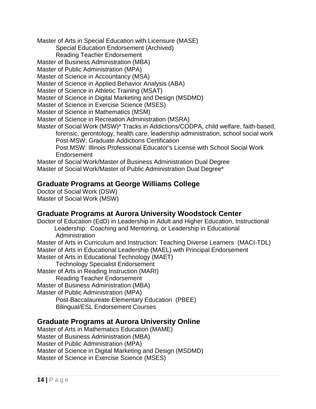Master of Arts in Special Education with Licensure (MASE)

Special Education Endorsement (Archived)

Reading Teacher Endorsement

Master of Business Administration (MBA)

Master of Public Administration (MPA)

Master of Science in Accountancy (MSA)

Master of Science in Applied Behavior Analysis (ABA)

Master of Science in Athletic Training (MSAT)

Master of Science in Digital Marketing and Design (MSDMD)

Master of Science in Exercise Science (MSES)

Master of Science in Mathematics (MSM)

Master of Science in Recreation Administration (MSRA)

Master of Social Work (MSW)\* Tracks in Addictions/CODPA, child welfare, faith-based, forensic, gerontology, health care, leadership administration, school social work Post-MSW: Graduate Addictions Certification

Post MSW: Illinois Professional Educator's License with School Social Work Endorsement

Master of Social Work/Master of Business Administration Dual Degree Master of Social Work/Master of Public Administration Dual Degree\*

#### **Graduate Programs at George Williams College**

Doctor of Social Work (DSW) Master of Social Work (MSW)

#### **Graduate Programs at Aurora University Woodstock Center**

Doctor of Education (EdD) in Leadership in Adult and Higher Education, Instructional Leadership: Coaching and Mentoring, or Leadership in Educational Administration Master of Arts in Curriculum and Instruction: Teaching Diverse Learners (MACI-TDL) Master of Arts in Educational Leadership (MAEL) with Principal Endorsement Master of Arts in Educational Technology (MAET) Technology Specialist Endorsement Master of Arts in Reading Instruction (MARI) Reading Teacher Endorsement Master of Business Administration (MBA) Master of Public Administration (MPA) Post-Baccalaureate Elementary Education (PBEE) Bilingual/ESL Endorsement Courses

#### **Graduate Programs at Aurora University Online**

Master of Arts in Mathematics Education (MAME) Master of Business Administration (MBA) Master of Public Administration (MPA) Master of Science in Digital Marketing and Design (MSDMD) Master of Science in Exercise Science (MSES)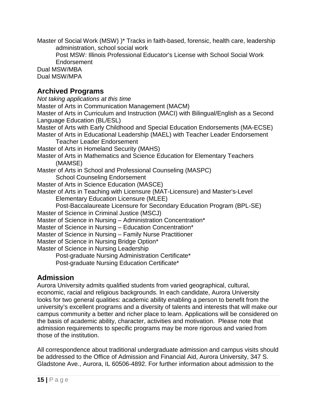Master of Social Work (MSW) )\* Tracks in faith-based, forensic, health care, leadership administration, school social work

Post MSW: Illinois Professional Educator's License with School Social Work Endorsement

Dual MSW/MBA Dual MSW/MPA

## **Archived Programs**

*Not taking applications at this time* Master of Arts in Communication Management (MACM) Master of Arts in Curriculum and Instruction (MACI) with Bilingual/English as a Second Language Education (BL/ESL) Master of Arts with Early Childhood and Special Education Endorsements (MA-ECSE) Master of Arts in Educational Leadership (MAEL) with Teacher Leader Endorsement Teacher Leader Endorsement Master of Arts in Homeland Security (MAHS) Master of Arts in Mathematics and Science Education for Elementary Teachers (MAMSE) Master of Arts in School and Professional Counseling (MASPC) School Counseling Endorsement Master of Arts in Science Education (MASCE) Master of Arts in Teaching with Licensure (MAT-Licensure) and Master's-Level Elementary Education Licensure (MLEE) Post-Baccalaureate Licensure for Secondary Education Program (BPL-SE) Master of Science in Criminal Justice (MSCJ) Master of Science in Nursing – Administration Concentration\* Master of Science in Nursing – Education Concentration\* Master of Science in Nursing – Family Nurse Practitioner Master of Science in Nursing Bridge Option\* Master of Science in Nursing Leadership

Post-graduate Nursing Administration Certificate\* Post-graduate Nursing Education Certificate\*

## <span id="page-14-0"></span>**Admission**

Aurora University admits qualified students from varied geographical, cultural, economic, racial and religious backgrounds. In each candidate, Aurora University looks for two general qualities: academic ability enabling a person to benefit from the university's excellent programs and a diversity of talents and interests that will make our campus community a better and richer place to learn. Applications will be considered on the basis of academic ability, character, activities and motivation. Please note that admission requirements to specific programs may be more rigorous and varied from those of the institution.

All correspondence about traditional undergraduate admission and campus visits should be addressed to the Office of Admission and Financial Aid, Aurora University, 347 S. Gladstone Ave., Aurora, IL 60506-4892. For further information about admission to the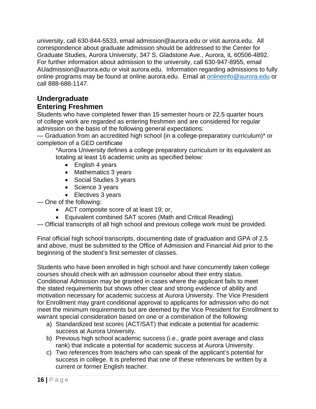university, call 630-844-5533, email admission@aurora.edu or visit aurora.edu. All correspondence about graduate admission should be addressed to the Center for Graduate Studies, Aurora University, 347 S. Gladstone Ave., Aurora, IL 60506-4892. For further information about admission to the university, call 630-947-8955, email AUadmission@aurora.edu or visit aurora.edu. Information regarding admissions to fully online programs may be found at online.aurora.edu. Email at [onlineinfo@aurora.edu](mailto:onlineinfo@aurora.edu) or call 888-688-1147.

## **Undergraduate**

#### **Entering Freshmen**

Students who have completed fewer than 15 semester hours or 22.5 quarter hours of college work are regarded as entering freshmen and are considered for regular admission on the basis of the following general expectations:

— Graduation from an accredited high school (in a college-preparatory curriculum)\* or completion of a GED certificate

\*Aurora University defines a college preparatory curriculum or its equivalent as totaling at least 16 academic units as specified below:

- English 4 years
- Mathematics 3 years
- Social Studies 3 years
- Science 3 years
- Electives 3 years

— One of the following:

- ACT composite score of at least 19; or,
- Equivalent combined SAT scores (Math and Critical Reading)
- Official transcripts of all high school and previous college work must be provided.

Final official high school transcripts, documenting date of graduation and GPA of 2.5 and above, must be submitted to the Office of Admission and Financial Aid prior to the beginning of the student's first semester of classes.

Students who have been enrolled in high school and have concurrently taken college courses should check with an admission counselor about their entry status. Conditional Admission may be granted in cases where the applicant fails to meet the stated requirements but shows other clear and strong evidence of ability and motivation necessary for academic success at Aurora University. The Vice President for Enrollment may grant conditional approval to applicants for admission who do not meet the minimum requirements but are deemed by the Vice President for Enrollment to warrant special consideration based on one or a combination of the following:

- a) Standardized test scores (ACT/SAT) that indicate a potential for academic success at Aurora University.
- b) Previous high school academic success (i.e., grade point average and class rank) that indicate a potential for academic success at Aurora University.
- c) Two references from teachers who can speak of the applicant's potential for success in college. It is preferred that one of these references be written by a current or former English teacher.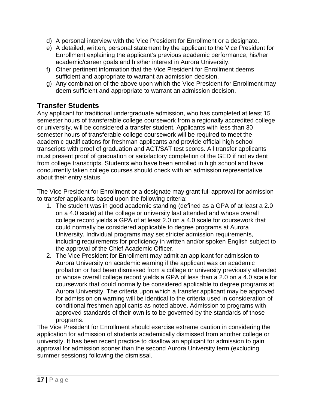- d) A personal interview with the Vice President for Enrollment or a designate.
- e) A detailed, written, personal statement by the applicant to the Vice President for Enrollment explaining the applicant's previous academic performance, his/her academic/career goals and his/her interest in Aurora University.
- f) Other pertinent information that the Vice President for Enrollment deems sufficient and appropriate to warrant an admission decision.
- g) Any combination of the above upon which the Vice President for Enrollment may deem sufficient and appropriate to warrant an admission decision.

## **Transfer Students**

Any applicant for traditional undergraduate admission, who has completed at least 15 semester hours of transferable college coursework from a regionally accredited college or university, will be considered a transfer student. Applicants with less than 30 semester hours of transferable college coursework will be required to meet the academic qualifications for freshman applicants and provide official high school transcripts with proof of graduation and ACT/SAT test scores. All transfer applicants must present proof of graduation or satisfactory completion of the GED if not evident from college transcripts. Students who have been enrolled in high school and have concurrently taken college courses should check with an admission representative about their entry status.

The Vice President for Enrollment or a designate may grant full approval for admission to transfer applicants based upon the following criteria:

- 1. The student was in good academic standing (defined as a GPA of at least a 2.0 on a 4.0 scale) at the college or university last attended and whose overall college record yields a GPA of at least 2.0 on a 4.0 scale for coursework that could normally be considered applicable to degree programs at Aurora University. Individual programs may set stricter admission requirements, including requirements for proficiency in written and/or spoken English subject to the approval of the Chief Academic Officer.
- 2. The Vice President for Enrollment may admit an applicant for admission to Aurora University on academic warning if the applicant was on academic probation or had been dismissed from a college or university previously attended or whose overall college record yields a GPA of less than a 2.0 on a 4.0 scale for coursework that could normally be considered applicable to degree programs at Aurora University. The criteria upon which a transfer applicant may be approved for admission on warning will be identical to the criteria used in consideration of conditional freshmen applicants as noted above. Admission to programs with approved standards of their own is to be governed by the standards of those programs.

The Vice President for Enrollment should exercise extreme caution in considering the application for admission of students academically dismissed from another college or university. It has been recent practice to disallow an applicant for admission to gain approval for admission sooner than the second Aurora University term (excluding summer sessions) following the dismissal.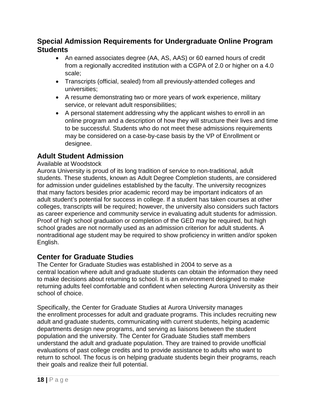#### **Special Admission Requirements for Undergraduate Online Program Students**

- An earned associates degree (AA, AS, AAS) or 60 earned hours of credit from a regionally accredited institution with a CGPA of 2.0 or higher on a 4.0 scale;
- Transcripts (official, sealed) from all previously-attended colleges and universities;
- A resume demonstrating two or more years of work experience, military service, or relevant adult responsibilities;
- A personal statement addressing why the applicant wishes to enroll in an online program and a description of how they will structure their lives and time to be successful. Students who do not meet these admissions requirements may be considered on a case-by-case basis by the VP of Enrollment or designee.

## **Adult Student Admission**

#### Available at Woodstock

Aurora University is proud of its long tradition of service to non-traditional, adult students. These students, known as Adult Degree Completion students, are considered for admission under guidelines established by the faculty. The university recognizes that many factors besides prior academic record may be important indicators of an adult student's potential for success in college. If a student has taken courses at other colleges, transcripts will be required; however, the university also considers such factors as career experience and community service in evaluating adult students for admission. Proof of high school graduation or completion of the GED may be required, but high school grades are not normally used as an admission criterion for adult students. A nontraditional age student may be required to show proficiency in written and/or spoken English.

## **Center for Graduate Studies**

The Center for Graduate Studies was established in 2004 to serve as a central location where adult and graduate students can obtain the information they need to make decisions about returning to school. It is an environment designed to make returning adults feel comfortable and confident when selecting Aurora University as their school of choice.

Specifically, the Center for Graduate Studies at Aurora University manages the enrollment processes for adult and graduate programs. This includes recruiting new adult and graduate students, communicating with current students, helping academic departments design new programs, and serving as liaisons between the student population and the university. The Center for Graduate Studies staff members understand the adult and graduate population. They are trained to provide unofficial evaluations of past college credits and to provide assistance to adults who want to return to school. The focus is on helping graduate students begin their programs, reach their goals and realize their full potential.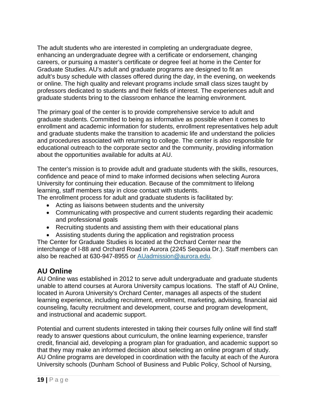The adult students who are interested in completing an undergraduate degree, enhancing an undergraduate degree with a certificate or endorsement, changing careers, or pursuing a master's certificate or degree feel at home in the Center for Graduate Studies. AU's adult and graduate programs are designed to fit an adult's busy schedule with classes offered during the day, in the evening, on weekends or online. The high quality and relevant programs include small class sizes taught by professors dedicated to students and their fields of interest. The experiences adult and graduate students bring to the classroom enhance the learning environment.

The primary goal of the center is to provide comprehensive service to adult and graduate students. Committed to being as informative as possible when it comes to enrollment and academic information for students, enrollment representatives help adult and graduate students make the transition to academic life and understand the policies and procedures associated with returning to college. The center is also responsible for educational outreach to the corporate sector and the community, providing information about the opportunities available for adults at AU.

The center's mission is to provide adult and graduate students with the skills, resources, confidence and peace of mind to make informed decisions when selecting Aurora University for continuing their education. Because of the commitment to lifelong learning, staff members stay in close contact with students.

The enrollment process for adult and graduate students is facilitated by:

- Acting as liaisons between students and the university
- Communicating with prospective and current students regarding their academic and professional goals
- Recruiting students and assisting them with their educational plans
- Assisting students during the application and registration process

The Center for Graduate Studies is located at the Orchard Center near the interchange of I-88 and Orchard Road in Aurora (2245 Sequoia Dr.). Staff members can also be reached at 630-947-8955 or [AUadmission@aurora.edu.](mailto:AUadmission@aurora.edu)

## **AU Online**

AU Online was established in 2012 to serve adult undergraduate and graduate students unable to attend courses at Aurora University campus locations. The staff of AU Online, located in Aurora University's Orchard Center, manages all aspects of the student learning experience, including recruitment, enrollment, marketing, advising, financial aid counseling, faculty recruitment and development, course and program development, and instructional and academic support.

Potential and current students interested in taking their courses fully online will find staff ready to answer questions about curriculum, the online learning experience, transfer credit, financial aid, developing a program plan for graduation, and academic support so that they may make an informed decision about selecting an online program of study. AU Online programs are developed in coordination with the faculty at each of the Aurora University schools (Dunham School of Business and Public Policy, School of Nursing,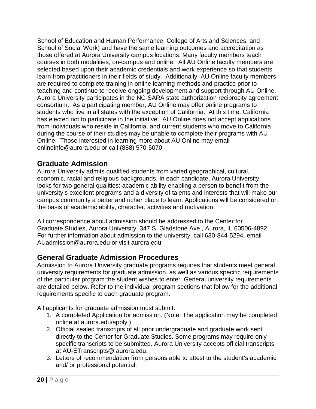School of Education and Human Performance, College of Arts and Sciences, and School of Social Work) and have the same learning outcomes and accreditation as those offered at Aurora University campus locations. Many faculty members teach courses in both modalities, on-campus and online. All AU Online faculty members are selected based upon their academic credentials and work experience so that students learn from practitioners in their fields of study. Additionally, AU Online faculty members are required to complete training in online learning methods and practice prior to teaching and continue to receive ongoing development and support through AU Online. Aurora University participates in the NC-SARA state authorization reciprocity agreement consortium. As a participating member, AU Online may offer online programs to students who live in all states with the exception of California. At this time, California has elected not to participate in the initiative. AU Online does not accept applications from individuals who reside in California, and current students who move to California during the course of their studies may be unable to complete their programs with AU Online. Those interested in learning more about AU Online may email [onlineinfo@aurora.edu](mailto:onlineinfo@aurora.edu) or call (888) 570-5070.

#### **Graduate Admission**

Aurora University admits qualified students from varied geographical, cultural, economic, racial and religious backgrounds. In each candidate, Aurora University looks for two general qualities: academic ability enabling a person to benefit from the university's excellent programs and a diversity of talents and interests that will make our campus community a better and richer place to learn. Applications will be considered on the basis of academic ability, character, activities and motivation.

All correspondence about admission should be addressed to the Center for Graduate Studies, Aurora University, 347 S. Gladstone Ave., Aurora, IL 60506-4892. For further information about admission to the university, call 630-844-5294, email AUadmission@aurora.edu or visit aurora.edu.

#### **General Graduate Admission Procedures**

Admission to Aurora University graduate programs requires that students meet general university requirements for graduate admission, as well as various specific requirements of the particular program the student wishes to enter. General university requirements are detailed below. Refer to the individual program sections that follow for the additional requirements specific to each graduate program.

All applicants for graduate admission must submit:

- 1. A completed Application for admission. (Note: The application may be completed online at aurora.edu/apply.)
- 2. Official sealed transcripts of all prior undergraduate and graduate work sent directly to the Center for Graduate Studies. Some programs may require only specific transcripts to be submitted. Aurora University accepts official transcripts at AU-ETranscripts@ aurora.edu.
- 3. Letters of recommendation from persons able to attest to the student's academic and/ or professional potential.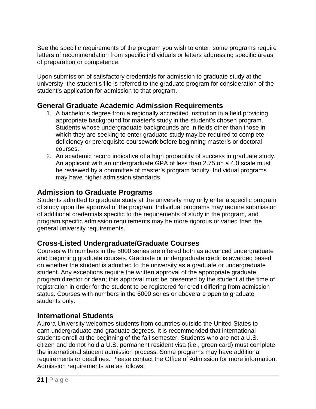See the specific requirements of the program you wish to enter; some programs require letters of recommendation from specific individuals or letters addressing specific areas of preparation or competence.

Upon submission of satisfactory credentials for admission to graduate study at the university, the student's file is referred to the graduate program for consideration of the student's application for admission to that program.

## **General Graduate Academic Admission Requirements**

- 1. A bachelor's degree from a regionally accredited institution in a field providing appropriate background for master's study in the student's chosen program. Students whose undergraduate backgrounds are in fields other than those in which they are seeking to enter graduate study may be required to complete deficiency or prerequisite coursework before beginning master's or doctoral courses.
- 2. An academic record indicative of a high probability of success in graduate study. An applicant with an undergraduate GPA of less than 2.75 on a 4.0 scale must be reviewed by a committee of master's program faculty. Individual programs may have higher admission standards.

#### **Admission to Graduate Programs**

Students admitted to graduate study at the university may only enter a specific program of study upon the approval of the program. Individual programs may require submission of additional credentials specific to the requirements of study in the program, and program specific admission requirements may be more rigorous or varied than the general university requirements.

#### **Cross-Listed Undergraduate/Graduate Courses**

Courses with numbers in the 5000 series are offered both as advanced undergraduate and beginning graduate courses. Graduate or undergraduate credit is awarded based on whether the student is admitted to the university as a graduate or undergraduate student. Any exceptions require the written approval of the appropriate graduate program director or dean; this approval must be presented by the student at the time of registration in order for the student to be registered for credit differing from admission status. Courses with numbers in the 6000 series or above are open to graduate students only.

#### **International Students**

Aurora University welcomes students from countries outside the United States to earn undergraduate and graduate degrees. It is recommended that international students enroll at the beginning of the fall semester. Students who are not a U.S. citizen and do not hold a U.S. permanent resident visa (i.e., green card) must complete the international student admission process. Some programs may have additional requirements or deadlines. Please contact the Office of Admission for more information. Admission requirements are as follows: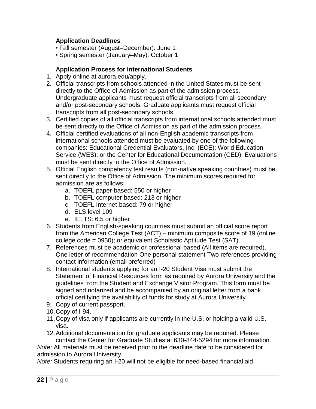#### **Application Deadlines**

- Fall semester (August–December): June 1
- Spring semester (January–May): October 1

#### **Application Process for International Students**

- 1. Apply online at aurora.edu/apply.
- 2. Official transcripts from schools attended in the United States must be sent directly to the Office of Admission as part of the admission process. Undergraduate applicants must request official transcripts from all secondary and/or post-secondary schools. Graduate applicants must request official transcripts from all post-secondary schools.
- 3. Certified copies of all official transcripts from international schools attended must be sent directly to the Office of Admission as part of the admission process.
- 4. Official certified evaluations of all non-English academic transcripts from international schools attended must be evaluated by one of the following companies: Educational Credential Evaluators, Inc. (ECE); World Education Service (WES); or the Center for Educational Documentation (CED). Evaluations must be sent directly to the Office of Admission.
- 5. Official English competency test results (non-native speaking countries) must be sent directly to the Office of Admission. The minimum scores required for admission are as follows:
	- a. TOEFL paper-based: 550 or higher
	- b. TOEFL computer-based: 213 or higher
	- c. TOEFL Internet-based: 79 or higher
	- d. ELS level 109
	- e. IELTS: 6.5 or higher
- 6. Students from English-speaking countries must submit an official score report from the American College Test (ACT) – minimum composite score of 19 (online college code = 0950); or equivalent Scholastic Aptitude Test (SAT).
- 7. References must be academic or professional based (All items are required). One letter of recommendation One personal statement Two references providing contact information (email preferred)
- 8. International students applying for an I-20 Student Visa must submit the Statement of Financial Resources form as required by Aurora University and the guidelines from the Student and Exchange Visitor Program. This form must be signed and notarized and be accompanied by an original letter from a bank official certifying the availability of funds for study at Aurora University.
- 9. Copy of current passport.
- 10.Copy of I-94.
- 11.Copy of visa only if applicants are currently in the U.S. or holding a valid U.S. visa.
- 12.Additional documentation for graduate applicants may be required. Please contact the Center for Graduate Studies at 630-844-5294 for more information.

*Note:* All materials must be received prior to the deadline date to be considered for admission to Aurora University.

*Note:* Students requiring an I-20 will not be eligible for need-based financial aid.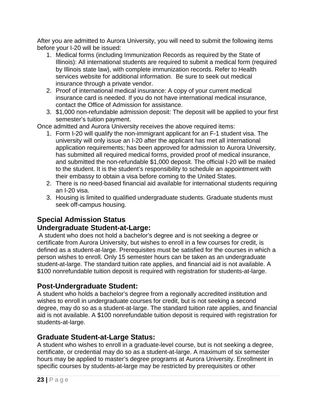After you are admitted to Aurora University, you will need to submit the following items before your I-20 will be issued:

- 1. Medical forms (including Immunization Records as required by the State of Illinois): All international students are required to submit a medical form (required by Illinois state law), with complete immunization records. Refer to Health services website for additional information. Be sure to seek out medical insurance through a private vendor.
- 2. Proof of international medical insurance: A copy of your current medical insurance card is needed. If you do not have international medical insurance, contact the Office of Admission for assistance.
- 3. \$1,000 non-refundable admission deposit: The deposit will be applied to your first semester's tuition payment.

Once admitted and Aurora University receives the above required items:

- 1. Form I-20 will qualify the non-immigrant applicant for an F-1 student visa. The university will only issue an I-20 after the applicant has met all international application requirements; has been approved for admission to Aurora University, has submitted all required medical forms, provided proof of medical insurance, and submitted the non-refundable \$1,000 deposit. The official I-20 will be mailed to the student. It is the student's responsibility to schedule an appointment with their embassy to obtain a visa before coming to the United States.
- 2. There is no need-based financial aid available for international students requiring an I-20 visa.
- 3. Housing is limited to qualified undergraduate students. Graduate students must seek off-campus housing.

## **Special Admission Status Undergraduate Student-at-Large:**

A student who does not hold a bachelor's degree and is not seeking a degree or certificate from Aurora University, but wishes to enroll in a few courses for credit, is defined as a student-at-large. Prerequisites must be satisfied for the courses in which a person wishes to enroll. Only 15 semester hours can be taken as an undergraduate student-at-large. The standard tuition rate applies, and financial aid is not available. A \$100 nonrefundable tuition deposit is required with registration for students-at-large.

## **Post-Undergraduate Student:**

A student who holds a bachelor's degree from a regionally accredited institution and wishes to enroll in undergraduate courses for credit, but is not seeking a second degree, may do so as a student-at-large. The standard tuition rate applies, and financial aid is not available. A \$100 nonrefundable tuition deposit is required with registration for students-at-large.

## **Graduate Student-at-Large Status:**

A student who wishes to enroll in a graduate-level course, but is not seeking a degree, certificate, or credential may do so as a student-at-large. A maximum of six semester hours may be applied to master's degree programs at Aurora University. Enrollment in specific courses by students-at-large may be restricted by prerequisites or other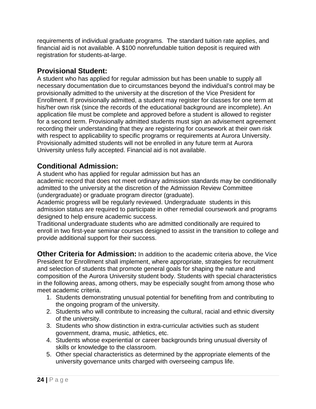requirements of individual graduate programs. The standard tuition rate applies, and financial aid is not available. A \$100 nonrefundable tuition deposit is required with registration for students-at-large.

## **Provisional Student:**

A student who has applied for regular admission but has been unable to supply all necessary documentation due to circumstances beyond the individual's control may be provisionally admitted to the university at the discretion of the Vice President for Enrollment. If provisionally admitted, a student may register for classes for one term at his/her own risk (since the records of the educational background are incomplete). An application file must be complete and approved before a student is allowed to register for a second term. Provisionally admitted students must sign an advisement agreement recording their understanding that they are registering for coursework at their own risk with respect to applicability to specific programs or requirements at Aurora University. Provisionally admitted students will not be enrolled in any future term at Aurora University unless fully accepted. Financial aid is not available.

## **Conditional Admission:**

A student who has applied for regular admission but has an

academic record that does not meet ordinary admission standards may be conditionally admitted to the university at the discretion of the Admission Review Committee (undergraduate) or graduate program director (graduate).

Academic progress will be regularly reviewed. Undergraduate students in this admission status are required to participate in other remedial coursework and programs designed to help ensure academic success.

Traditional undergraduate students who are admitted conditionally are required to enroll in two first-year seminar courses designed to assist in the transition to college and provide additional support for their success.

**Other Criteria for Admission:** In addition to the academic criteria above, the Vice President for Enrollment shall implement, where appropriate, strategies for recruitment and selection of students that promote general goals for shaping the nature and composition of the Aurora University student body. Students with special characteristics in the following areas, among others, may be especially sought from among those who meet academic criteria.

- 1. Students demonstrating unusual potential for benefiting from and contributing to the ongoing program of the university.
- 2. Students who will contribute to increasing the cultural, racial and ethnic diversity of the university.
- 3. Students who show distinction in extra-curricular activities such as student government, drama, music, athletics, etc.
- 4. Students whose experiential or career backgrounds bring unusual diversity of skills or knowledge to the classroom.
- 5. Other special characteristics as determined by the appropriate elements of the university governance units charged with overseeing campus life.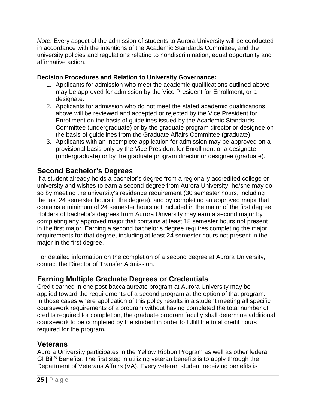*Note:* Every aspect of the admission of students to Aurora University will be conducted in accordance with the intentions of the Academic Standards Committee, and the university policies and regulations relating to nondiscrimination, equal opportunity and affirmative action.

#### **Decision Procedures and Relation to University Governance:**

- 1. Applicants for admission who meet the academic qualifications outlined above may be approved for admission by the Vice President for Enrollment, or a designate.
- 2. Applicants for admission who do not meet the stated academic qualifications above will be reviewed and accepted or rejected by the Vice President for Enrollment on the basis of guidelines issued by the Academic Standards Committee (undergraduate) or by the graduate program director or designee on the basis of guidelines from the Graduate Affairs Committee (graduate).
- 3. Applicants with an incomplete application for admission may be approved on a provisional basis only by the Vice President for Enrollment or a designate (undergraduate) or by the graduate program director or designee (graduate).

## **Second Bachelor's Degrees**

If a student already holds a bachelor's degree from a regionally accredited college or university and wishes to earn a second degree from Aurora University, he/she may do so by meeting the university's residence requirement (30 semester hours, including the last 24 semester hours in the degree), and by completing an approved major that contains a minimum of 24 semester hours not included in the major of the first degree. Holders of bachelor's degrees from Aurora University may earn a second major by completing any approved major that contains at least 18 semester hours not present in the first major. Earning a second bachelor's degree requires completing the major requirements for that degree, including at least 24 semester hours not present in the major in the first degree.

For detailed information on the completion of a second degree at Aurora University, contact the Director of Transfer Admission.

## **Earning Multiple Graduate Degrees or Credentials**

Credit earned in one post-baccalaureate program at Aurora University may be applied toward the requirements of a second program at the option of that program. In those cases where application of this policy results in a student meeting all specific coursework requirements of a program without having completed the total number of credits required for completion, the graduate program faculty shall determine additional coursework to be completed by the student in order to fulfill the total credit hours required for the program.

## **Veterans**

Aurora University participates in the Yellow Ribbon Program as well as other federal GI Bill® Benefits. The first step in utilizing veteran benefits is to apply through the Department of Veterans Affairs (VA). Every veteran student receiving benefits is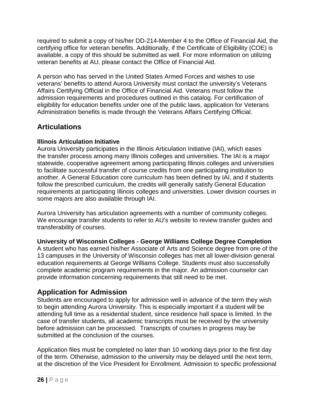required to submit a copy of his/her DD-214-Member 4 to the Office of Financial Aid, the certifying office for veteran benefits. Additionally, if the Certificate of Eligibility (COE) is available, a copy of this should be submitted as well. For more information on utilizing veteran benefits at AU, please contact the Office of Financial Aid.

A person who has served in the United States Armed Forces and wishes to use veterans' benefits to attend Aurora University must contact the university's Veterans Affairs Certifying Official in the Office of Financial Aid. Veterans must follow the admission requirements and procedures outlined in this catalog. For certification of eligibility for education benefits under one of the public laws, application for Veterans Administration benefits is made through the Veterans Affairs Certifying Official.

## **Articulations**

#### **Illinois Articulation Initiative**

Aurora University participates in the Illinois Articulation Initiative (IAI), which eases the transfer process among many Illinois colleges and universities. The IAI is a major statewide, cooperative agreement among participating Illinois colleges and universities to facilitate successful transfer of course credits from one participating institution to another. A General Education core curriculum has been defined by IAI, and if students follow the prescribed curriculum, the credits will generally satisfy General Education requirements at participating Illinois colleges and universities. Lower division courses in some majors are also available through IAI.

Aurora University has articulation agreements with a number of community colleges. We encourage transfer students to refer to AU's website to review transfer guides and transferability of courses.

#### **University of Wisconsin Colleges - George Williams College Degree Completion**

A student who has earned his/her Associate of Arts and Science degree from one of the 13 campuses in the University of Wisconsin colleges has met all lower-division general education requirements at George Williams College. Students must also successfully complete academic program requirements in the major. An admission counselor can provide information concerning requirements that still need to be met.

## **Application for Admission**

Students are encouraged to apply for admission well in advance of the term they wish to begin attending Aurora University. This is especially important if a student will be attending full time as a residential student, since residence hall space is limited. In the case of transfer students, all academic transcripts must be received by the university before admission can be processed. Transcripts of courses in progress may be submitted at the conclusion of the courses.

Application files must be completed no later than 10 working days prior to the first day of the term. Otherwise, admission to the university may be delayed until the next term, at the discretion of the Vice President for Enrollment. Admission to specific professional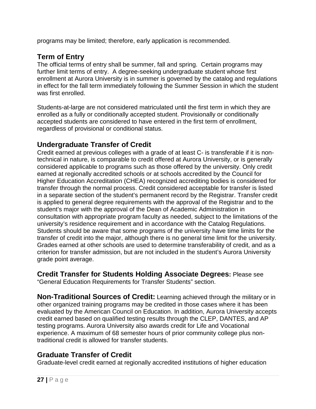programs may be limited; therefore, early application is recommended.

## **Term of Entry**

The official terms of entry shall be summer, fall and spring. Certain programs may further limit terms of entry. A degree-seeking undergraduate student whose first enrollment at Aurora University is in summer is governed by the catalog and regulations in effect for the fall term immediately following the Summer Session in which the student was first enrolled.

Students-at-large are not considered matriculated until the first term in which they are enrolled as a fully or conditionally accepted student. Provisionally or conditionally accepted students are considered to have entered in the first term of enrollment, regardless of provisional or conditional status.

#### **Undergraduate Transfer of Credit**

Credit earned at previous colleges with a grade of at least C- is transferable if it is nontechnical in nature, is comparable to credit offered at Aurora University, or is generally considered applicable to programs such as those offered by the university. Only credit earned at regionally accredited schools or at schools accredited by the Council for Higher Education Accreditation (CHEA) recognized accrediting bodies is considered for transfer through the normal process. Credit considered acceptable for transfer is listed in a separate section of the student's permanent record by the Registrar. Transfer credit is applied to general degree requirements with the approval of the Registrar and to the student's major with the approval of the Dean of Academic Administration in consultation with appropriate program faculty as needed, subject to the limitations of the university's residence requirement and in accordance with the Catalog Regulations. Students should be aware that some programs of the university have time limits for the transfer of credit into the major, although there is no general time limit for the university. Grades earned at other schools are used to determine transferability of credit, and as a criterion for transfer admission, but are not included in the student's Aurora University grade point average.

**Credit Transfer for Students Holding Associate Degrees:** Please see "General Education Requirements for Transfer Students" section.

**Non-Traditional Sources of Credit:** Learning achieved through the military or in other organized training programs may be credited in those cases where it has been evaluated by the American Council on Education. In addition, Aurora University accepts credit earned based on qualified testing results through the CLEP, DANTES, and AP testing programs. Aurora University also awards credit for Life and Vocational experience. A maximum of 68 semester hours of prior community college plus nontraditional credit is allowed for transfer students.

## **Graduate Transfer of Credit**

Graduate-level credit earned at regionally accredited institutions of higher education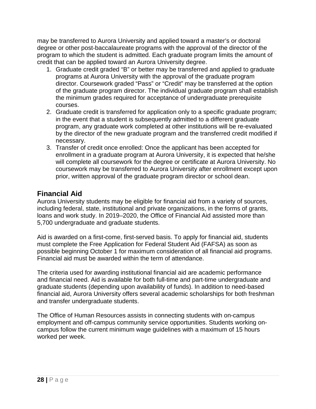may be transferred to Aurora University and applied toward a master's or doctoral degree or other post-baccalaureate programs with the approval of the director of the program to which the student is admitted. Each graduate program limits the amount of credit that can be applied toward an Aurora University degree.

- 1. Graduate credit graded "B" or better may be transferred and applied to graduate programs at Aurora University with the approval of the graduate program director. Coursework graded "Pass" or "Credit" may be transferred at the option of the graduate program director. The individual graduate program shall establish the minimum grades required for acceptance of undergraduate prerequisite courses.
- 2. Graduate credit is transferred for application only to a specific graduate program; in the event that a student is subsequently admitted to a different graduate program, any graduate work completed at other institutions will be re-evaluated by the director of the new graduate program and the transferred credit modified if necessary.
- 3. Transfer of credit once enrolled: Once the applicant has been accepted for enrollment in a graduate program at Aurora University, it is expected that he/she will complete all coursework for the degree or certificate at Aurora University. No coursework may be transferred to Aurora University after enrollment except upon prior, written approval of the graduate program director or school dean.

## **Financial Aid**

Aurora University students may be eligible for financial aid from a variety of sources, including federal, state, institutional and private organizations, in the forms of grants, loans and work study. In 2019–2020, the Office of Financial Aid assisted more than 5,700 undergraduate and graduate students.

Aid is awarded on a first-come, first-served basis. To apply for financial aid, students must complete the Free Application for Federal Student Aid (FAFSA) as soon as possible beginning October 1 for maximum consideration of all financial aid programs. Financial aid must be awarded within the term of attendance.

The criteria used for awarding institutional financial aid are academic performance and financial need. Aid is available for both full-time and part-time undergraduate and graduate students (depending upon availability of funds). In addition to need-based financial aid, Aurora University offers several academic scholarships for both freshman and transfer undergraduate students.

<span id="page-27-0"></span>The Office of Human Resources assists in connecting students with on-campus employment and off-campus community service opportunities. Students working oncampus follow the current minimum wage guidelines with a maximum of 15 hours worked per week.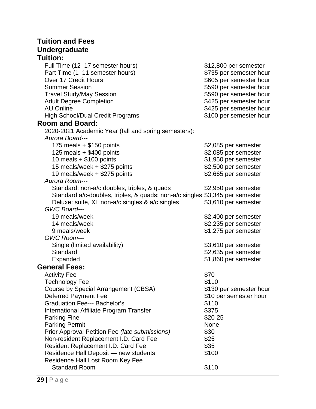### **Tuition and Fees Undergraduate Tuition:**

| Full Time (12-17 semester hours)                                             | \$12,800 per semester   |
|------------------------------------------------------------------------------|-------------------------|
| Part Time (1-11 semester hours)                                              | \$735 per semester hour |
| Over 17 Credit Hours                                                         | \$605 per semester hour |
| <b>Summer Session</b>                                                        | \$590 per semester hour |
| <b>Travel Study/May Session</b>                                              | \$590 per semester hour |
| <b>Adult Degree Completion</b>                                               | \$425 per semester hour |
| <b>AU Online</b>                                                             | \$425 per semester hour |
| <b>High School/Dual Credit Programs</b>                                      | \$100 per semester hour |
| <b>Room and Board:</b>                                                       |                         |
| 2020-2021 Academic Year (fall and spring semesters):                         |                         |
| Aurora Board---                                                              |                         |
| 175 meals $+$ \$150 points                                                   | \$2,085 per semester    |
| 125 meals $+$ \$400 points                                                   | \$2,085 per semester    |
| 10 meals $+ $100$ points                                                     | \$1,950 per semester    |
| 15 meals/week + \$275 points                                                 | \$2,500 per semester    |
| 19 meals/week + \$275 points                                                 | \$2,665 per semester    |
| Aurora Room---                                                               |                         |
| Standard: non-a/c doubles, triples, & quads                                  | \$2,950 per semester    |
| Standard a/c-doubles, triples, & quads; non-a/c singles \$3,345 per semester |                         |
| Deluxe: suite, XL non-a/c singles & a/c singles                              | \$3,610 per semester    |
| GWC Board---                                                                 |                         |
| 19 meals/week                                                                | \$2,400 per semester    |
| 14 meals/week                                                                | \$2,235 per semester    |
| 9 meals/week                                                                 | \$1,275 per semester    |
| GWC Room---                                                                  |                         |
| Single (limited availability)                                                | \$3,610 per semester    |
| Standard                                                                     | \$2,635 per semester    |
| Expanded                                                                     | \$1,860 per semester    |
| <b>General Fees:</b>                                                         |                         |
| <b>Activity Fee</b>                                                          | \$70                    |
| <b>Technology Fee</b>                                                        | \$110                   |
| Course by Special Arrangement (CBSA)                                         | \$130 per semester hour |
| <b>Deferred Payment Fee</b>                                                  | \$10 per semester hour  |
| <b>Graduation Fee--- Bachelor's</b>                                          | \$110                   |
| International Affiliate Program Transfer                                     | \$375                   |
| <b>Parking Fine</b>                                                          | \$20-25                 |
| <b>Parking Permit</b>                                                        | None                    |
| Prior Approval Petition Fee (late submissions)                               | \$30                    |
| Non-resident Replacement I.D. Card Fee                                       | \$25                    |
| Resident Replacement I.D. Card Fee                                           | \$35                    |
| Residence Hall Deposit - new students                                        | \$100                   |
| Residence Hall Lost Room Key Fee                                             |                         |
| <b>Standard Room</b>                                                         | \$110                   |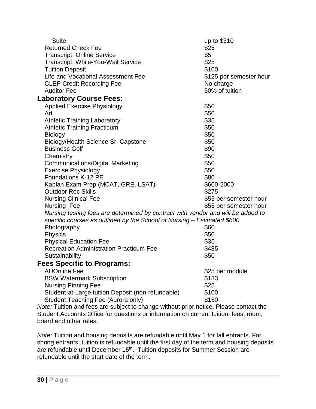| <b>Suite</b>                                                                          | up to \$310                 |  |  |  |
|---------------------------------------------------------------------------------------|-----------------------------|--|--|--|
| <b>Returned Check Fee</b>                                                             | \$25                        |  |  |  |
| <b>Transcript, Online Service</b>                                                     | \$5<br>\$25                 |  |  |  |
| <b>Transcript, While-You-Wait Service</b><br><b>Tuition Deposit</b>                   | \$100                       |  |  |  |
| Life and Vocational Assessment Fee                                                    |                             |  |  |  |
|                                                                                       | \$125 per semester hour     |  |  |  |
| <b>CLEP Credit Recording Fee</b><br><b>Auditor Fee</b>                                | No charge<br>50% of tuition |  |  |  |
|                                                                                       |                             |  |  |  |
| <b>Laboratory Course Fees:</b>                                                        |                             |  |  |  |
| <b>Applied Exercise Physiology</b>                                                    | \$50                        |  |  |  |
| Art                                                                                   | \$50                        |  |  |  |
| <b>Athletic Training Laboratory</b>                                                   | \$35                        |  |  |  |
| <b>Athletic Training Practicum</b>                                                    | \$50                        |  |  |  |
| <b>Biology</b>                                                                        | \$50                        |  |  |  |
| Biology/Health Science Sr. Capstone                                                   | \$50                        |  |  |  |
| <b>Business Golf</b>                                                                  | \$90                        |  |  |  |
| Chemistry                                                                             | \$50                        |  |  |  |
| <b>Communications/Digital Marketing</b>                                               | \$50                        |  |  |  |
| <b>Exercise Physiology</b>                                                            | \$50                        |  |  |  |
| <b>Foundations K-12 PE</b>                                                            | \$80                        |  |  |  |
| Kaplan Exam Prep (MCAT, GRE, LSAT)                                                    | \$600-2000                  |  |  |  |
| <b>Outdoor Rec Skills</b>                                                             | \$275                       |  |  |  |
| <b>Nursing Clinical Fee</b>                                                           | \$55 per semester hour      |  |  |  |
| Nursing Fee                                                                           | \$55 per semester hour      |  |  |  |
| Nursing testing fees are determined by contract with vendor and will be added to      |                             |  |  |  |
| specific courses as outlined by the School of Nursing - Estimated \$600               |                             |  |  |  |
| Photography                                                                           | \$60                        |  |  |  |
| <b>Physics</b>                                                                        | \$50                        |  |  |  |
| <b>Physical Education Fee</b>                                                         | \$35                        |  |  |  |
| <b>Recreation Administration Practicum Fee</b>                                        | \$485                       |  |  |  |
| Sustainability                                                                        | \$50                        |  |  |  |
| <b>Fees Specific to Programs:</b>                                                     |                             |  |  |  |
| <b>AUOnline Fee</b>                                                                   | \$25 per module             |  |  |  |
| <b>BSW Watermark Subscription</b>                                                     | \$133                       |  |  |  |
| <b>Nursing Pinning Fee</b>                                                            | \$25                        |  |  |  |
| Student-at-Large tuition Deposit (non-refundable)                                     | \$100                       |  |  |  |
| Student Teaching Fee (Aurora only)                                                    | \$150                       |  |  |  |
| Nate: Tuition and fees are subject to change without prior potice. Please contact the |                             |  |  |  |

*Note:* Tuition and fees are subject to change without prior notice. Please contact the Student Accounts Office for questions or information on current tuition, fees, room, board and other rates.

*Note:* Tuition and housing deposits are refundable until May 1 for fall entrants. For spring entrants, tuition is refundable until the first day of the term and housing deposits are refundable until December 15<sup>th</sup>. Tuition deposits for Summer Session are refundable until the start date of the term.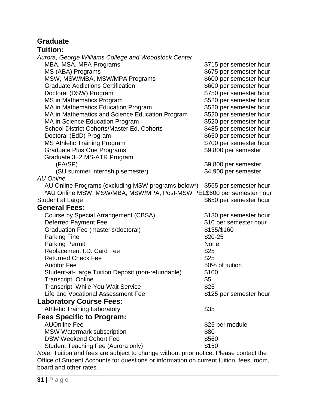## **Graduate**

## **Tuition:**

| Aurora, George Williams College and Woodstock Center                                  |                         |
|---------------------------------------------------------------------------------------|-------------------------|
| MBA, MSA, MPA Programs                                                                | \$715 per semester hour |
| MS (ABA) Programs                                                                     | \$675 per semester hour |
| MSW, MSW/MBA, MSW/MPA Programs                                                        | \$600 per semester hour |
| <b>Graduate Addictions Certification</b>                                              | \$600 per semester hour |
| Doctoral (DSW) Program                                                                | \$750 per semester hour |
| MS in Mathematics Program                                                             | \$520 per semester hour |
| MA in Mathematics Education Program                                                   | \$520 per semester hour |
| MA in Mathematics and Science Education Program                                       | \$520 per semester hour |
| MA in Science Education Program                                                       | \$520 per semester hour |
| School District Cohorts/Master Ed. Cohorts                                            | \$485 per semester hour |
| Doctoral (EdD) Program                                                                | \$650 per semester hour |
| <b>MS Athletic Training Program</b>                                                   | \$700 per semester hour |
| <b>Graduate Plus One Programs</b>                                                     | \$9,800 per semester    |
| Graduate 3+2 MS-ATR Program                                                           |                         |
| (FA/SP)                                                                               | \$9,800 per semester    |
| (SU summer internship semester)                                                       | \$4,900 per semester    |
| <b>AU Online</b>                                                                      |                         |
| AU Online Programs (excluding MSW programs below*)                                    | \$565 per semester hour |
| *AU Online MSW, MSW/MBA, MSW/MPA, Post-MSW PEL\$600 per semester hour                 |                         |
| <b>Student at Large</b>                                                               | \$650 per semester hour |
| <b>General Fees:</b>                                                                  |                         |
| Course by Special Arrangement (CBSA)                                                  | \$130 per semester hour |
| <b>Deferred Payment Fee</b>                                                           | \$10 per semester hour  |
| Graduation Fee (master's/doctoral)                                                    | \$135/\$160             |
| <b>Parking Fine</b>                                                                   | \$20-25                 |
| <b>Parking Permit</b>                                                                 | None                    |
| Replacement I.D. Card Fee                                                             | \$25                    |
| <b>Returned Check Fee</b>                                                             | \$25                    |
| <b>Auditor Fee</b>                                                                    | 50% of tuition          |
| Student-at-Large Tuition Deposit (non-refundable)                                     | \$100                   |
| <b>Transcript, Online</b>                                                             | \$5                     |
| Transcript, While-You-Wait Service                                                    | \$25                    |
| Life and Vocational Assessment Fee                                                    | \$125 per semester hour |
| <b>Laboratory Course Fees:</b>                                                        |                         |
| <b>Athletic Training Laboratory</b>                                                   | \$35                    |
| Fees Specific to Program:                                                             |                         |
| <b>AUOnline Fee</b>                                                                   | \$25 per module         |
| <b>MSW Watermark subscription</b>                                                     | \$80                    |
| <b>DSW Weekend Cohort Fee</b>                                                         | \$560                   |
| Student Teaching Fee (Aurora only)                                                    | \$150                   |
| Note: Tuition and fees are subject to change without prior notice. Please contact the |                         |

*Note:* Tuition and fees are subject to change without prior notice. Please contact the Office of Student Accounts for questions or information on current tuition, fees, room, board and other rates.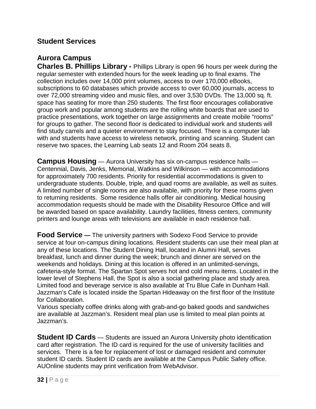#### <span id="page-31-0"></span>**Student Services**

## **Aurora Campus**

**Charles B. Phillips Library -** Phillips Library is open 96 hours per week during the regular semester with extended hours for the week leading up to final exams. The collection includes over 14,000 print volumes, access to over 170,000 eBooks, subscriptions to 60 databases which provide access to over 60,000 journals, access to over 72,000 streaming video and music files, and over 3,530 DVDs. The 13,000 sq. ft. space has seating for more than 250 students. The first floor encourages collaborative group work and popular among students are the rolling white boards that are used to practice presentations, work together on large assignments and create mobile "rooms" for groups to gather. The second floor is dedicated to individual work and students will find study carrels and a quieter environment to stay focused. There is a computer lab with and students have access to wireless network, printing and scanning. Student can reserve two spaces, the Learning Lab seats 12 and Room 204 seats 8.

**Campus Housing** — Aurora University has six on-campus residence halls — Centennial, Davis, Jenks, Memorial, Watkins and Wilkinson — with accommodations for approximately 700 residents. Priority for residential accommodations is given to undergraduate students. Double, triple, and quad rooms are available, as well as suites. A limited number of single rooms are also available, with priority for these rooms given to returning residents. Some residence halls offer air conditioning. Medical housing accommodation requests should be made with the Disability Resource Office and will be awarded based on space availability. Laundry facilities, fitness centers, community printers and lounge areas with televisions are available in each residence hall.

**Food Service —** The university partners with Sodexo Food Service to provide service at four on-campus dining locations. Resident students can use their meal plan at any of these locations. The Student Dining Hall, located in Alumni Hall, serves breakfast, lunch and dinner during the week; brunch and dinner are served on the weekends and holidays. Dining at this location is offered in an unlimited-servings, cafeteria-style format. The Spartan Spot serves hot and cold menu items. Located in the lower level of Stephens Hall, the Spot is also a social gathering place and study area. Limited food and beverage service is also available at Tru Blue Cafe in Dunham Hall. Jazzman's Cafe is located inside the Spartan Hideaway on the first floor of the Institute for Collaboration.

Various specialty coffee drinks along with grab-and-go baked goods and sandwiches are available at Jazzman's. Resident meal plan use is limited to meal plan points at Jazzman's.

**Student ID Cards** — Students are issued an Aurora University photo identification card after registration. The ID card is required for the use of university facilities and services. There is a fee for replacement of lost or damaged resident and commuter student ID cards. Student ID cards are available at the Campus Public Safety office. AUOnline students may print verification from WebAdvisor.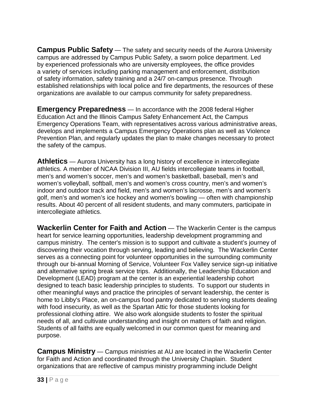**Campus Public Safety** — The safety and security needs of the Aurora University campus are addressed by Campus Public Safety, a sworn police department. Led by experienced professionals who are university employees, the office provides a variety of services including parking management and enforcement, distribution of safety information, safety training and a 24/7 on-campus presence. Through established relationships with local police and fire departments, the resources of these organizations are available to our campus community for safety preparedness.

**Emergency Preparedness** — In accordance with the 2008 federal Higher Education Act and the Illinois Campus Safety Enhancement Act, the Campus Emergency Operations Team, with representatives across various administrative areas, develops and implements a Campus Emergency Operations plan as well as Violence Prevention Plan, and regularly updates the plan to make changes necessary to protect the safety of the campus.

**Athletics** — Aurora University has a long history of excellence in intercollegiate athletics. A member of NCAA Division III, AU fields intercollegiate teams in football, men's and women's soccer, men's and women's basketball, baseball, men's and women's volleyball, softball, men's and women's cross country, men's and women's indoor and outdoor track and field, men's and women's lacrosse, men's and women's golf, men's and women's ice hockey and women's bowling — often with championship results. About 40 percent of all resident students, and many commuters, participate in intercollegiate athletics.

**Wackerlin Center for Faith and Action** — The Wackerlin Center is the campus heart for service learning opportunities, leadership development programming and campus ministry. The center's mission is to support and cultivate a student's journey of discovering their vocation through serving, leading and believing. The Wackerlin Center serves as a connecting point for volunteer opportunities in the surrounding community through our bi-annual Morning of Service, Volunteer Fox Valley service sign-up initiative and alternative spring break service trips. Additionally, the Leadership Education and Development (LEAD) program at the center is an experiential leadership cohort designed to teach basic leadership principles to students. To support our students in other meaningful ways and practice the principles of servant leadership, the center is home to Libby's Place, an on-campus food pantry dedicated to serving students dealing with food insecurity, as well as the Spartan Attic for those students looking for professional clothing attire. We also work alongside students to foster the spiritual needs of all, and cultivate understanding and insight on matters of faith and religion. Students of all faiths are equally welcomed in our common quest for meaning and purpose.

**Campus Ministry** — Campus ministries at AU are located in the Wackerlin Center for Faith and Action and coordinated through the University Chaplain. Student organizations that are reflective of campus ministry programming include Delight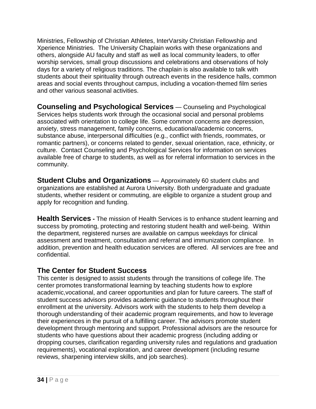Ministries, Fellowship of Christian Athletes, InterVarsity Christian Fellowship and Xperience Ministries. The University Chaplain works with these organizations and others, alongside AU faculty and staff as well as local community leaders, to offer worship services, small group discussions and celebrations and observations of holy days for a variety of religious traditions. The chaplain is also available to talk with students about their spirituality through outreach events in the residence halls, common areas and social events throughout campus, including a vocation-themed film series and other various seasonal activities.

**Counseling and Psychological Services** — Counseling and Psychological Services helps students work through the occasional social and personal problems associated with orientation to college life. Some common concerns are depression, anxiety, stress management, family concerns, educational/academic concerns, substance abuse, interpersonal difficulties (e.g., conflict with friends, roommates, or romantic partners), or concerns related to gender, sexual orientation, race, ethnicity, or culture. Contact Counseling and Psychological Services for information on services available free of charge to students, as well as for referral information to services in the community.

**Student Clubs and Organizations** — Approximately 60 student clubs and organizations are established at Aurora University. Both undergraduate and graduate students, whether resident or commuting, are eligible to organize a student group and apply for recognition and funding.

**Health Services -** The mission of Health Services is to enhance student learning and success by promoting, protecting and restoring student health and well-being. Within the department, registered nurses are available on campus weekdays for clinical assessment and treatment, consultation and referral and immunization compliance. In addition, prevention and health education services are offered. All services are free and confidential.

## **The Center for Student Success**

This center is designed to assist students through the transitions of college life. The center promotes transformational learning by teaching students how to explore academic,vocational, and career opportunities and plan for future careers. The staff of student success advisors provides academic guidance to students throughout their enrollment at the university. Advisors work with the students to help them develop a thorough understanding of their academic program requirements, and how to leverage their experiences in the pursuit of a fulfilling career. The advisors promote student development through mentoring and support. Professional advisors are the resource for students who have questions about their academic progress (including adding or dropping courses, clarification regarding university rules and regulations and graduation requirements), vocational exploration, and career development (including resume reviews, sharpening interview skills, and job searches).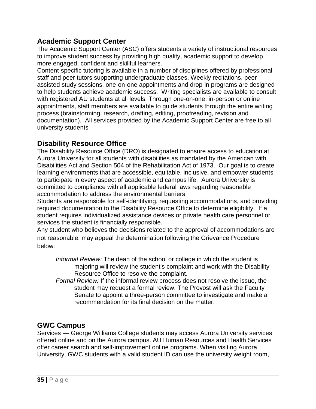#### **Academic Support Center**

The Academic Support Center (ASC) offers students a variety of instructional resources to improve student success by providing high quality, academic support to develop more engaged, confident and skillful learners.

Content-specific tutoring is available in a number of disciplines offered by professional staff and peer tutors supporting undergraduate classes. Weekly recitations, peer assisted study sessions, one-on-one appointments and drop-in programs are designed to help students achieve academic success. Writing specialists are available to consult with registered AU students at all levels. Through one-on-one, in-person or online appointments, staff members are available to guide students through the entire writing process (brainstorming, research, drafting, editing, proofreading, revision and documentation). All services provided by the Academic Support Center are free to all university students

#### **Disability Resource Office**

The Disability Resource Office (DRO) is designated to ensure access to education at Aurora University for all students with disabilities as mandated by the American with Disabilities Act and Section 504 of the Rehabilitation Act of 1973. Our goal is to create learning environments that are accessible, equitable, inclusive, and empower students to participate in every aspect of academic and campus life. Aurora University is committed to compliance with all applicable federal laws regarding reasonable accommodation to address the environmental barriers.

Students are responsible for self-identifying, requesting accommodations, and providing required documentation to the Disability Resource Office to determine eligibility. If a student requires individualized assistance devices or private health care personnel or services the student is financially responsible.

Any student who believes the decisions related to the approval of accommodations are not reasonable, may appeal the determination following the Grievance Procedure below:

*Informal Review:* The dean of the school or college in which the student is majoring will review the student's complaint and work with the Disability Resource Office to resolve the complaint.

*Formal Review:* If the informal review process does not resolve the issue, the student may request a formal review. The Provost will ask the Faculty Senate to appoint a three-person committee to investigate and make a recommendation for its final decision on the matter.

## **GWC Campus**

Services — George Williams College students may access Aurora University services offered online and on the Aurora campus. AU Human Resources and Health Services offer career search and self-improvement online programs. When visiting Aurora University, GWC students with a valid student ID can use the university weight room,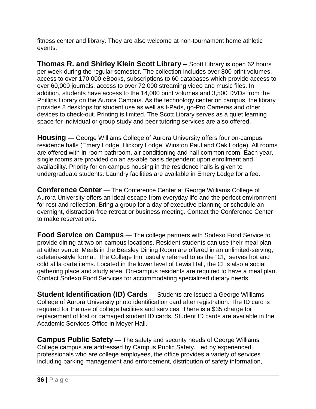fitness center and library. They are also welcome at non-tournament home athletic events.

**Thomas R. and Shirley Klein Scott Library** – Scott Library is open 62 hours per week during the regular semester. The collection includes over 800 print volumes, access to over 170,000 eBooks, subscriptions to 60 databases which provide access to over 60,000 journals, access to over 72,000 streaming video and music files. In addition, students have access to the 14,000 print volumes and 3,500 DVDs from the Phillips Library on the Aurora Campus. As the technology center on campus, the library provides 8 desktops for student use as well as I-Pads, go-Pro Cameras and other devices to check-out. Printing is limited. The Scott Library serves as a quiet learning space for individual or group study and peer tutoring services are also offered.

**Housing** — George Williams College of Aurora University offers four on-campus residence halls (Emery Lodge, Hickory Lodge, Winston Paul and Oak Lodge). All rooms are offered with in-room bathroom, air conditioning and hall common room. Each year, single rooms are provided on an as-able basis dependent upon enrollment and availability. Priority for on-campus housing in the residence halls is given to undergraduate students. Laundry facilities are available in Emery Lodge for a fee.

**Conference Center** — The Conference Center at George Williams College of Aurora University offers an ideal escape from everyday life and the perfect environment for rest and reflection. Bring a group for a day of executive planning or schedule an overnight, distraction-free retreat or business meeting. Contact the Conference Center to make reservations.

**Food Service on Campus** — The college partners with Sodexo Food Service to provide dining at two on-campus locations. Resident students can use their meal plan at either venue. Meals in the Beasley Dining Room are offered in an unlimited-serving, cafeteria-style format. The College Inn, usually referred to as the "CI," serves hot and cold al la carte items. Located in the lower level of Lewis Hall, the CI is also a social gathering place and study area. On-campus residents are required to have a meal plan. Contact Sodexo Food Services for accommodating specialized dietary needs.

**Student Identification (ID) Cards** — Students are issued a George Williams College of Aurora University photo identification card after registration. The ID card is required for the use of college facilities and services. There is a \$35 charge for replacement of lost or damaged student ID cards. Student ID cards are available in the Academic Services Office in Meyer Hall.

**Campus Public Safety** — The safety and security needs of George Williams College campus are addressed by Campus Public Safety. Led by experienced professionals who are college employees, the office provides a variety of services including parking management and enforcement, distribution of safety information,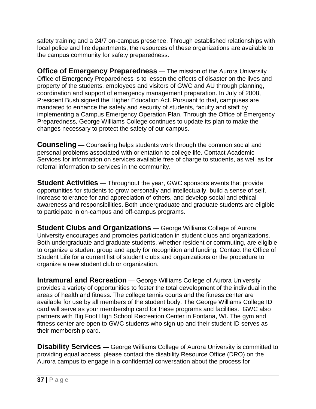safety training and a 24/7 on-campus presence. Through established relationships with local police and fire departments, the resources of these organizations are available to the campus community for safety preparedness.

**Office of Emergency Preparedness** — The mission of the Aurora University Office of Emergency Preparedness is to lessen the effects of disaster on the lives and property of the students, employees and visitors of GWC and AU through planning, coordination and support of emergency management preparation. In July of 2008, President Bush signed the Higher Education Act. Pursuant to that, campuses are mandated to enhance the safety and security of students, faculty and staff by implementing a Campus Emergency Operation Plan. Through the Office of Emergency Preparedness, George Williams College continues to update its plan to make the changes necessary to protect the safety of our campus.

**Counseling** — Counseling helps students work through the common social and personal problems associated with orientation to college life. Contact Academic Services for information on services available free of charge to students, as well as for referral information to services in the community.

**Student Activities** — Throughout the year, GWC sponsors events that provide opportunities for students to grow personally and intellectually, build a sense of self, increase tolerance for and appreciation of others, and develop social and ethical awareness and responsibilities. Both undergraduate and graduate students are eligible to participate in on-campus and off-campus programs.

**Student Clubs and Organizations** — George Williams College of Aurora University encourages and promotes participation in student clubs and organizations. Both undergraduate and graduate students, whether resident or commuting, are eligible to organize a student group and apply for recognition and funding. Contact the Office of Student Life for a current list of student clubs and organizations or the procedure to organize a new student club or organization.

**Intramural and Recreation** — George Williams College of Aurora University provides a variety of opportunities to foster the total development of the individual in the areas of health and fitness. The college tennis courts and the fitness center are available for use by all members of the student body. The George Williams College ID card will serve as your membership card for these programs and facilities. GWC also partners with Big Foot High School Recreation Center in Fontana, WI. The gym and fitness center are open to GWC students who sign up and their student ID serves as their membership card.

**Disability Services** — George Williams College of Aurora University is committed to providing equal access, please contact the disability Resource Office (DRO) on the Aurora campus to engage in a confidential conversation about the process for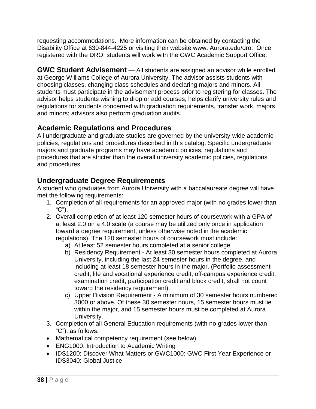requesting accommodations. More information can be obtained by contacting the Disability Office at 630-844-4225 or visiting their website www. Aurora.edu/dro. Once registered with the DRO, students will work with the GWC Academic Support Office.

**GWC Student Advisement** — All students are assigned an advisor while enrolled at George Williams College of Aurora University. The advisor assists students with choosing classes, changing class schedules and declaring majors and minors. All students must participate in the advisement process prior to registering for classes. The advisor helps students wishing to drop or add courses, helps clarify university rules and regulations for students concerned with graduation requirements, transfer work, majors and minors; advisors also perform graduation audits.

## **Academic Regulations and Procedures**

All undergraduate and graduate studies are governed by the university-wide academic policies, regulations and procedures described in this catalog. Specific undergraduate majors and graduate programs may have academic policies, regulations and procedures that are stricter than the overall university academic policies, regulations and procedures.

# **Undergraduate Degree Requirements**

A student who graduates from Aurora University with a baccalaureate degree will have met the following requirements:

- 1. Completion of all requirements for an approved major (with no grades lower than "C").
- 2. Overall completion of at least 120 semester hours of coursework with a GPA of at least 2.0 on a 4.0 scale (a course may be utilized only once in application toward a degree requirement, unless otherwise noted in the academic regulations). The 120 semester hours of coursework must include:
	- a) At least 52 semester hours completed at a senior college.
	- b) Residency Requirement At least 30 semester hours completed at Aurora University, including the last 24 semester hours in the degree, and including at least 18 semester hours in the major. (Portfolio assessment credit, life and vocational experience credit, off-campus experience credit, examination credit, participation credit and block credit, shall not count toward the residency requirement).
	- c) Upper Division Requirement A minimum of 30 semester hours numbered 3000 or above. Of these 30 semester hours, 15 semester hours must lie within the major, and 15 semester hours must be completed at Aurora University.
- 3. Completion of all General Education requirements (with no grades lower than "C"), as follows:
- Mathematical competency requirement (see below)
- ENG1000: Introduction to Academic Writing
- IDS1200: Discover What Matters or GWC1000: GWC First Year Experience or IDS3040: Global Justice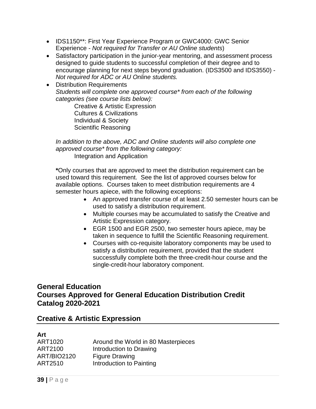- IDS1150\*\*: First Year Experience Program or GWC4000: GWC Senior Experience - *Not required for Transfer or AU Online students*)
- Satisfactory participation in the junior-year mentoring, and assessment process designed to guide students to successful completion of their degree and to encourage planning for next steps beyond graduation. (IDS3500 and IDS3550) - *Not required for ADC or AU Online students.*
- Distribution Requirements *Students will complete one approved course\* from each of the following categories (see course lists below):*

Creative & Artistic Expression Cultures & Civilizations Individual & Society Scientific Reasoning

*In addition to the above, ADC and Online students will also complete one approved course\* from the following category:* Integration and Application

**\***Only courses that are approved to meet the distribution requirement can be used toward this requirement. See the list of approved courses below for available options. Courses taken to meet distribution requirements are 4 semester hours apiece, with the following exceptions:

- An approved transfer course of at least 2.50 semester hours can be used to satisfy a distribution requirement.
- Multiple courses may be accumulated to satisfy the Creative and Artistic Expression category.
- EGR 1500 and EGR 2500, two semester hours apiece, may be taken in sequence to fulfill the Scientific Reasoning requirement.
- Courses with co-requisite laboratory components may be used to satisfy a distribution requirement, provided that the student successfully complete both the three-credit-hour course and the single-credit-hour laboratory component.

## **General Education Courses Approved for General Education Distribution Credit Catalog 2020-2021**

## **Creative & Artistic Expression**

#### **Art**

| Around the World in 80 Masterpieces |
|-------------------------------------|
| Introduction to Drawing             |
| <b>Figure Drawing</b>               |
| Introduction to Painting            |
|                                     |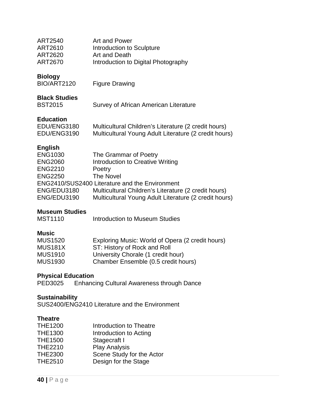| <b>ART2540</b><br>ART2610<br><b>ART2620</b><br><b>ART2670</b>                                                        | Art and Power<br>Introduction to Sculpture<br>Art and Death<br>Introduction to Digital Photography                                                                                                                                                         |
|----------------------------------------------------------------------------------------------------------------------|------------------------------------------------------------------------------------------------------------------------------------------------------------------------------------------------------------------------------------------------------------|
| <b>Biology</b><br><b>BIO/ART2120</b>                                                                                 | <b>Figure Drawing</b>                                                                                                                                                                                                                                      |
| <b>Black Studies</b><br><b>BST2015</b>                                                                               | Survey of African American Literature                                                                                                                                                                                                                      |
| <b>Education</b><br>EDU/ENG3180<br>EDU/ENG3190                                                                       | Multicultural Children's Literature (2 credit hours)<br>Multicultural Young Adult Literature (2 credit hours)                                                                                                                                              |
| <b>English</b><br><b>ENG1030</b><br><b>ENG2060</b><br><b>ENG2210</b><br><b>ENG2250</b><br>ENG/EDU3180<br>ENG/EDU3190 | The Grammar of Poetry<br>Introduction to Creative Writing<br>Poetry<br><b>The Novel</b><br>ENG2410/SUS2400 Literature and the Environment<br>Multicultural Children's Literature (2 credit hours)<br>Multicultural Young Adult Literature (2 credit hours) |
| Museum Studies                                                                                                       |                                                                                                                                                                                                                                                            |

# **Museum Studies**

#### **Music**

| <b>MUS1520</b> | Exploring Music: World of Opera (2 credit hours) |
|----------------|--------------------------------------------------|
| MUS181X        | ST: History of Rock and Roll                     |
| <b>MUS1910</b> | University Chorale (1 credit hour)               |
| <b>MUS1930</b> | Chamber Ensemble (0.5 credit hours)              |

## **Physical Education**

| PED3025 | <b>Enhancing Cultural Awareness through Dance</b> |  |
|---------|---------------------------------------------------|--|
|         |                                                   |  |

## **Sustainability**

SUS2400/ENG2410 Literature and the Environment

#### **Theatre**

| <b>THE1200</b> | Introduction to Theatre   |
|----------------|---------------------------|
| <b>THE1300</b> | Introduction to Acting    |
| <b>THE1500</b> | Stagecraft I              |
| <b>THE2210</b> | <b>Play Analysis</b>      |
| <b>THE2300</b> | Scene Study for the Actor |
| <b>THE2510</b> | Design for the Stage      |
|                |                           |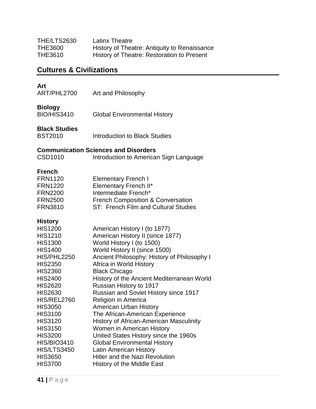| THE/LTS2630    | <b>Latinx Theatre</b>                        |
|----------------|----------------------------------------------|
| <b>THE3600</b> | History of Theatre: Antiquity to Renaissance |
| <b>THE3610</b> | History of Theatre: Restoration to Present   |

# **Cultures & Civilizations**

## **Art**

| ART/PHL2700 | Art and Philosophy |  |
|-------------|--------------------|--|
|             |                    |  |

#### **Biology**

| <b>BIO/HIS3410</b> | <b>Global Environmental History</b> |
|--------------------|-------------------------------------|
|                    |                                     |

#### **Black Studies**

## **Communication Sciences and Disorders**

| CSD1010 | Introduction to American Sign Language |  |  |  |
|---------|----------------------------------------|--|--|--|
|---------|----------------------------------------|--|--|--|

#### **French**

| <b>FRN1120</b> | <b>Elementary French I</b>                   |
|----------------|----------------------------------------------|
| <b>FRN1220</b> | Elementary French II*                        |
| <b>FRN2200</b> | Intermediate French*                         |
| <b>FRN2500</b> | <b>French Composition &amp; Conversation</b> |
| <b>FRN3810</b> | ST: French Film and Cultural Studies         |

## **History**

| <b>HIS1200</b>     | American History I (to 1877)                   |
|--------------------|------------------------------------------------|
| <b>HIS1210</b>     | American History II (since 1877)               |
| <b>HIS1300</b>     | World History I (to 1500)                      |
| <b>HIS1400</b>     | World History II (since 1500)                  |
| HIS/PHL2250        | Ancient Philosophy: History of Philosophy I    |
| <b>HIS2350</b>     | Africa in World History                        |
| <b>HIS2360</b>     | <b>Black Chicago</b>                           |
| <b>HIS2400</b>     | History of the Ancient Mediterranean World     |
| <b>HIS2620</b>     | Russian History to 1917                        |
| <b>HIS2630</b>     | <b>Russian and Soviet History since 1917</b>   |
| HIS/REL2760        | Religion in America                            |
| <b>HIS3050</b>     | <b>American Urban History</b>                  |
| <b>HIS3100</b>     | The African-American Experience                |
| <b>HIS3120</b>     | <b>History of African-American Masculinity</b> |
| <b>HIS3150</b>     | Women in American History                      |
| <b>HIS3200</b>     | United States History since the 1960s          |
| <b>HIS/BIO3410</b> | <b>Global Environmental History</b>            |
| <b>HIS/LTS3450</b> | <b>Latin American History</b>                  |
| <b>HIS3650</b>     | <b>Hitler and the Nazi Revolution</b>          |
| <b>HIS3700</b>     | History of the Middle East                     |
|                    |                                                |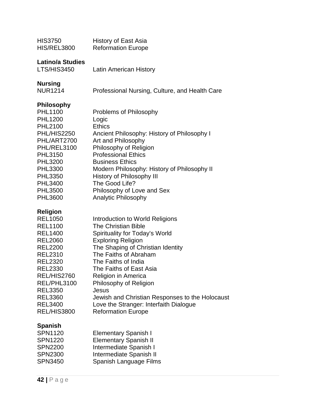| <b>HIS3750</b><br>HIS/REL3800                                                                                                                                                                                                                                             | <b>History of East Asia</b><br><b>Reformation Europe</b>                                                                                                                                                                                                                                                                                                                                                                         |
|---------------------------------------------------------------------------------------------------------------------------------------------------------------------------------------------------------------------------------------------------------------------------|----------------------------------------------------------------------------------------------------------------------------------------------------------------------------------------------------------------------------------------------------------------------------------------------------------------------------------------------------------------------------------------------------------------------------------|
| <b>Latino/a Studies</b><br>LTS/HIS3450                                                                                                                                                                                                                                    | <b>Latin American History</b>                                                                                                                                                                                                                                                                                                                                                                                                    |
| <b>Nursing</b><br><b>NUR1214</b>                                                                                                                                                                                                                                          | Professional Nursing, Culture, and Health Care                                                                                                                                                                                                                                                                                                                                                                                   |
| <b>Philosophy</b><br><b>PHL1100</b><br><b>PHL1200</b><br><b>PHL2100</b><br>PHL/HIS2250<br>PHL/ART2700<br>PHL/REL3100<br><b>PHL3150</b><br><b>PHL3200</b><br><b>PHL3300</b><br><b>PHL3350</b><br><b>PHL3400</b><br><b>PHL3500</b><br><b>PHL3600</b>                        | Problems of Philosophy<br>Logic<br><b>Ethics</b><br>Ancient Philosophy: History of Philosophy I<br>Art and Philosophy<br>Philosophy of Religion<br><b>Professional Ethics</b><br><b>Business Ethics</b><br>Modern Philosophy: History of Philosophy II<br>History of Philosophy III<br>The Good Life?<br>Philosophy of Love and Sex<br><b>Analytic Philosophy</b>                                                                |
| <b>Religion</b><br><b>REL1050</b><br><b>REL1100</b><br><b>REL1400</b><br><b>REL2060</b><br><b>REL2200</b><br><b>REL2310</b><br><b>REL2320</b><br><b>REL2330</b><br>REL/HIS2760<br>REL/PHL3100<br><b>REL3350</b><br><b>REL3360</b><br><b>REL3400</b><br><b>REL/HIS3800</b> | Introduction to World Religions<br><b>The Christian Bible</b><br>Spirituality for Today's World<br><b>Exploring Religion</b><br>The Shaping of Christian Identity<br>The Faiths of Abraham<br>The Faiths of India<br>The Faiths of East Asia<br>Religion in America<br>Philosophy of Religion<br>Jesus<br>Jewish and Christian Responses to the Holocaust<br>Love the Stranger: Interfaith Dialogue<br><b>Reformation Europe</b> |
| <b>Spanish</b><br><b>SPN1120</b><br><b>SPN1220</b><br><b>SPN2200</b><br><b>SPN2300</b><br><b>SPN3450</b>                                                                                                                                                                  | <b>Elementary Spanish I</b><br><b>Elementary Spanish II</b><br>Intermediate Spanish I<br>Intermediate Spanish II<br>Spanish Language Films                                                                                                                                                                                                                                                                                       |
|                                                                                                                                                                                                                                                                           |                                                                                                                                                                                                                                                                                                                                                                                                                                  |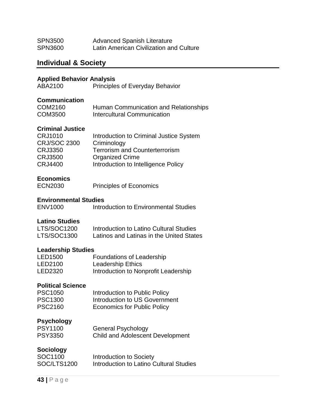| <b>SPN3500</b> | <b>Advanced Spanish Literature</b>      |
|----------------|-----------------------------------------|
| <b>SPN3600</b> | Latin American Civilization and Culture |

# **Individual & Society**

#### **Applied Behavior Analysis**

| ABA2100 | <b>Principles of Everyday Behavior</b> |
|---------|----------------------------------------|
|---------|----------------------------------------|

#### **Communication**

| COM2160 | Human Communication and Relationships |
|---------|---------------------------------------|
| COM3500 | Intercultural Communication           |

#### **Criminal Justice**

| CRJ1010             | Introduction to Criminal Justice System |
|---------------------|-----------------------------------------|
| <b>CRJ/SOC 2300</b> | Criminology                             |
| CRJ3350             | <b>Terrorism and Counterterrorism</b>   |
| <b>CRJ3500</b>      | <b>Organized Crime</b>                  |
| CRJ4400             | Introduction to Intelligence Policy     |
|                     |                                         |

#### **Economics**

#### **Environmental Studies**

#### **Latino Studies**

| LTS/SOC1200 | Introduction to Latino Cultural Studies  |
|-------------|------------------------------------------|
| LTS/SOC1300 | Latinos and Latinas in the United States |

#### **Leadership Studies**

| <b>LED1500</b> | Foundations of Leadership            |
|----------------|--------------------------------------|
| LED2100        | <b>Leadership Ethics</b>             |
| LED2320        | Introduction to Nonprofit Leadership |

#### **Political Science**

| <b>PSC1050</b> | Introduction to Public Policy      |
|----------------|------------------------------------|
| <b>PSC1300</b> | Introduction to US Government      |
| <b>PSC2160</b> | <b>Economics for Public Policy</b> |

#### **Psychology**

| <b>PSY1100</b> | <b>General Psychology</b>               |
|----------------|-----------------------------------------|
| <b>PSY3350</b> | <b>Child and Adolescent Development</b> |

#### **Sociology**

| SOC1100     | Introduction to Society                 |
|-------------|-----------------------------------------|
| SOC/LTS1200 | Introduction to Latino Cultural Studies |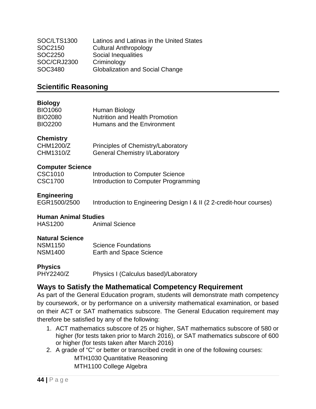| SOC/LTS1300        | Latinos and Latinas in the United States |
|--------------------|------------------------------------------|
| SOC2150            | <b>Cultural Anthropology</b>             |
| SOC2250            | Social Inequalities                      |
| <b>SOC/CRJ2300</b> | Criminology                              |
| SOC3480            | <b>Globalization and Social Change</b>   |

#### **Scientific Reasoning**

#### **Biology**

| <b>BIO1060</b> | Human Biology                         |
|----------------|---------------------------------------|
| <b>BIO2080</b> | <b>Nutrition and Health Promotion</b> |
| <b>BIO2200</b> | Humans and the Environment            |

#### **Chemistry**

| CHM1200/Z | Principles of Chemistry/Laboratory    |
|-----------|---------------------------------------|
| CHM1310/Z | <b>General Chemistry I/Laboratory</b> |

#### **Computer Science**

| CSC1010 | Introduction to Computer Science     |
|---------|--------------------------------------|
| CSC1700 | Introduction to Computer Programming |

#### **Engineering**

EGR1500/2500 Introduction to Engineering Design I & II (2 2-credit-hour courses)

#### **Human Animal Studies**

HAS1200 Animal Science

#### **Natural Science**

| <b>NSM1150</b> | <b>Science Foundations</b>     |
|----------------|--------------------------------|
| <b>NSM1400</b> | <b>Earth and Space Science</b> |

```
Physics
      Physics I (Calculus based)/Laboratory
```
## **Ways to Satisfy the Mathematical Competency Requirement**

As part of the General Education program, students will demonstrate math competency by coursework, or by performance on a university mathematical examination, or based on their ACT or SAT mathematics subscore. The General Education requirement may therefore be satisfied by any of the following:

- 1. ACT mathematics subscore of 25 or higher, SAT mathematics subscore of 580 or higher (for tests taken prior to March 2016), or SAT mathematics subscore of 600 or higher (for tests taken after March 2016)
- 2. A grade of "C" or better or transcribed credit in one of the following courses: MTH1030 Quantitative Reasoning MTH1100 College Algebra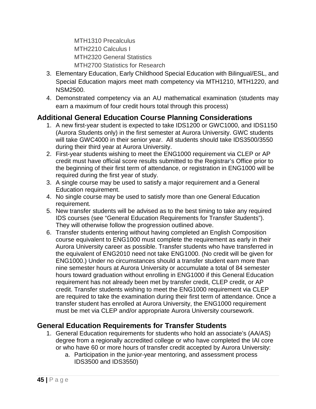MTH1310 Precalculus MTH2210 Calculus I MTH2320 General Statistics MTH2700 Statistics for Research

- 3. Elementary Education, Early Childhood Special Education with Bilingual/ESL, and Special Education majors meet math competency via MTH1210, MTH1220, and NSM2500.
- 4. Demonstrated competency via an AU mathematical examination (students may earn a maximum of four credit hours total through this process)

## **Additional General Education Course Planning Considerations**

- 1. A new first-year student is expected to take IDS1200 or GWC1000, and IDS1150 (Aurora Students only) in the first semester at Aurora University. GWC students will take GWC4000 in their senior year. All students should take IDS3500/3550 during their third year at Aurora University.
- 2. First-year students wishing to meet the ENG1000 requirement via CLEP or AP credit must have official score results submitted to the Registrar's Office prior to the beginning of their first term of attendance, or registration in ENG1000 will be required during the first year of study.
- 3. A single course may be used to satisfy a major requirement and a General Education requirement.
- 4. No single course may be used to satisfy more than one General Education requirement.
- 5. New transfer students will be advised as to the best timing to take any required IDS courses (see "General Education Requirements for Transfer Students"). They will otherwise follow the progression outlined above.
- 6. Transfer students entering without having completed an English Composition course equivalent to ENG1000 must complete the requirement as early in their Aurora University career as possible. Transfer students who have transferred in the equivalent of ENG2010 need not take ENG1000. (No credit will be given for ENG1000.) Under no circumstances should a transfer student earn more than nine semester hours at Aurora University or accumulate a total of 84 semester hours toward graduation without enrolling in ENG1000 if this General Education requirement has not already been met by transfer credit, CLEP credit, or AP credit. Transfer students wishing to meet the ENG1000 requirement via CLEP are required to take the examination during their first term of attendance. Once a transfer student has enrolled at Aurora University, the ENG1000 requirement must be met via CLEP and/or appropriate Aurora University coursework.

## **General Education Requirements for Transfer Students**

- 1. General Education requirements for students who hold an associate's (AA/AS) degree from a regionally accredited college or who have completed the IAI core or who have 60 or more hours of transfer credit accepted by Aurora University:
	- a. Participation in the junior-year mentoring, and assessment process IDS3500 and IDS3550)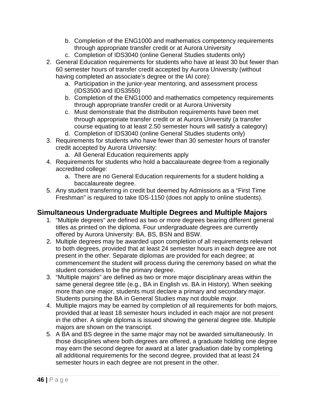- b. Completion of the ENG1000 and mathematics competency requirements through appropriate transfer credit or at Aurora University
- c. Completion of IDS3040 (online General Studies students only)
- 2. General Education requirements for students who have at least 30 but fewer than 60 semester hours of transfer credit accepted by Aurora University (without having completed an associate's degree or the IAI core):
	- a. Participation in the junior-year mentoring, and assessment process (IDS3500 and IDS3550)
	- b. Completion of the ENG1000 and mathematics competency requirements through appropriate transfer credit or at Aurora University
	- c. Must demonstrate that the distribution requirements have been met through appropriate transfer credit or at Aurora University (a transfer course equating to at least 2.50 semester hours will satisfy a category)
	- d. Completion of IDS3040 (online General Studies students only)
- 3. Requirements for students who have fewer than 30 semester hours of transfer credit accepted by Aurora University:
	- a. All General Education requirements apply
- 4. Requirements for students who hold a baccalaureate degree from a regionally accredited college:
	- a. There are no General Education requirements for a student holding a baccalaureate degree.
- 5. Any student transferring in credit but deemed by Admissions as a "First Time Freshman" is required to take IDS-1150 (does not apply to online students).

## **Simultaneous Undergraduate Multiple Degrees and Multiple Majors**

- 1. "Multiple degrees" are defined as two or more degrees bearing different general titles as printed on the diploma. Four undergraduate degrees are currently offered by Aurora University: BA, BS, BSN and BSW.
- 2. Multiple degrees may be awarded upon completion of all requirements relevant to both degrees, provided that at least 24 semester hours in each degree are not present in the other. Separate diplomas are provided for each degree; at commencement the student will process during the ceremony based on what the student considers to be the primary degree.
- 3. "Multiple majors" are defined as two or more major disciplinary areas within the same general degree title (e.g., BA in English vs. BA in History). When seeking more than one major, students must declare a primary and secondary major. Students pursing the BA in General Studies may not double major.
- 4. Multiple majors may be earned by completion of all requirements for both majors, provided that at least 18 semester hours included in each major are not present in the other. A single diploma is issued showing the general degree title. Multiple majors are shown on the transcript.
- 5. A BA and BS degree in the same major may not be awarded simultaneously. In those disciplines where both degrees are offered, a graduate holding one degree may earn the second degree for award at a later graduation date by completing all additional requirements for the second degree, provided that at least 24 semester hours in each degree are not present in the other.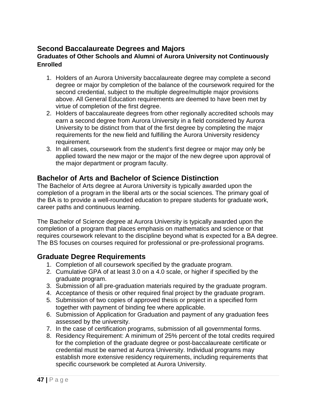## **Second Baccalaureate Degrees and Majors**

#### **Graduates of Other Schools and Alumni of Aurora University not Continuously Enrolled**

- 1. Holders of an Aurora University baccalaureate degree may complete a second degree or major by completion of the balance of the coursework required for the second credential, subject to the multiple degree/multiple major provisions above. All General Education requirements are deemed to have been met by virtue of completion of the first degree.
- 2. Holders of baccalaureate degrees from other regionally accredited schools may earn a second degree from Aurora University in a field considered by Aurora University to be distinct from that of the first degree by completing the major requirements for the new field and fulfilling the Aurora University residency requirement.
- 3. In all cases, coursework from the student's first degree or major may only be applied toward the new major or the major of the new degree upon approval of the major department or program faculty.

## **Bachelor of Arts and Bachelor of Science Distinction**

The Bachelor of Arts degree at Aurora University is typically awarded upon the completion of a program in the liberal arts or the social sciences. The primary goal of the BA is to provide a well-rounded education to prepare students for graduate work, career paths and continuous learning.

The Bachelor of Science degree at Aurora University is typically awarded upon the completion of a program that places emphasis on mathematics and science or that requires coursework relevant to the discipline beyond what is expected for a BA degree. The BS focuses on courses required for professional or pre-professional programs.

#### **Graduate Degree Requirements**

- 1. Completion of all coursework specified by the graduate program.
- 2. Cumulative GPA of at least 3.0 on a 4.0 scale, or higher if specified by the graduate program.
- 3. Submission of all pre-graduation materials required by the graduate program.
- 4. Acceptance of thesis or other required final project by the graduate program.
- 5. Submission of two copies of approved thesis or project in a specified form together with payment of binding fee where applicable.
- 6. Submission of Application for Graduation and payment of any graduation fees assessed by the university.
- 7. In the case of certification programs, submission of all governmental forms.
- 8. Residency Requirement: A minimum of 25% percent of the total credits required for the completion of the graduate degree or post-baccalaureate certificate or credential must be earned at Aurora University. Individual programs may establish more extensive residency requirements, including requirements that specific coursework be completed at Aurora University.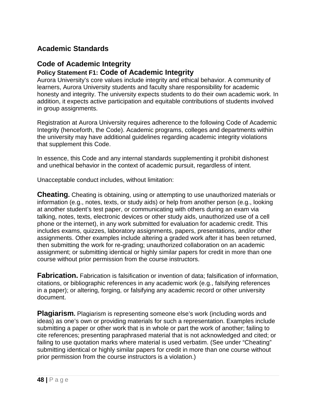## **Academic Standards**

#### **Code of Academic Integrity Policy Statement F1: Code of Academic Integrity**

Aurora University's core values include integrity and ethical behavior. A community of learners, Aurora University students and faculty share responsibility for academic honesty and integrity. The university expects students to do their own academic work. In addition, it expects active participation and equitable contributions of students involved in group assignments.

Registration at Aurora University requires adherence to the following Code of Academic Integrity (henceforth, the Code). Academic programs, colleges and departments within the university may have additional guidelines regarding academic integrity violations that supplement this Code.

In essence, this Code and any internal standards supplementing it prohibit dishonest and unethical behavior in the context of academic pursuit, regardless of intent.

Unacceptable conduct includes, without limitation:

**Cheating.** Cheating is obtaining, using or attempting to use unauthorized materials or information (e.g., notes, texts, or study aids) or help from another person (e.g., looking at another student's test paper, or communicating with others during an exam via talking, notes, texts, electronic devices or other study aids, unauthorized use of a cell phone or the internet), in any work submitted for evaluation for academic credit. This includes exams, quizzes, laboratory assignments, papers, presentations, and/or other assignments. Other examples include altering a graded work after it has been returned, then submitting the work for re-grading; unauthorized collaboration on an academic assignment; or submitting identical or highly similar papers for credit in more than one course without prior permission from the course instructors.

**Fabrication.** Fabrication is falsification or invention of data; falsification of information, citations, or bibliographic references in any academic work (e.g., falsifying references in a paper); or altering, forging, or falsifying any academic record or other university document.

**Plagiarism.** Plagiarism is representing someone else's work (including words and ideas) as one's own or providing materials for such a representation. Examples include submitting a paper or other work that is in whole or part the work of another; failing to cite references; presenting paraphrased material that is not acknowledged and cited; or failing to use quotation marks where material is used verbatim. (See under "Cheating" submitting identical or highly similar papers for credit in more than one course without prior permission from the course instructors is a violation.)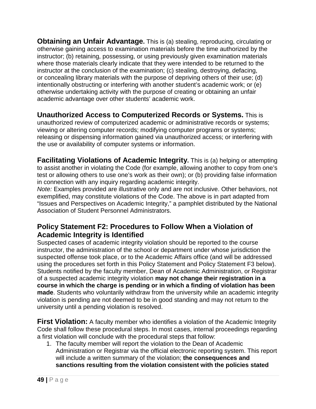**Obtaining an Unfair Advantage.** This is (a) stealing, reproducing, circulating or otherwise gaining access to examination materials before the time authorized by the instructor; (b) retaining, possessing, or using previously given examination materials where those materials clearly indicate that they were intended to be returned to the instructor at the conclusion of the examination; (c) stealing, destroying, defacing, or concealing library materials with the purpose of depriving others of their use; (d) intentionally obstructing or interfering with another student's academic work; or (e) otherwise undertaking activity with the purpose of creating or obtaining an unfair academic advantage over other students' academic work.

**Unauthorized Access to Computerized Records or Systems.** This is unauthorized review of computerized academic or administrative records or systems; viewing or altering computer records; modifying computer programs or systems; releasing or dispensing information gained via unauthorized access; or interfering with the use or availability of computer systems or information.

**Facilitating Violations of Academic Integrity.** This is (a) helping or attempting to assist another in violating the Code (for example, allowing another to copy from one's test or allowing others to use one's work as their own); or (b) providing false information in connection with any inquiry regarding academic integrity.

*Note:* Examples provided are illustrative only and are not inclusive. Other behaviors, not exemplified, may constitute violations of the Code. The above is in part adapted from "Issues and Perspectives on Academic Integrity," a pamphlet distributed by the National Association of Student Personnel Administrators.

## **Policy Statement F2: Procedures to Follow When a Violation of Academic Integrity is Identified**

Suspected cases of academic integrity violation should be reported to the course instructor, the administration of the school or department under whose jurisdiction the suspected offense took place, or to the Academic Affairs office (and will be addressed using the procedures set forth in this Policy Statement and Policy Statement F3 below). Students notified by the faculty member, Dean of Academic Administration, or Registrar of a suspected academic integrity violation **may not change their registration in a course in which the charge is pending or in which a finding of violation has been made**. Students who voluntarily withdraw from the university while an academic integrity violation is pending are not deemed to be in good standing and may not return to the university until a pending violation is resolved.

**First Violation:** A faculty member who identifies a violation of the Academic Integrity Code shall follow these procedural steps. In most cases, internal proceedings regarding a first violation will conclude with the procedural steps that follow:

1. The faculty member will report the violation to the Dean of Academic Administration or Registrar via the official electronic reporting system. This report will include a written summary of the violation; **the consequences and sanctions resulting from the violation consistent with the policies stated**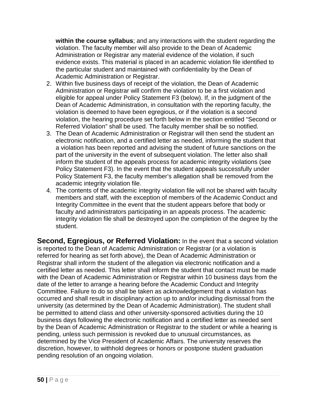**within the course syllabus**; and any interactions with the student regarding the violation. The faculty member will also provide to the Dean of Academic Administration or Registrar any material evidence of the violation, if such evidence exists. This material is placed in an academic violation file identified to the particular student and maintained with confidentiality by the Dean of Academic Administration or Registrar.

- 2. Within five business days of receipt of the violation, the Dean of Academic Administration or Registrar will confirm the violation to be a first violation and eligible for appeal under Policy Statement F3 (below). If, in the judgment of the Dean of Academic Administration, in consultation with the reporting faculty, the violation is deemed to have been egregious, or if the violation is a second violation, the hearing procedure set forth below in the section entitled "Second or Referred Violation" shall be used. The faculty member shall be so notified.
- 3. The Dean of Academic Administration or Registrar will then send the student an electronic notification, and a certified letter as needed, informing the student that a violation has been reported and advising the student of future sanctions on the part of the university in the event of subsequent violation. The letter also shall inform the student of the appeals process for academic integrity violations (see Policy Statement F3). In the event that the student appeals successfully under Policy Statement F3, the faculty member's allegation shall be removed from the academic integrity violation file.
- 4. The contents of the academic integrity violation file will not be shared with faculty members and staff, with the exception of members of the Academic Conduct and Integrity Committee in the event that the student appears before that body or faculty and administrators participating in an appeals process. The academic integrity violation file shall be destroyed upon the completion of the degree by the student.

**Second, Egregious, or Referred Violation:** In the event that a second violation is reported to the Dean of Academic Administration or Registrar (or a violation is referred for hearing as set forth above), the Dean of Academic Administration or Registrar shall inform the student of the allegation via electronic notification and a certified letter as needed. This letter shall inform the student that contact must be made with the Dean of Academic Administration or Registrar within 10 business days from the date of the letter to arrange a hearing before the Academic Conduct and Integrity Committee. Failure to do so shall be taken as acknowledgement that a violation has occurred and shall result in disciplinary action up to and/or including dismissal from the university (as determined by the Dean of Academic Administration). The student shall be permitted to attend class and other university-sponsored activities during the 10 business days following the electronic notification and a certified letter as needed sent by the Dean of Academic Administration or Registrar to the student or while a hearing is pending, unless such permission is revoked due to unusual circumstances, as determined by the Vice President of Academic Affairs. The university reserves the discretion, however, to withhold degrees or honors or postpone student graduation pending resolution of an ongoing violation.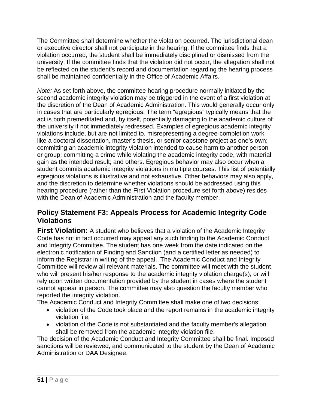The Committee shall determine whether the violation occurred. The jurisdictional dean or executive director shall not participate in the hearing. If the committee finds that a violation occurred, the student shall be immediately disciplined or dismissed from the university. If the committee finds that the violation did not occur, the allegation shall not be reflected on the student's record and documentation regarding the hearing process shall be maintained confidentially in the Office of Academic Affairs.

*Note:* As set forth above, the committee hearing procedure normally initiated by the second academic integrity violation may be triggered in the event of a first violation at the discretion of the Dean of Academic Administration. This would generally occur only in cases that are particularly egregious. The term "egregious" typically means that the act is both premeditated and, by itself, potentially damaging to the academic culture of the university if not immediately redressed. Examples of egregious academic integrity violations include, but are not limited to, misrepresenting a degree-completion work like a doctoral dissertation, master's thesis, or senior capstone project as one's own; committing an academic integrity violation intended to cause harm to another person or group; committing a crime while violating the academic integrity code, with material gain as the intended result; and others. Egregious behavior may also occur when a student commits academic integrity violations in multiple courses. This list of potentially egregious violations is illustrative and not exhaustive. Other behaviors may also apply, and the discretion to determine whether violations should be addressed using this hearing procedure (rather than the First Violation procedure set forth above) resides with the Dean of Academic Administration and the faculty member.

## **Policy Statement F3: Appeals Process for Academic Integrity Code Violations**

**First Violation:** A student who believes that a violation of the Academic Integrity Code has not in fact occurred may appeal any such finding to the Academic Conduct and Integrity Committee. The student has one week from the date indicated on the electronic notification of Finding and Sanction (and a certified letter as needed) to inform the Registrar in writing of the appeal. The Academic Conduct and Integrity Committee will review all relevant materials. The committee will meet with the student who will present his/her response to the academic integrity violation charge(s), or will rely upon written documentation provided by the student in cases where the student cannot appear in person. The committee may also question the faculty member who reported the integrity violation.

The Academic Conduct and Integrity Committee shall make one of two decisions:

- violation of the Code took place and the report remains in the academic integrity violation file;
- violation of the Code is not substantiated and the faculty member's allegation shall be removed from the academic integrity violation file.

The decision of the Academic Conduct and Integrity Committee shall be final. Imposed sanctions will be reviewed, and communicated to the student by the Dean of Academic Administration or DAA Designee.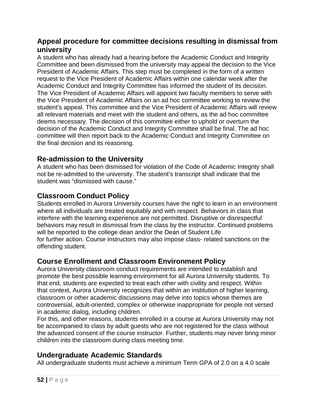## **Appeal procedure for committee decisions resulting in dismissal from university**

A student who has already had a hearing before the Academic Conduct and Integrity Committee and been dismissed from the university may appeal the decision to the Vice President of Academic Affairs. This step must be completed in the form of a written request to the Vice President of Academic Affairs within one calendar week after the Academic Conduct and Integrity Committee has informed the student of its decision. The Vice President of Academic Affairs will appoint two faculty members to serve with the Vice President of Academic Affairs on an ad hoc committee working to review the student's appeal. This committee and the Vice President of Academic Affairs will review all relevant materials and meet with the student and others, as the ad hoc committee deems necessary. The decision of this committee either to uphold or overturn the decision of the Academic Conduct and Integrity Committee shall be final. The ad hoc committee will then report back to the Academic Conduct and Integrity Committee on the final decision and its reasoning.

## **Re-admission to the University**

A student who has been dismissed for violation of the Code of Academic Integrity shall not be re-admitted to the university. The student's transcript shall indicate that the student was "dismissed with cause."

## **Classroom Conduct Policy**

Students enrolled in Aurora University courses have the right to learn in an environment where all individuals are treated equitably and with respect. Behaviors in class that interfere with the learning experience are not permitted. Disruptive or disrespectful behaviors may result in dismissal from the class by the instructor. Continued problems will be reported to the college dean and/or the Dean of Student Life for further action. Course instructors may also impose class- related sanctions on the offending student.

## **Course Enrollment and Classroom Environment Policy**

Aurora University classroom conduct requirements are intended to establish and promote the best possible learning environment for all Aurora University students. To that end, students are expected to treat each other with civility and respect. Within that context, Aurora University recognizes that within an institution of higher learning, classroom or other academic discussions may delve into topics whose themes are controversial, adult-oriented, complex or otherwise inappropriate for people not versed in academic dialog, including children.

For this, and other reasons, students enrolled in a course at Aurora University may not be accompanied to class by adult guests who are not registered for the class without the advanced consent of the course instructor. Further, students may never bring minor children into the classroom during class meeting time.

## **Undergraduate Academic Standards**

All undergraduate students must achieve a minimum Term GPA of 2.0 on a 4.0 scale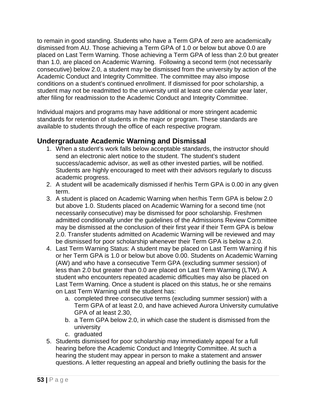to remain in good standing. Students who have a Term GPA of zero are academically dismissed from AU. Those achieving a Term GPA of 1.0 or below but above 0.0 are placed on Last Term Warning. Those achieving a Term GPA of less than 2.0 but greater than 1.0, are placed on Academic Warning. Following a second term (not necessarily consecutive) below 2.0, a student may be dismissed from the university by action of the Academic Conduct and Integrity Committee. The committee may also impose conditions on a student's continued enrollment. If dismissed for poor scholarship, a student may not be readmitted to the university until at least one calendar year later, after filing for readmission to the Academic Conduct and Integrity Committee.

Individual majors and programs may have additional or more stringent academic standards for retention of students in the major or program. These standards are available to students through the office of each respective program.

## **Undergraduate Academic Warning and Dismissal**

- 1. When a student's work falls below acceptable standards, the instructor should send an electronic alert notice to the student. The student's student success/academic advisor, as well as other invested parties, will be notified. Students are highly encouraged to meet with their advisors regularly to discuss academic progress.
- 2. A student will be academically dismissed if her/his Term GPA is 0.00 in any given term.
- 3. A student is placed on Academic Warning when her/his Term GPA is below 2.0 but above 1.0. Students placed on Academic Warning for a second time (not necessarily consecutive) may be dismissed for poor scholarship. Freshmen admitted conditionally under the guidelines of the Admissions Review Committee may be dismissed at the conclusion of their first year if their Term GPA is below 2.0. Transfer students admitted on Academic Warning will be reviewed and may be dismissed for poor scholarship whenever their Term GPA is below a 2.0.
- 4. Last Term Warning Status: A student may be placed on Last Term Warning if his or her Term GPA is 1.0 or below but above 0.00. Students on Academic Warning (AW) and who have a consecutive Term GPA (excluding summer session) of less than 2.0 but greater than 0.0 are placed on Last Term Warning (LTW). A student who encounters repeated academic difficulties may also be placed on Last Term Warning. Once a student is placed on this status, he or she remains on Last Term Warning until the student has:
	- a. completed three consecutive terms (excluding summer session) with a Term GPA of at least 2.0, and have achieved Aurora University cumulative GPA of at least 2.30,
	- b. a Term GPA below 2.0, in which case the student is dismissed from the university
	- c. graduated
- 5. Students dismissed for poor scholarship may immediately appeal for a full hearing before the Academic Conduct and Integrity Committee. At such a hearing the student may appear in person to make a statement and answer questions. A letter requesting an appeal and briefly outlining the basis for the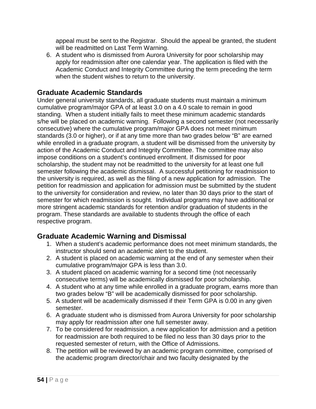appeal must be sent to the Registrar. Should the appeal be granted, the student will be readmitted on Last Term Warning.

6. A student who is dismissed from Aurora University for poor scholarship may apply for readmission after one calendar year. The application is filed with the Academic Conduct and Integrity Committee during the term preceding the term when the student wishes to return to the university.

## **Graduate Academic Standards**

Under general university standards, all graduate students must maintain a minimum cumulative program/major GPA of at least 3.0 on a 4.0 scale to remain in good standing. When a student initially fails to meet these minimum academic standards s/he will be placed on academic warning. Following a second semester (not necessarily consecutive) where the cumulative program/major GPA does not meet minimum standards (3.0 or higher), or if at any time more than two grades below "B" are earned while enrolled in a graduate program, a student will be dismissed from the university by action of the Academic Conduct and Integrity Committee. The committee may also impose conditions on a student's continued enrollment. If dismissed for poor scholarship, the student may not be readmitted to the university for at least one full semester following the academic dismissal. A successful petitioning for readmission to the university is required, as well as the filing of a new application for admission. The petition for readmission and application for admission must be submitted by the student to the university for consideration and review, no later than 30 days prior to the start of semester for which readmission is sought. Individual programs may have additional or more stringent academic standards for retention and/or graduation of students in the program. These standards are available to students through the office of each respective program.

## **Graduate Academic Warning and Dismissal**

- 1. When a student's academic performance does not meet minimum standards, the instructor should send an academic alert to the student.
- 2. A student is placed on academic warning at the end of any semester when their cumulative program/major GPA is less than 3.0.
- 3. A student placed on academic warning for a second time (not necessarily consecutive terms) will be academically dismissed for poor scholarship.
- 4. A student who at any time while enrolled in a graduate program, earns more than two grades below "B" will be academically dismissed for poor scholarship.
- 5. A student will be academically dismissed if their Term GPA is 0.00 in any given semester.
- 6. A graduate student who is dismissed from Aurora University for poor scholarship may apply for readmission after one full semester away.
- 7. To be considered for readmission, a new application for admission and a petition for readmission are both required to be filed no less than 30 days prior to the requested semester of return, with the Office of Admissions.
- 8. The petition will be reviewed by an academic program committee, comprised of the academic program director/chair and two faculty designated by the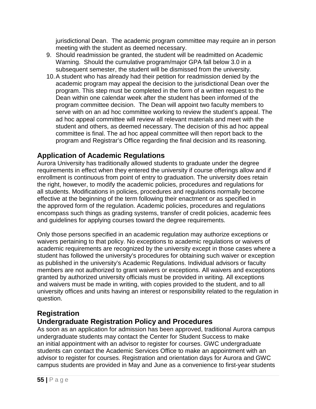jurisdictional Dean. The academic program committee may require an in person meeting with the student as deemed necessary.

- 9. Should readmission be granted, the student will be readmitted on Academic Warning. Should the cumulative program/major GPA fall below 3.0 in a subsequent semester, the student will be dismissed from the university.
- 10.A student who has already had their petition for readmission denied by the academic program may appeal the decision to the jurisdictional Dean over the program. This step must be completed in the form of a written request to the Dean within one calendar week after the student has been informed of the program committee decision. The Dean will appoint two faculty members to serve with on an ad hoc committee working to review the student's appeal. The ad hoc appeal committee will review all relevant materials and meet with the student and others, as deemed necessary. The decision of this ad hoc appeal committee is final. The ad hoc appeal committee will then report back to the program and Registrar's Office regarding the final decision and its reasoning.

## **Application of Academic Regulations**

Aurora University has traditionally allowed students to graduate under the degree requirements in effect when they entered the university if course offerings allow and if enrollment is continuous from point of entry to graduation. The university does retain the right, however, to modify the academic policies, procedures and regulations for all students. Modifications in policies, procedures and regulations normally become effective at the beginning of the term following their enactment or as specified in the approved form of the regulation. Academic policies, procedures and regulations encompass such things as grading systems, transfer of credit policies, academic fees and guidelines for applying courses toward the degree requirements.

Only those persons specified in an academic regulation may authorize exceptions or waivers pertaining to that policy. No exceptions to academic regulations or waivers of academic requirements are recognized by the university except in those cases where a student has followed the university's procedures for obtaining such waiver or exception as published in the university's Academic Regulations. Individual advisors or faculty members are not authorized to grant waivers or exceptions. All waivers and exceptions granted by authorized university officials must be provided in writing. All exceptions and waivers must be made in writing, with copies provided to the student, and to all university offices and units having an interest or responsibility related to the regulation in question.

## **Registration**

## **Undergraduate Registration Policy and Procedures**

As soon as an application for admission has been approved, traditional Aurora campus undergraduate students may contact the Center for Student Success to make an initial appointment with an advisor to register for courses. GWC undergraduate students can contact the Academic Services Office to make an appointment with an advisor to register for courses. Registration and orientation days for Aurora and GWC campus students are provided in May and June as a convenience to first-year students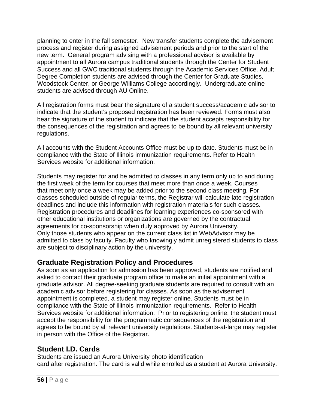planning to enter in the fall semester. New transfer students complete the advisement process and register during assigned advisement periods and prior to the start of the new term. General program advising with a professional advisor is available by appointment to all Aurora campus traditional students through the Center for Student Success and all GWC traditional students through the Academic Services Office. Adult Degree Completion students are advised through the Center for Graduate Studies, Woodstock Center, or George Williams College accordingly. Undergraduate online students are advised through AU Online.

All registration forms must bear the signature of a student success/academic advisor to indicate that the student's proposed registration has been reviewed. Forms must also bear the signature of the student to indicate that the student accepts responsibility for the consequences of the registration and agrees to be bound by all relevant university regulations.

All accounts with the Student Accounts Office must be up to date. Students must be in compliance with the State of Illinois immunization requirements. Refer to Health Services website for additional information.

Students may register for and be admitted to classes in any term only up to and during the first week of the term for courses that meet more than once a week. Courses that meet only once a week may be added prior to the second class meeting. For classes scheduled outside of regular terms, the Registrar will calculate late registration deadlines and include this information with registration materials for such classes. Registration procedures and deadlines for learning experiences co-sponsored with other educational institutions or organizations are governed by the contractual agreements for co-sponsorship when duly approved by Aurora University. Only those students who appear on the current class list in WebAdvisor may be admitted to class by faculty. Faculty who knowingly admit unregistered students to class are subject to disciplinary action by the university.

## **Graduate Registration Policy and Procedures**

As soon as an application for admission has been approved, students are notified and asked to contact their graduate program office to make an initial appointment with a graduate advisor. All degree-seeking graduate students are required to consult with an academic advisor before registering for classes. As soon as the advisement appointment is completed, a student may register online. Students must be in compliance with the State of Illinois immunization requirements. Refer to Health Services website for additional information. Prior to registering online, the student must accept the responsibility for the programmatic consequences of the registration and agrees to be bound by all relevant university regulations. Students-at-large may register in person with the Office of the Registrar.

## **Student I.D. Cards**

Students are issued an Aurora University photo identification card after registration. The card is valid while enrolled as a student at Aurora University.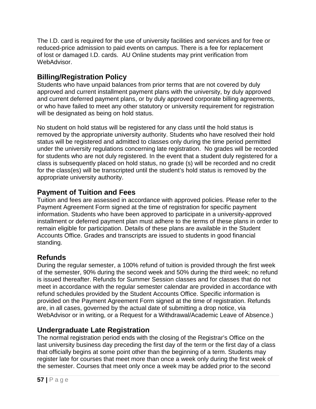The I.D. card is required for the use of university facilities and services and for free or reduced-price admission to paid events on campus. There is a fee for replacement of lost or damaged I.D. cards. AU Online students may print verification from WebAdvisor.

## **Billing/Registration Policy**

Students who have unpaid balances from prior terms that are not covered by duly approved and current installment payment plans with the university, by duly approved and current deferred payment plans, or by duly approved corporate billing agreements, or who have failed to meet any other statutory or university requirement for registration will be designated as being on hold status.

No student on hold status will be registered for any class until the hold status is removed by the appropriate university authority. Students who have resolved their hold status will be registered and admitted to classes only during the time period permitted under the university regulations concerning late registration. No grades will be recorded for students who are not duly registered. In the event that a student duly registered for a class is subsequently placed on hold status, no grade (s) will be recorded and no credit for the class(es) will be transcripted until the student's hold status is removed by the appropriate university authority.

# **Payment of Tuition and Fees**

Tuition and fees are assessed in accordance with approved policies. Please refer to the Payment Agreement Form signed at the time of registration for specific payment information. Students who have been approved to participate in a university-approved installment or deferred payment plan must adhere to the terms of these plans in order to remain eligible for participation. Details of these plans are available in the Student Accounts Office. Grades and transcripts are issued to students in good financial standing.

# **Refunds**

During the regular semester, a 100% refund of tuition is provided through the first week of the semester, 90% during the second week and 50% during the third week; no refund is issued thereafter. Refunds for Summer Session classes and for classes that do not meet in accordance with the regular semester calendar are provided in accordance with refund schedules provided by the Student Accounts Office. Specific information is provided on the Payment Agreement Form signed at the time of registration. Refunds are, in all cases, governed by the actual date of submitting a drop notice, via WebAdvisor or in writing, or a Request for a Withdrawal/Academic Leave of Absence.)

## **Undergraduate Late Registration**

The normal registration period ends with the closing of the Registrar's Office on the last university business day preceding the first day of the term or the first day of a class that officially begins at some point other than the beginning of a term. Students may register late for courses that meet more than once a week only during the first week of the semester. Courses that meet only once a week may be added prior to the second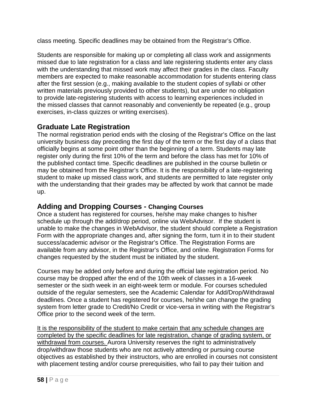class meeting. Specific deadlines may be obtained from the Registrar's Office.

Students are responsible for making up or completing all class work and assignments missed due to late registration for a class and late registering students enter any class with the understanding that missed work may affect their grades in the class. Faculty members are expected to make reasonable accommodation for students entering class after the first session (e.g., making available to the student copies of syllabi or other written materials previously provided to other students), but are under no obligation to provide late-registering students with access to learning experiences included in the missed classes that cannot reasonably and conveniently be repeated (e.g., group exercises, in-class quizzes or writing exercises).

## **Graduate Late Registration**

The normal registration period ends with the closing of the Registrar's Office on the last university business day preceding the first day of the term or the first day of a class that officially begins at some point other than the beginning of a term. Students may late register only during the first 10% of the term and before the class has met for 10% of the published contact time. Specific deadlines are published in the course bulletin or may be obtained from the Registrar's Office. It is the responsibility of a late-registering student to make up missed class work, and students are permitted to late register only with the understanding that their grades may be affected by work that cannot be made up.

#### **Adding and Dropping Courses - Changing Courses**

Once a student has registered for courses, he/she may make changes to his/her schedule up through the add/drop period, online via WebAdvisor. If the student is unable to make the changes in WebAdvisor, the student should complete a Registration Form with the appropriate changes and, after signing the form, turn it in to their student success/academic advisor or the Registrar's Office. The Registration Forms are available from any advisor, in the Registrar's Office, and online. Registration Forms for changes requested by the student must be initiated by the student.

Courses may be added only before and during the official late registration period. No course may be dropped after the end of the 10th week of classes in a 16-week semester or the sixth week in an eight-week term or module. For courses scheduled outside of the regular semesters, see the Academic Calendar for Add/Drop/Withdrawal deadlines. Once a student has registered for courses, he/she can change the grading system from letter grade to Credit/No Credit or vice-versa in writing with the Registrar's Office prior to the second week of the term.

It is the responsibility of the student to make certain that any schedule changes are completed by the specific deadlines for late registration, change of grading system, or withdrawal from courses. Aurora University reserves the right to administratively drop/withdraw those students who are not actively attending or pursuing course objectives as established by their instructors, who are enrolled in courses not consistent with placement testing and/or course prerequisities, who fail to pay their tuition and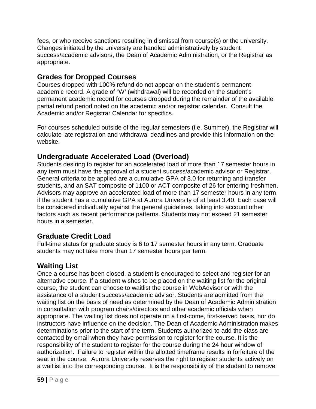fees, or who receive sanctions resulting in dismissal from course(s) or the university. Changes initiated by the university are handled administratively by student success/academic advisors, the Dean of Academic Administration, or the Registrar as appropriate.

## **Grades for Dropped Courses**

Courses dropped with 100% refund do not appear on the student's permanent academic record. A grade of "W' (withdrawal) will be recorded on the student's permanent academic record for courses dropped during the remainder of the available partial refund period noted on the academic and/or registrar calendar. Consult the Academic and/or Registrar Calendar for specifics.

For courses scheduled outside of the regular semesters (i.e. Summer), the Registrar will calculate late registration and withdrawal deadlines and provide this information on the website.

## **Undergraduate Accelerated Load (Overload)**

Students desiring to register for an accelerated load of more than 17 semester hours in any term must have the approval of a student success/academic advisor or Registrar. General criteria to be applied are a cumulative GPA of 3.0 for returning and transfer students, and an SAT composite of 1100 or ACT composite of 26 for entering freshmen. Advisors may approve an accelerated load of more than 17 semester hours in any term if the student has a cumulative GPA at Aurora University of at least 3.40. Each case will be considered individually against the general guidelines, taking into account other factors such as recent performance patterns. Students may not exceed 21 semester hours in a semester.

## **Graduate Credit Load**

Full-time status for graduate study is 6 to 17 semester hours in any term. Graduate students may not take more than 17 semester hours per term.

## **Waiting List**

Once a course has been closed, a student is encouraged to select and register for an alternative course. If a student wishes to be placed on the waiting list for the original course, the student can choose to waitlist the course in WebAdvisor or with the assistance of a student success/academic advisor. Students are admitted from the waiting list on the basis of need as determined by the Dean of Academic Administration in consultation with program chairs/directors and other academic officials when appropriate. The waiting list does not operate on a first-come, first-served basis, nor do instructors have influence on the decision. The Dean of Academic Administration makes determinations prior to the start of the term. Students authorized to add the class are contacted by email when they have permission to register for the course. It is the responsibility of the student to register for the course during the 24 hour window of authorization. Failure to register within the allotted timeframe results in forfeiture of the seat in the course. Aurora University reserves the right to register students actively on a waitlist into the corresponding course. It is the responsibility of the student to remove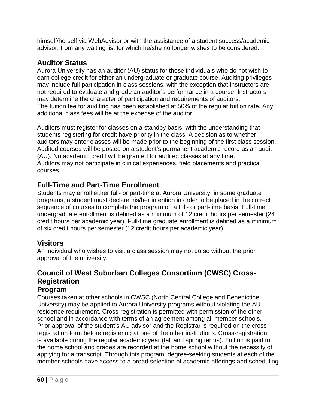himself/herself via WebAdvisor or with the assistance of a student success/academic advisor, from any waiting list for which he/she no longer wishes to be considered.

## **Auditor Status**

Aurora University has an auditor (AU) status for those individuals who do not wish to earn college credit for either an undergraduate or graduate course. Auditing privileges may include full participation in class sessions, with the exception that instructors are not required to evaluate and grade an auditor's performance in a course. Instructors may determine the character of participation and requirements of auditors. The tuition fee for auditing has been established at 50% of the regular tuition rate. Any additional class fees will be at the expense of the auditor.

Auditors must register for classes on a standby basis, with the understanding that students registering for credit have priority in the class. A decision as to whether auditors may enter classes will be made prior to the beginning of the first class session. Audited courses will be posted on a student's permanent academic record as an audit (AU). No academic credit will be granted for audited classes at any time. Auditors may not participate in clinical experiences, field placements and practica courses.

## **Full-Time and Part-Time Enrollment**

Students may enroll either full- or part-time at Aurora University; in some graduate programs, a student must declare his/her intention in order to be placed in the correct sequence of courses to complete the program on a full- or part-time basis. Full-time undergraduate enrollment is defined as a minimum of 12 credit hours per semester (24 credit hours per academic year). Full-time graduate enrollment is defined as a minimum of six credit hours per semester (12 credit hours per academic year).

# **Visitors**

An individual who wishes to visit a class session may not do so without the prior approval of the university.

#### **Council of West Suburban Colleges Consortium (CWSC) Cross-Registration Program**

#### Courses taken at other schools in CWSC (North Central College and Benedictine University) may be applied to Aurora University programs without violating the AU residence requirement. Cross-registration is permitted with permission of the other school and in accordance with terms of an agreement among all member schools. Prior approval of the student's AU advisor and the Registrar is required on the crossregistration form before registering at one of the other institutions. Cross-registration is available during the regular academic year (fall and spring terms). Tuition is paid to the home school and grades are recorded at the home school without the necessity of applying for a transcript. Through this program, degree-seeking students at each of the member schools have access to a broad selection of academic offerings and scheduling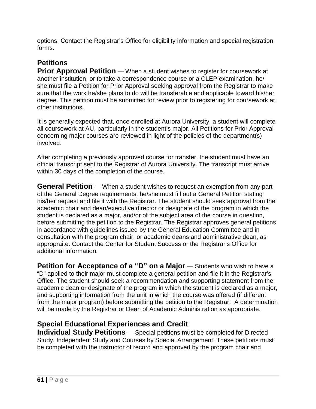options. Contact the Registrar's Office for eligibility information and special registration forms.

# **Petitions**

**Prior Approval Petition** — When a student wishes to register for coursework at another institution, or to take a correspondence course or a CLEP examination, he/ she must file a Petition for Prior Approval seeking approval from the Registrar to make sure that the work he/she plans to do will be transferable and applicable toward his/her degree. This petition must be submitted for review prior to registering for coursework at other institutions.

It is generally expected that, once enrolled at Aurora University, a student will complete all coursework at AU, particularly in the student's major. All Petitions for Prior Approval concerning major courses are reviewed in light of the policies of the department(s) involved.

After completing a previously approved course for transfer, the student must have an official transcript sent to the Registrar of Aurora University. The transcript must arrive within 30 days of the completion of the course.

**General Petition** — When a student wishes to request an exemption from any part of the General Degree requirements, he/she must fill out a General Petition stating his/her request and file it with the Registrar. The student should seek approval from the academic chair and dean/executive director or designate of the program in which the student is declared as a major, and/or of the subject area of the course in question, before submitting the petition to the Registrar. The Registrar approves general petitions in accordance with guidelines issued by the General Education Committee and in consultation with the program chair, or academic deans and administrative dean, as appropraite. Contact the Center for Student Success or the Registrar's Office for additional information.

**Petition for Acceptance of a "D" on a Major** — Students who wish to have a "D" applied to their major must complete a general petition and file it in the Registrar's Office. The student should seek a recommendation and supporting statement from the academic dean or designate of the program in which the student is declared as a major, and supporting information from the unit in which the course was offered (if different from the major program) before submitting the petition to the Registrar. A determination will be made by the Registrar or Dean of Academic Administration as appropriate.

## **Special Educational Experiences and Credit**

**Individual Study Petitions** — Special petitions must be completed for Directed Study, Independent Study and Courses by Special Arrangement. These petitions must be completed with the instructor of record and approved by the program chair and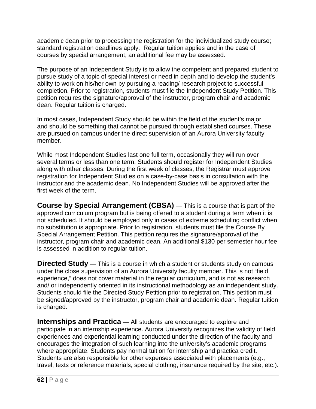academic dean prior to processing the registration for the individualized study course; standard registration deadlines apply. Regular tuition applies and in the case of courses by special arrangement, an additional fee may be assessed.

The purpose of an Independent Study is to allow the competent and prepared student to pursue study of a topic of special interest or need in depth and to develop the student's ability to work on his/her own by pursuing a reading/ research project to successful completion. Prior to registration, students must file the Independent Study Petition. This petition requires the signature/approval of the instructor, program chair and academic dean. Regular tuition is charged.

In most cases, Independent Study should be within the field of the student's major and should be something that cannot be pursued through established courses. These are pursued on campus under the direct supervision of an Aurora University faculty member.

While most Independent Studies last one full term, occasionally they will run over several terms or less than one term. Students should register for Independent Studies along with other classes. During the first week of classes, the Registrar must approve registration for Independent Studies on a case-by-case basis in consultation with the instructor and the academic dean. No Independent Studies will be approved after the first week of the term.

**Course by Special Arrangement (CBSA)** — This is a course that is part of the approved curriculum program but is being offered to a student during a term when it is not scheduled. It should be employed only in cases of extreme scheduling conflict when no substitution is appropriate. Prior to registration, students must file the Course By Special Arrangement Petition. This petition requires the signature/approval of the instructor, program chair and academic dean. An additional \$130 per semester hour fee is assessed in addition to regular tuition.

**Directed Study** — This is a course in which a student or students study on campus under the close supervision of an Aurora University faculty member. This is not "field experience," does not cover material in the regular curriculum, and is not as research and/ or independently oriented in its instructional methodology as an independent study. Students should file the Directed Study Petition prior to registration. This petition must be signed/approved by the instructor, program chair and academic dean. Regular tuition is charged.

**Internships and Practica** — All students are encouraged to explore and participate in an internship experience. Aurora University recognizes the validity of field experiences and experiential learning conducted under the direction of the faculty and encourages the integration of such learning into the university's academic programs where appropriate. Students pay normal tuition for internship and practica credit. Students are also responsible for other expenses associated with placements (e.g., travel, texts or reference materials, special clothing, insurance required by the site, etc.).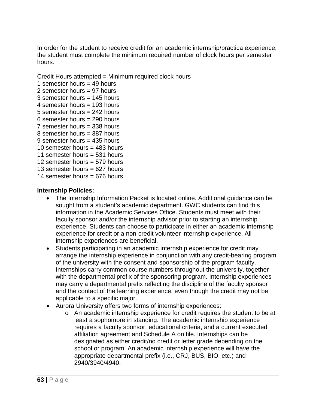In order for the student to receive credit for an academic internship/practica experience, the student must complete the minimum required number of clock hours per semester hours.

Credit Hours attempted = Minimum required clock hours

1 semester hours  $=$  49 hours 2 semester hours = 97 hours 3 semester hours  $= 145$  hours 4 semester hours = 193 hours 5 semester hours = 242 hours 6 semester hours = 290 hours 7 semester hours = 338 hours 8 semester hours = 387 hours 9 semester hours  $= 435$  hours 10 semester hours = 483 hours 11 semester hours = 531 hours 12 semester hours = 579 hours 13 semester hours  $= 627$  hours

14 semester hours  $= 676$  hours

#### **Internship Policies:**

- The Internship Information Packet is located online. Additional guidance can be sought from a student's academic department. GWC students can find this information in the Academic Services Office. Students must meet with their faculty sponsor and/or the internship advisor prior to starting an internship experience. Students can choose to participate in either an academic internship experience for credit or a non-credit volunteer internship experience. All internship experiences are beneficial.
- Students participating in an academic internship experience for credit may arrange the internship experience in conjunction with any credit-bearing program of the university with the consent and sponsorship of the program faculty. Internships carry common course numbers throughout the university, together with the departmental prefix of the sponsoring program. Internship experiences may carry a departmental prefix reflecting the discipline of the faculty sponsor and the contact of the learning experience, even though the credit may not be applicable to a specific major.
- Aurora University offers two forms of internship experiences:
	- o An academic internship experience for credit requires the student to be at least a sophomore in standing. The academic internship experience requires a faculty sponsor, educational criteria, and a current executed affiliation agreement and Schedule A on file. Internships can be designated as either credit/no credit or letter grade depending on the school or program. An academic internship experience will have the appropriate departmental prefix (i.e., CRJ, BUS, BIO, etc.) and 2940/3940/4940.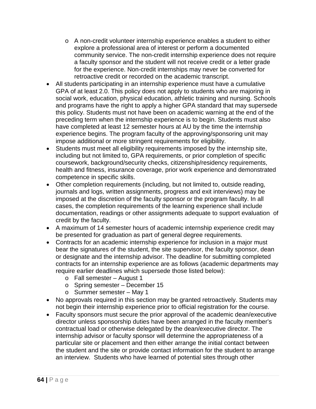- $\circ$  A non-credit volunteer internship experience enables a student to either explore a professional area of interest or perform a documented community service. The non-credit internship experience does not require a faculty sponsor and the student will not receive credit or a letter grade for the experience. Non-credit internships may never be converted for retroactive credit or recorded on the academic transcript.
- All students participating in an internship experience must have a cumulative GPA of at least 2.0. This policy does not apply to students who are majoring in social work, education, physical education, athletic training and nursing. Schools and programs have the right to apply a higher GPA standard that may supersede this policy. Students must not have been on academic warning at the end of the preceding term when the internship experience is to begin. Students must also have completed at least 12 semester hours at AU by the time the internship experience begins. The program faculty of the approving/sponsoring unit may impose additional or more stringent requirements for eligibility.
- Students must meet all eligibility requirements imposed by the internship site, including but not limited to, GPA requirements, or prior completion of specific coursework, background/security checks, citizenship/residency requirements, health and fitness, insurance coverage, prior work experience and demonstrated competence in specific skills.
- Other completion requirements (including, but not limited to, outside reading, journals and logs, written assignments, progress and exit interviews) may be imposed at the discretion of the faculty sponsor or the program faculty. In all cases, the completion requirements of the learning experience shall include documentation, readings or other assignments adequate to support evaluation of credit by the faculty.
- A maximum of 14 semester hours of academic internship experience credit may be presented for graduation as part of general degree requirements.
- Contracts for an academic internship experience for inclusion in a major must bear the signatures of the student, the site supervisor, the faculty sponsor, dean or designate and the internship advisor. The deadline for submitting completed contracts for an internship experience are as follows (academic departments may require earlier deadlines which supersede those listed below):
	- o Fall semester August 1
	- o Spring semester December 15
	- o Summer semester May 1
- No approvals required in this section may be granted retroactively. Students may not begin their internship experience prior to official registration for the course.
- Faculty sponsors must secure the prior approval of the academic dean/executive director unless sponsorship duties have been arranged in the faculty member's contractual load or otherwise delegated by the dean/executive director. The internship advisor or faculty sponsor will determine the appropriateness of a particular site or placement and then either arrange the initial contact between the student and the site or provide contact information for the student to arrange an interview. Students who have learned of potential sites through other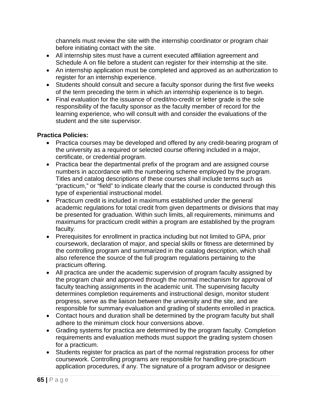channels must review the site with the internship coordinator or program chair before initiating contact with the site.

- All internship sites must have a current executed affiliation agreement and Schedule A on file before a student can register for their internship at the site.
- An internship application must be completed and approved as an authorization to register for an internship experience.
- Students should consult and secure a faculty sponsor during the first five weeks of the term preceding the term in which an internship experience is to begin.
- Final evaluation for the issuance of credit/no-credit or letter grade is the sole responsibility of the faculty sponsor as the faculty member of record for the learning experience, who will consult with and consider the evaluations of the student and the site supervisor.

#### **Practica Policies:**

- Practica courses may be developed and offered by any credit-bearing program of the university as a required or selected course offering included in a major, certificate, or credential program.
- Practica bear the departmental prefix of the program and are assigned course numbers in accordance with the numbering scheme employed by the program. Titles and catalog descriptions of these courses shall include terms such as "practicum," or "field" to indicate clearly that the course is conducted through this type of experiential instructional model.
- Practicum credit is included in maximums established under the general academic regulations for total credit from given departments or divisions that may be presented for graduation. Within such limits, all requirements, minimums and maximums for practicum credit within a program are established by the program faculty.
- Prerequisites for enrollment in practica including but not limited to GPA, prior coursework, declaration of major, and special skills or fitness are determined by the controlling program and summarized in the catalog description, which shall also reference the source of the full program regulations pertaining to the practicum offering.
- All practica are under the academic supervision of program faculty assigned by the program chair and approved through the normal mechanism for approval of faculty teaching assignments in the academic unit. The supervising faculty determines completion requirements and instructional design, monitor student progress, serve as the liaison between the university and the site, and are responsible for summary evaluation and grading of students enrolled in practica.
- Contact hours and duration shall be determined by the program faculty but shall adhere to the minimum clock hour conversions above.
- Grading systems for practica are determined by the program faculty. Completion requirements and evaluation methods must support the grading system chosen for a practicum.
- Students register for practica as part of the normal registration process for other coursework. Controlling programs are responsible for handling pre-practicum application procedures, if any. The signature of a program advisor or designee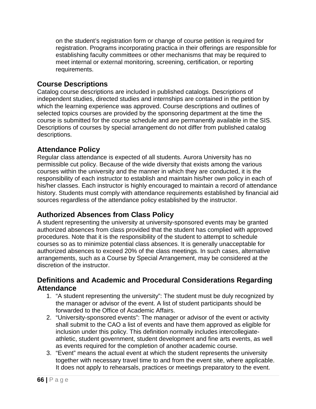on the student's registration form or change of course petition is required for registration. Programs incorporating practica in their offerings are responsible for establishing faculty committees or other mechanisms that may be required to meet internal or external monitoring, screening, certification, or reporting requirements.

## **Course Descriptions**

Catalog course descriptions are included in published catalogs. Descriptions of independent studies, directed studies and internships are contained in the petition by which the learning experience was approved. Course descriptions and outlines of selected topics courses are provided by the sponsoring department at the time the course is submitted for the course schedule and are permanently available in the SIS. Descriptions of courses by special arrangement do not differ from published catalog descriptions.

## **Attendance Policy**

Regular class attendance is expected of all students. Aurora University has no permissible cut policy. Because of the wide diversity that exists among the various courses within the university and the manner in which they are conducted, it is the responsibility of each instructor to establish and maintain his/her own policy in each of his/her classes. Each instructor is highly encouraged to maintain a record of attendance history. Students must comply with attendance requirements established by financial aid sources regardless of the attendance policy established by the instructor.

## **Authorized Absences from Class Policy**

A student representing the university at university-sponsored events may be granted authorized absences from class provided that the student has complied with approved procedures. Note that it is the responsibility of the student to attempt to schedule courses so as to minimize potential class absences. It is generally unacceptable for authorized absences to exceed 20% of the class meetings. In such cases, alternative arrangements, such as a Course by Special Arrangement, may be considered at the discretion of the instructor.

#### **Definitions and Academic and Procedural Considerations Regarding Attendance**

- 1. "A student representing the university": The student must be duly recognized by the manager or advisor of the event. A list of student participants should be forwarded to the Office of Academic Affairs.
- 2. "University-sponsored events": The manager or advisor of the event or activity shall submit to the CAO a list of events and have them approved as eligible for inclusion under this policy. This definition normally includes intercollegiateathletic, student government, student development and fine arts events, as well as events required for the completion of another academic course.
- 3. "Event" means the actual event at which the student represents the university together with necessary travel time to and from the event site, where applicable. It does not apply to rehearsals, practices or meetings preparatory to the event.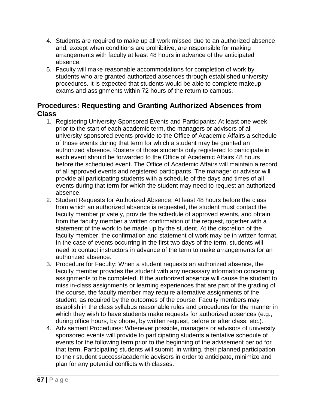- 4. Students are required to make up all work missed due to an authorized absence and, except when conditions are prohibitive, are responsible for making arrangements with faculty at least 48 hours in advance of the anticipated absence.
- 5. Faculty will make reasonable accommodations for completion of work by students who are granted authorized absences through established university procedures. It is expected that students would be able to complete makeup exams and assignments within 72 hours of the return to campus.

## **Procedures: Requesting and Granting Authorized Absences from Class**

- 1. Registering University-Sponsored Events and Participants: At least one week prior to the start of each academic term, the managers or advisors of all university-sponsored events provide to the Office of Academic Affairs a schedule of those events during that term for which a student may be granted an authorized absence. Rosters of those students duly registered to participate in each event should be forwarded to the Office of Academic Affairs 48 hours before the scheduled event. The Office of Academic Affairs will maintain a record of all approved events and registered participants. The manager or advisor will provide all participating students with a schedule of the days and times of all events during that term for which the student may need to request an authorized absence.
- 2. Student Requests for Authorized Absence: At least 48 hours before the class from which an authorized absence is requested, the student must contact the faculty member privately, provide the schedule of approved events, and obtain from the faculty member a written confirmation of the request, together with a statement of the work to be made up by the student. At the discretion of the faculty member, the confirmation and statement of work may be in written format. In the case of events occurring in the first two days of the term, students will need to contact instructors in advance of the term to make arrangements for an authorized absence.
- 3. Procedure for Faculty: When a student requests an authorized absence, the faculty member provides the student with any necessary information concerning assignments to be completed. If the authorized absence will cause the student to miss in-class assignments or learning experiences that are part of the grading of the course, the faculty member may require alternative assignments of the student, as required by the outcomes of the course. Faculty members may establish in the class syllabus reasonable rules and procedures for the manner in which they wish to have students make requests for authorized absences (e.g., during office hours, by phone, by written request, before or after class, etc.).
- 4. Advisement Procedures: Whenever possible, managers or advisors of university sponsored events will provide to participating students a tentative schedule of events for the following term prior to the beginning of the advisement period for that term. Participating students will submit, in writing, their planned participation to their student success/academic advisors in order to anticipate, minimize and plan for any potential conflicts with classes.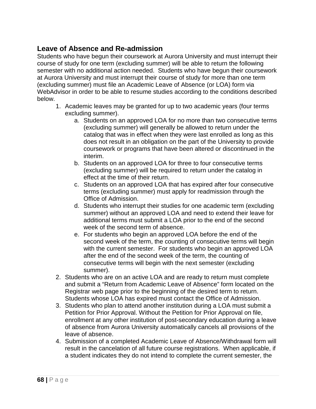## **Leave of Absence and Re-admission**

Students who have begun their coursework at Aurora University and must interrupt their course of study for one term (excluding summer) will be able to return the following semester with no additional action needed. Students who have begun their coursework at Aurora University and must interrupt their course of study for more than one term (excluding summer) must file an Academic Leave of Absence (or LOA) form via WebAdvisor in order to be able to resume studies according to the conditions described below.

- 1. Academic leaves may be granted for up to two academic years (four terms excluding summer).
	- a. Students on an approved LOA for no more than two consecutive terms (excluding summer) will generally be allowed to return under the catalog that was in effect when they were last enrolled as long as this does not result in an obligation on the part of the University to provide coursework or programs that have been altered or discontinued in the interim.
	- b. Students on an approved LOA for three to four consecutive terms (excluding summer) will be required to return under the catalog in effect at the time of their return.
	- c. Students on an approved LOA that has expired after four consecutive terms (excluding summer) must apply for readmission through the Office of Admission.
	- d. Students who interrupt their studies for one academic term (excluding summer) without an approved LOA and need to extend their leave for additional terms must submit a LOA prior to the end of the second week of the second term of absence.
	- e. For students who begin an approved LOA before the end of the second week of the term, the counting of consecutive terms will begin with the current semester. For students who begin an approved LOA after the end of the second week of the term, the counting of consecutive terms will begin with the next semester (excluding summer).
- 2. Students who are on an active LOA and are ready to return must complete and submit a "Return from Academic Leave of Absence" form located on the Registrar web page prior to the beginning of the desired term to return. Students whose LOA has expired must contact the Office of Admission.
- 3. Students who plan to attend another institution during a LOA must submit a Petition for Prior Approval. Without the Petition for Prior Approval on file, enrollment at any other institution of post-secondary education during a leave of absence from Aurora University automatically cancels all provisions of the leave of absence.
- 4. Submission of a completed Academic Leave of Absence/Withdrawal form will result in the cancelation of all future course registrations. When applicable, if a student indicates they do not intend to complete the current semester, the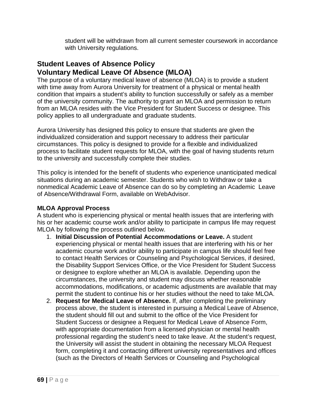student will be withdrawn from all current semester coursework in accordance with University regulations.

#### **Student Leaves of Absence Policy Voluntary Medical Leave Of Absence (MLOA)**

The purpose of a voluntary medical leave of absence (MLOA) is to provide a student with time away from Aurora University for treatment of a physical or mental health condition that impairs a student's ability to function successfully or safely as a member of the university community. The authority to grant an MLOA and permission to return from an MLOA resides with the Vice President for Student Success or designee. This policy applies to all undergraduate and graduate students.

Aurora University has designed this policy to ensure that students are given the individualized consideration and support necessary to address their particular circumstances. This policy is designed to provide for a flexible and individualized process to facilitate student requests for MLOA, with the goal of having students return to the university and successfully complete their studies.

This policy is intended for the benefit of students who experience unanticipated medical situations during an academic semester. Students who wish to Withdraw or take a nonmedical Academic Leave of Absence can do so by completing an Academic Leave of Absence/Withdrawal Form, available on WebAdvisor.

#### **MLOA Approval Process**

A student who is experiencing physical or mental health issues that are interfering with his or her academic course work and/or ability to participate in campus life may request MLOA by following the process outlined below.

- 1. **Initial Discussion of Potential Accommodations or Leave.** A student experiencing physical or mental health issues that are interfering with his or her academic course work and/or ability to participate in campus life should feel free to contact Health Services or Counseling and Psychological Services, if desired, the Disability Support Services Office, or the Vice President for Student Success or designee to explore whether an MLOA is available. Depending upon the circumstances, the university and student may discuss whether reasonable accommodations, modifications, or academic adjustments are available that may permit the student to continue his or her studies without the need to take MLOA.
- 2. **Request for Medical Leave of Absence.** If, after completing the preliminary process above, the student is interested in pursuing a Medical Leave of Absence, the student should fill out and submit to the office of the Vice President for Student Success or designee a Request for Medical Leave of Absence Form, with appropriate documentation from a licensed physician or mental health professional regarding the student's need to take leave. At the student's request, the University will assist the student in obtaining the necessary MLOA Request form, completing it and contacting different university representatives and offices (such as the Directors of Health Services or Counseling and Psychological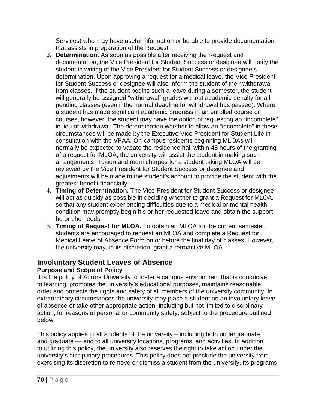Services) who may have useful information or be able to provide documentation that assists in preparation of the Request.

- 3. **Determination.** As soon as possible after receiving the Request and documentation, the Vice President for Student Success or designee will notify the student in writing of the Vice President for Student Success or designee's determination. Upon approving a request for a medical leave, the Vice President for Student Success or designee will also inform the student of their withdrawal from classes. If the student begins such a leave during a semester, the student will generally be assigned "withdrawal" grades without academic penalty for all pending classes (even if the normal deadline for withdrawal has passed). Where a student has made significant academic progress in an enrolled course or courses, however, the student may have the option of requesting an "incomplete" in lieu of withdrawal. The determination whether to allow an "incomplete" in these circumstances will be made by the Executive Vice President for Student Life in consultation with the VPAA. On-campus residents beginning MLOAs will normally be expected to vacate the residence hall within 48 hours of the granting of a request for MLOA; the university will assist the student in making such arrangements. Tuition and room charges for a student taking MLOA will be reviewed by the Vice President for Student Success or designee and adjustments will be made to the student's account to provide the student with the greatest benefit financially.
- 4. **Timing of Determination.** The Vice President for Student Success or designee will act as quickly as possible in deciding whether to grant a Request for MLOA, so that any student experiencing difficulties due to a medical or mental health condition may promptly begin his or her requested leave and obtain the support he or she needs.
- 5. **Timing of Request for MLOA.** To obtain an MLOA for the current semester, students are encouraged to request an MLOA and complete a Request for Medical Leave of Absence Form on or before the final day of classes. However, the university may, in its discretion, grant a retroactive MLOA.

# **Involuntary Student Leaves of Absence**

#### **Purpose and Scope of Policy**

It is the policy of Aurora University to foster a campus environment that is conducive to learning, promotes the university's educational purposes, maintains reasonable order and protects the rights and safety of all members of the university community. In extraordinary circumstances the university may place a student on an involuntary leave of absence or take other appropriate action, including but not limited to disciplinary action, for reasons of personal or community safety, subject to the procedure outlined below.

This policy applies to all students of the university – including both undergraduate and graduate — and to all university locations, programs, and activities. In addition to utilizing this policy, the university also reserves the right to take action under the university's disciplinary procedures. This policy does not preclude the university from exercising its discretion to remove or dismiss a student from the university, its programs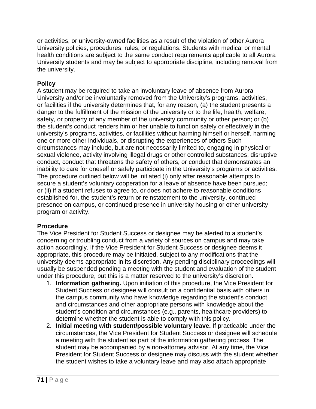or activities, or university-owned facilities as a result of the violation of other Aurora University policies, procedures, rules, or regulations. Students with medical or mental health conditions are subject to the same conduct requirements applicable to all Aurora University students and may be subject to appropriate discipline, including removal from the university.

#### **Policy**

A student may be required to take an involuntary leave of absence from Aurora University and/or be involuntarily removed from the University's programs, activities, or facilities if the university determines that, for any reason, (a) the student presents a danger to the fulfillment of the mission of the university or to the life, health, welfare, safety, or property of any member of the university community or other person; or (b) the student's conduct renders him or her unable to function safely or effectively in the university's programs, activities, or facilities without harming himself or herself, harming one or more other individuals, or disrupting the experiences of others Such circumstances may include, but are not necessarily limited to, engaging in physical or sexual violence, activity involving illegal drugs or other controlled substances, disruptive conduct, conduct that threatens the safety of others, or conduct that demonstrates an inability to care for oneself or safely participate in the University's programs or activities. The procedure outlined below will be initiated (i) only after reasonable attempts to secure a student's voluntary cooperation for a leave of absence have been pursued; or (ii) if a student refuses to agree to, or does not adhere to reasonable conditions established for, the student's return or reinstatement to the university, continued presence on campus, or continued presence in university housing or other university program or activity.

#### **Procedure**

The Vice President for Student Success or designee may be alerted to a student's concerning or troubling conduct from a variety of sources on campus and may take action accordingly. If the Vice President for Student Success or designee deems it appropriate, this procedure may be initiated, subject to any modifications that the university deems appropriate in its discretion. Any pending disciplinary proceedings will usually be suspended pending a meeting with the student and evaluation of the student under this procedure, but this is a matter reserved to the university's discretion.

- 1. **Information gathering.** Upon initiation of this procedure, the Vice President for Student Success or designee will consult on a confidential basis with others in the campus community who have knowledge regarding the student's conduct and circumstances and other appropriate persons with knowledge about the student's condition and circumstances (e.g., parents, healthcare providers) to determine whether the student is able to comply with this policy.
- 2. **Initial meeting with student/possible voluntary leave.** If practicable under the circumstances, the Vice President for Student Success or designee will schedule a meeting with the student as part of the information gathering process. The student may be accompanied by a non-attorney advisor. At any time, the Vice President for Student Success or designee may discuss with the student whether the student wishes to take a voluntary leave and may also attach appropriate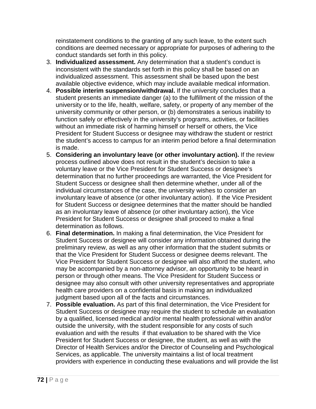reinstatement conditions to the granting of any such leave, to the extent such conditions are deemed necessary or appropriate for purposes of adhering to the conduct standards set forth in this policy.

- 3. **Individualized assessment.** Any determination that a student's conduct is inconsistent with the standards set forth in this policy shall be based on an individualized assessment. This assessment shall be based upon the best available objective evidence, which may include available medical information.
- 4. **Possible interim suspension/withdrawal.** If the university concludes that a student presents an immediate danger (a) to the fulfillment of the mission of the university or to the life, health, welfare, safety, or property of any member of the university community or other person, or (b) demonstrates a serious inability to function safely or effectively in the university's programs, activities, or facilities without an immediate risk of harming himself or herself or others, the Vice President for Student Success or designee may withdraw the student or restrict the student's access to campus for an interim period before a final determination is made.
- 5. **Considering an involuntary leave (or other involuntary action).** If the review process outlined above does not result in the student's decision to take a voluntary leave or the Vice President for Student Success or designee's determination that no further proceedings are warranted, the Vice President for Student Success or designee shall then determine whether, under all of the individual circumstances of the case, the university wishes to consider an involuntary leave of absence (or other involuntary action). If the Vice President for Student Success or designee determines that the matter should be handled as an involuntary leave of absence (or other involuntary action), the Vice President for Student Success or designee shall proceed to make a final determination as follows.
- 6. **Final determination.** In making a final determination, the Vice President for Student Success or designee will consider any information obtained during the preliminary review, as well as any other information that the student submits or that the Vice President for Student Success or designee deems relevant. The Vice President for Student Success or designee will also afford the student, who may be accompanied by a non-attorney advisor, an opportunity to be heard in person or through other means. The Vice President for Student Success or designee may also consult with other university representatives and appropriate health care providers on a confidential basis in making an individualized judgment based upon all of the facts and circumstances.
- 7. **Possible evaluation.** As part of this final determination, the Vice President for Student Success or designee may require the student to schedule an evaluation by a qualified, licensed medical and/or mental health professional within and/or outside the university, with the student responsible for any costs of such evaluation and with the results if that evaluation to be shared with the Vice President for Student Success or designee, the student, as well as with the Director of Health Services and/or the Director of Counseling and Psychological Services, as applicable. The university maintains a list of local treatment providers with experience in conducting these evaluations and will provide the list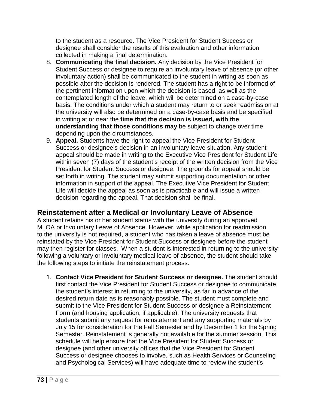to the student as a resource. The Vice President for Student Success or designee shall consider the results of this evaluation and other information collected in making a final determination.

- 8. **Communicating the final decision.** Any decision by the Vice President for Student Success or designee to require an involuntary leave of absence (or other involuntary action) shall be communicated to the student in writing as soon as possible after the decision is rendered. The student has a right to be informed of the pertinent information upon which the decision is based, as well as the contemplated length of the leave, which will be determined on a case-by-case basis. The conditions under which a student may return to or seek readmission at the university will also be determined on a case-by-case basis and be specified in writing at or near the **time that the decision is issued, with the understanding that those conditions may** be subject to change over time depending upon the circumstances.
- 9. **Appeal.** Students have the right to appeal the Vice President for Student Success or designee's decision in an involuntary leave situation. Any student appeal should be made in writing to the Executive Vice President for Student Life within seven (7) days of the student's receipt of the written decision from the Vice President for Student Success or designee. The grounds for appeal should be set forth in writing. The student may submit supporting documentation or other information in support of the appeal. The Executive Vice President for Student Life will decide the appeal as soon as is practicable and will issue a written decision regarding the appeal. That decision shall be final.

# **Reinstatement after a Medical or Involuntary Leave of Absence**

A student retains his or her student status with the university during an approved MLOA or Involuntary Leave of Absence. However, while application for readmission to the university is not required, a student who has taken a leave of absence must be reinstated by the Vice President for Student Success or designee before the student may then register for classes. When a student is interested in returning to the university following a voluntary or involuntary medical leave of absence, the student should take the following steps to initiate the reinstatement process.

1. **Contact Vice President for Student Success or designee.** The student should first contact the Vice President for Student Success or designee to communicate the student's interest in returning to the university, as far in advance of the desired return date as is reasonably possible. The student must complete and submit to the Vice President for Student Success or designee a Reinstatement Form (and housing application, if applicable). The university requests that students submit any request for reinstatement and any supporting materials by July 15 for consideration for the Fall Semester and by December 1 for the Spring Semester. Reinstatement is generally not available for the summer session. This schedule will help ensure that the Vice President for Student Success or designee (and other university offices that the Vice President for Student Success or designee chooses to involve, such as Health Services or Counseling and Psychological Services) will have adequate time to review the student's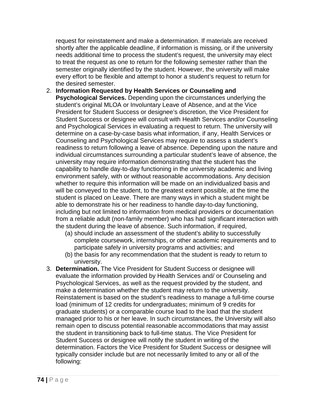request for reinstatement and make a determination. If materials are received shortly after the applicable deadline, if information is missing, or if the university needs additional time to process the student's request, the university may elect to treat the request as one to return for the following semester rather than the semester originally identified by the student. However, the university will make every effort to be flexible and attempt to honor a student's request to return for the desired semester.

- 2. **Information Requested by Health Services or Counseling and Psychological Services.** Depending upon the circumstances underlying the student's original MLOA or Involuntary Leave of Absence, and at the Vice President for Student Success or designee's discretion, the Vice President for Student Success or designee will consult with Health Services and/or Counseling and Psychological Services in evaluating a request to return. The university will determine on a case-by-case basis what information, if any, Health Services or Counseling and Psychological Services may require to assess a student's readiness to return following a leave of absence. Depending upon the nature and individual circumstances surrounding a particular student's leave of absence, the university may require information demonstrating that the student has the capability to handle day-to-day functioning in the university academic and living environment safely, with or without reasonable accommodations. Any decision whether to require this information will be made on an individualized basis and will be conveyed to the student, to the greatest extent possible, at the time the student is placed on Leave. There are many ways in which a student might be able to demonstrate his or her readiness to handle day-to-day functioning, including but not limited to information from medical providers or documentation from a reliable adult (non-family member) who has had significant interaction with the student during the leave of absence. Such information, if required,
	- (a) should include an assessment of the student's ability to successfully complete coursework, internships, or other academic requirements and to participate safely in university programs and activities; and
	- (b) the basis for any recommendation that the student is ready to return to university.
- 3. **Determination.** The Vice President for Student Success or designee will evaluate the information provided by Health Services and/ or Counseling and Psychological Services, as well as the request provided by the student, and make a determination whether the student may return to the university. Reinstatement is based on the student's readiness to manage a full-time course load (minimum of 12 credits for undergraduates; minimum of 9 credits for graduate students) or a comparable course load to the load that the student managed prior to his or her leave. In such circumstances, the University will also remain open to discuss potential reasonable accommodations that may assist the student in transitioning back to full-time status. The Vice President for Student Success or designee will notify the student in writing of the determination. Factors the Vice President for Student Success or designee will typically consider include but are not necessarily limited to any or all of the following: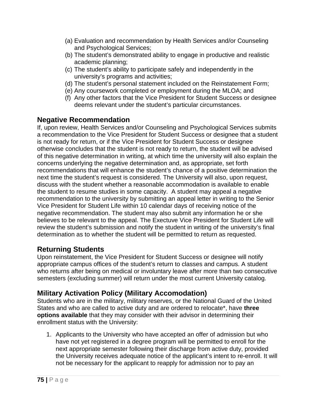- (a) Evaluation and recommendation by Health Services and/or Counseling and Psychological Services;
- (b) The student's demonstrated ability to engage in productive and realistic academic planning;
- (c) The student's ability to participate safely and independently in the university's programs and activities;
- (d) The student's personal statement included on the Reinstatement Form;
- (e) Any coursework completed or employment during the MLOA; and
- (f) Any other factors that the Vice President for Student Success or designee deems relevant under the student's particular circumstances.

# **Negative Recommendation**

If, upon review, Health Services and/or Counseling and Psychological Services submits a recommendation to the Vice President for Student Success or designee that a student is not ready for return, or if the Vice President for Student Success or designee otherwise concludes that the student is not ready to return, the student will be advised of this negative determination in writing, at which time the university will also explain the concerns underlying the negative determination and, as appropriate, set forth recommendations that will enhance the student's chance of a positive determination the next time the student's request is considered. The University will also, upon request, discuss with the student whether a reasonable accommodation is available to enable the student to resume studies in some capacity. A student may appeal a negative recommendation to the university by submitting an appeal letter in writing to the Senior Vice President for Student Life within 10 calendar days of receiving notice of the negative recommendation. The student may also submit any information he or she believes to be relevant to the appeal. The Exectuve Vice President for Student Life will review the student's submission and notify the student in writing of the university's final determination as to whether the student will be permitted to return as requested.

# **Returning Students**

Upon reinstatement, the Vice President for Student Success or designee will notify appropriate campus offices of the student's return to classes and campus. A student who returns after being on medical or involuntary leave after more than two consecutive semesters (excluding summer) will return under the most current University catalog.

# **Military Activation Policy (Military Accomodation)**

Students who are in the military, military reserves, or the National Guard of the United States and who are called to active duty and are ordered to relocate\*, have **three options available** that they may consider with their advisor in determining their enrollment status with the University:

1. Applicants to the University who have accepted an offer of admission but who have not yet registered in a degree program will be permitted to enroll for the next appropriate semester following their discharge from active duty, provided the University receives adequate notice of the applicant's intent to re-enroll. It will not be necessary for the applicant to reapply for admission nor to pay an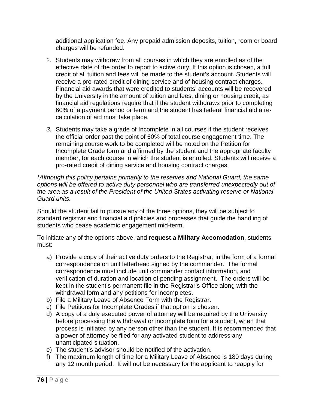additional application fee. Any prepaid admission deposits, tuition, room or board charges will be refunded.

- 2. Students may withdraw from all courses in which they are enrolled as of the effective date of the order to report to active duty. If this option is chosen, a full credit of all tuition and fees will be made to the student's account. Students will receive a pro-rated credit of dining service and of housing contract charges. Financial aid awards that were credited to students' accounts will be recovered by the University in the amount of tuition and fees, dining or housing credit, as financial aid regulations require that if the student withdraws prior to completing 60% of a payment period or term and the student has federal financial aid a recalculation of aid must take place.
- *3.* Students may take a grade of Incomplete in all courses if the student receives the official order past the point of 60% of total course engagement time. The remaining course work to be completed will be noted on the Petition for Incomplete Grade form and affirmed by the student and the appropriate faculty member, for each course in which the student is enrolled. Students will receive a pro-rated credit of dining service and housing contract charges.

*\*Although this policy pertains primarily to the reserves and National Guard, the same options will be offered to active duty personnel who are transferred unexpectedly out of the area as a result of the President of the United States activating reserve or National Guard units.*

Should the student fail to pursue any of the three options, they will be subject to standard registrar and financial aid policies and processes that guide the handling of students who cease academic engagement mid-term.

To initiate any of the options above, and **request a Military Accomodation**, students must:

- a) Provide a copy of their active duty orders to the Registrar, in the form of a formal correspondence on unit letterhead signed by the commander. The formal correspondence must include unit commander contact information, and verification of duration and location of pending assignment. The orders will be kept in the student's permanent file in the Registrar's Office along with the withdrawal form and any petitions for incompletes.
- b) File a Military Leave of Absence Form with the Registrar.
- c) File Petitions for Incomplete Grades if that option is chosen.
- d) A copy of a duly executed power of attorney will be required by the University before processing the withdrawal or incomplete form for a student, when that process is initiated by any person other than the student. It is recommended that a power of attorney be filed for any activated student to address any unanticipated situation.
- e) The student's advisor should be notified of the activation.
- f) The maximum length of time for a Military Leave of Absence is 180 days during any 12 month period. It will not be necessary for the applicant to reapply for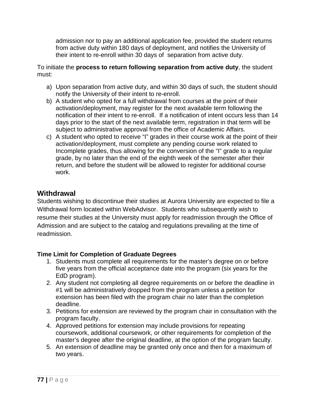admission nor to pay an additional application fee, provided the student returns from active duty within 180 days of deployment, and notifies the University of their intent to re-enroll within 30 days of separation from active duty.

To initiate the **process to return following separation from active duty**, the student must:

- a) Upon separation from active duty, and within 30 days of such, the student should notify the University of their intent to re-enroll.
- b) A student who opted for a full withdrawal from courses at the point of their activation/deployment, may register for the next available term following the notification of their intent to re-enroll. If a notification of intent occurs less than 14 days prior to the start of the next available term, registration in that term will be subject to administrative approval from the office of Academic Affairs.
- c) A student who opted to receive "I" grades in their course work at the point of their activation/deployment, must complete any pending course work related to Incomplete grades, thus allowing for the conversion of the "I" grade to a regular grade, by no later than the end of the eighth week of the semester after their return, and before the student will be allowed to register for additional course work.

# **Withdrawal**

Students wishing to discontinue their studies at Aurora University are expected to file a Withdrawal form located within WebAdvisor. Students who subsequently wish to resume their studies at the University must apply for readmission through the Office of Admission and are subject to the catalog and regulations prevailing at the time of readmission.

### **Time Limit for Completion of Graduate Degrees**

- 1. Students must complete all requirements for the master's degree on or before five years from the official acceptance date into the program (six years for the EdD program).
- 2. Any student not completing all degree requirements on or before the deadline in #1 will be administratively dropped from the program unless a petition for extension has been filed with the program chair no later than the completion deadline.
- 3. Petitions for extension are reviewed by the program chair in consultation with the program faculty.
- 4. Approved petitions for extension may include provisions for repeating coursework, additional coursework, or other requirements for completion of the master's degree after the original deadline, at the option of the program faculty.
- 5. An extension of deadline may be granted only once and then for a maximum of two years.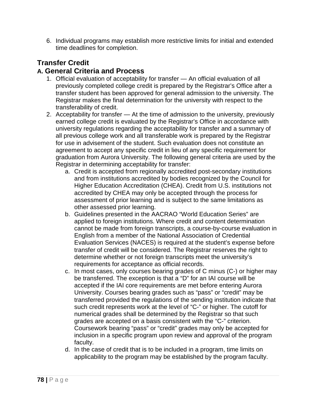6. Individual programs may establish more restrictive limits for initial and extended time deadlines for completion.

# **Transfer Credit**

# **A. General Criteria and Process**

- 1. Official evaluation of acceptability for transfer An official evaluation of all previously completed college credit is prepared by the Registrar's Office after a transfer student has been approved for general admission to the university. The Registrar makes the final determination for the university with respect to the transferability of credit.
- 2. Acceptability for transfer At the time of admission to the university, previously earned college credit is evaluated by the Registrar's Office in accordance with university regulations regarding the acceptability for transfer and a summary of all previous college work and all transferable work is prepared by the Registrar for use in advisement of the student. Such evaluation does not constitute an agreement to accept any specific credit in lieu of any specific requirement for graduation from Aurora University. The following general criteria are used by the Registrar in determining acceptability for transfer:
	- a. Credit is accepted from regionally accredited post-secondary institutions and from institutions accredited by bodies recognized by the Council for Higher Education Accreditation (CHEA). Credit from U.S. institutions not accredited by CHEA may only be accepted through the process for assessment of prior learning and is subject to the same limitations as other assessed prior learning.
	- b. Guidelines presented in the AACRAO "World Education Series" are applied to foreign institutions. Where credit and content determination cannot be made from foreign transcripts, a course-by-course evaluation in English from a member of the National Association of Credential Evaluation Services (NACES) is required at the student's expense before transfer of credit will be considered. The Registrar reserves the right to determine whether or not foreign transcripts meet the university's requirements for acceptance as official records.
	- c. In most cases, only courses bearing grades of C minus (C-) or higher may be transferred. The exception is that a "D" for an IAI course will be accepted if the IAI core requirements are met before entering Aurora University. Courses bearing grades such as "pass" or "credit" may be transferred provided the regulations of the sending institution indicate that such credit represents work at the level of "C-" or higher. The cutoff for numerical grades shall be determined by the Registrar so that such grades are accepted on a basis consistent with the "C-" criterion. Coursework bearing "pass" or "credit" grades may only be accepted for inclusion in a specific program upon review and approval of the program faculty.
	- d. In the case of credit that is to be included in a program, time limits on applicability to the program may be established by the program faculty.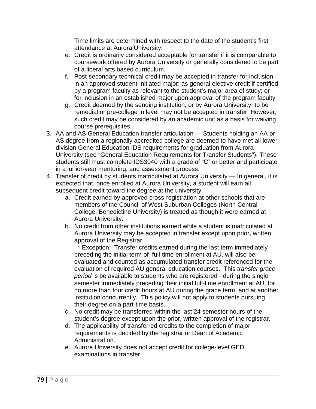Time limits are determined with respect to the date of the student's first attendance at Aurora University.

- e. Credit is ordinarily considered acceptable for transfer if it is comparable to coursework offered by Aurora University or generally considered to be part of a liberal arts based curriculum.
- f. Post-secondary technical credit may be accepted in transfer for inclusion in an approved student-initiated major; as general elective credit if certified by a program faculty as relevant to the student's major area of study; or for inclusion in an established major upon approval of the program faculty.
- g. Credit deemed by the sending institution, or by Aurora University, to be remedial or pre-college in level may not be accepted in transfer. However, such credit may be considered by an academic unit as a basis for waiving course prerequisites.
- 3. AA and AS General Education transfer articulation Students holding an AA or AS degree from a regionally accredited college are deemed to have met all lower division General Education IDS requirements for graduation from Aurora University (see "General Education Requirements for Transfer Students"). These students still must complete IDS3040 with a grade of "C" or better and participate in a junior-year mentoring, and assessment process.
- 4. Transfer of credit by students matriculated at Aurora University In general, it is expected that, once enrolled at Aurora University, a student will earn all subsequent credit toward the degree at the university.
	- a. Credit earned by approved cross-registration at other schools that are members of the Council of West Suburban Colleges (North Central College, Benedictine University) is treated as though it were earned at Aurora University.
	- b. No credit from other institutions earned while a student is matriculated at Aurora University may be accepted in transfer except upon prior, written approval of the Registrar.

 \* Exception: Transfer credits earned during the last term immediately preceding the initial term of full-time enrollment at AU, will also be evaluated and counted as accumulated transfer credit referenced for the evaluation of required AU general education courses. This *transfer grace period* is be available to students who are registered - during the single semester immediately preceding their initial full-time enrollment at AU, for no more than four credit hours at AU during the grace term, and at another institution concurrently. This policy will not apply to students pursuing their degree on a part-time basis.

- c. No credit may be transferred within the last 24 semester hours of the student's degree except upon the prior, written approval of the registrar.
- d. The applicability of transferred credits to the completion of major requirements is decided by the registrar or Dean of Academic Administration.
- e. Aurora University does not accept credit for college-level GED examinations in transfer.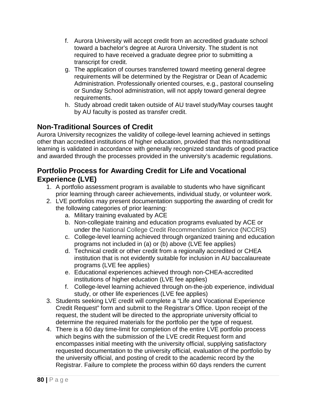- f. Aurora University will accept credit from an accredited graduate school toward a bachelor's degree at Aurora University. The student is not required to have received a graduate degree prior to submitting a transcript for credit.
- g. The application of courses transferred toward meeting general degree requirements will be determined by the Registrar or Dean of Academic Administration. Professionally oriented courses, e.g., pastoral counseling or Sunday School administration, will not apply toward general degree requirements.
- h. Study abroad credit taken outside of AU travel study/May courses taught by AU faculty is posted as transfer credit.

# **Non-Traditional Sources of Credit**

Aurora University recognizes the validity of college-level learning achieved in settings other than accredited institutions of higher education, provided that this nontraditional learning is validated in accordance with generally recognized standards of good practice and awarded through the processes provided in the university's academic regulations.

# **Portfolio Process for Awarding Credit for Life and Vocational Experience (LVE)**

- 1. A portfolio assessment program is available to students who have significant prior learning through career achievements, individual study, or volunteer work.
- 2. LVE portfolios may present documentation supporting the awarding of credit for the following categories of prior learning:
	- a. Military training evaluated by ACE
	- b. Non-collegiate training and education programs evaluated by ACE or under the National College Credit Recommendation Service (NCCRS)
	- c. College-level learning achieved through organized training and education programs not included in (a) or (b) above (LVE fee applies)
	- d. Technical credit or other credit from a regionally accredited or CHEA institution that is not evidently suitable for inclusion in AU baccalaureate programs (LVE fee applies)
	- e. Educational experiences achieved through non-CHEA-accredited institutions of higher education (LVE fee applies)
	- f. College-level learning achieved through on-the-job experience, individual study, or other life experiences (LVE fee applies)
- 3. Students seeking LVE credit will complete a "Life and Vocational Experience Credit Request" form and submit to the Registrar's Office. Upon receipt of the request, the student will be directed to the appropriate university official to determine the required materials for the portfolio per the type of request.
- 4. There is a 60 day time-limit for completion of the entire LVE portfolio process which begins with the submission of the LVE credit Request form and encompasses initial meeting with the university official, supplying satisfactory requested documentation to the university official, evaluation of the portfolio by the university official, and posting of credit to the academic record by the Registrar. Failure to complete the process within 60 days renders the current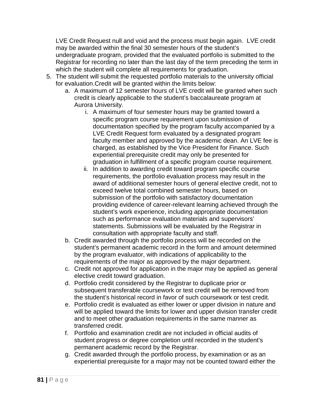LVE Credit Request null and void and the process must begin again. LVE credit may be awarded within the final 30 semester hours of the student's undergraduate program, provided that the evaluated portfolio is submitted to the Registrar for recording no later than the last day of the term preceding the term in which the student will complete all requirements for graduation.

- 5. The student will submit the requested portfolio materials to the university official for evaluation.Credit will be granted within the limits below:
	- a. A maximum of 12 semester hours of LVE credit will be granted when such credit is clearly applicable to the student's baccalaureate program at Aurora University.
		- i. A maximum of four semester hours may be granted toward a specific program course requirement upon submission of documentation specified by the program faculty accompanied by a LVE Credit Request form evaluated by a designated program faculty member and approved by the academic dean. An LVE fee is charged, as established by the Vice President for Finance. Such experiential prerequisite credit may only be presented for graduation in fulfillment of a specific program course requirement.
		- ii. In addition to awarding credit toward program specific course requirements, the portfolio evaluation process may result in the award of additional semester hours of general elective credit, not to exceed twelve total combined semester hours, based on submission of the portfolio with satisfactory documentation providing evidence of career-relevant learning achieved through the student's work experience, including appropriate documentation such as performance evaluation materials and supervisors' statements. Submissions will be evaluated by the Registrar in consultation with appropriate faculty and staff.
	- b. Credit awarded through the portfolio process will be recorded on the student's permanent academic record in the form and amount determined by the program evaluator, with indications of applicability to the requirements of the major as approved by the major department.
	- c. Credit not approved for application in the major may be applied as general elective credit toward graduation.
	- d. Portfolio credit considered by the Registrar to duplicate prior or subsequent transferable coursework or test credit will be removed from the student's historical record in favor of such coursework or test credit.
	- e. Portfolio credit is evaluated as either lower or upper division in nature and will be applied toward the limits for lower and upper division transfer credit and to meet other graduation requirements in the same manner as transferred credit.
	- f. Portfolio and examination credit are not included in official audits of student progress or degree completion until recorded in the student's permanent academic record by the Registrar.
	- g. Credit awarded through the portfolio process, by examination or as an experiential prerequisite for a major may not be counted toward either the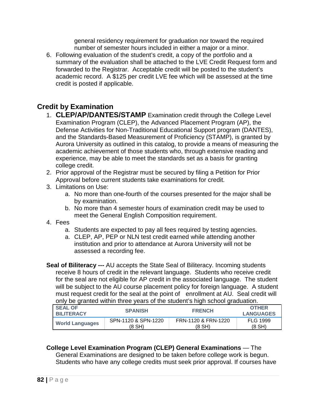general residency requirement for graduation nor toward the required number of semester hours included in either a major or a minor.

6. Following evaluation of the student's credit, a copy of the portfolio and a summary of the evaluation shall be attached to the LVE Credit Request form and forwarded to the Registrar. Acceptable credit will be posted to the student's academic record. A \$125 per credit LVE fee which will be assessed at the time credit is posted if applicable.

# **Credit by Examination**

- 1. **CLEP/AP/DANTES/STAMP** Examination credit through the College Level Examination Program (CLEP), the Advanced Placement Program (AP), the Defense Activities for Non-Traditional Educational Support program (DANTES), and the Standards-Based Measurement of Proficiency (STAMP), is granted by Aurora University as outlined in this catalog, to provide a means of measuring the academic achievement of those students who, through extensive reading and experience, may be able to meet the standards set as a basis for granting college credit.
- 2. Prior approval of the Registrar must be secured by filing a Petition for Prior Approval before current students take examinations for credit.
- 3. Limitations on Use:
	- a. No more than one-fourth of the courses presented for the major shall be by examination.
	- b. No more than 4 semester hours of examination credit may be used to meet the General English Composition requirement.
- 4. Fees
	- a. Students are expected to pay all fees required by testing agencies.
	- a. CLEP, AP, PEP or NLN test credit earned while attending another institution and prior to attendance at Aurora University will not be assessed a recording fee.
- **Seal of Biliteracy ---** AU accepts the State Seal of Biliteracy. Incoming students receive 8 hours of credit in the relevant language. Students who receive credit for the seal are not eligible for AP credit in the associated language. The student will be subject to the AU course placement policy for foreign language. A student must request credit for the seal at the point of enrollment at AU. Seal credit will only be granted within three years of the student's high school graduation.

| <b>SEAL OF</b><br><b>BILITERACY</b> | <b>SPANISH</b>      | <b>FRENCH</b>       | <b>OTHER</b><br><b>LANGUAGES</b> |
|-------------------------------------|---------------------|---------------------|----------------------------------|
| <b>World Languages</b>              | SPN-1120 & SPN-1220 | FRN-1120 & FRN-1220 | <b>FLG 1999</b>                  |
|                                     | (8 SH)              | (8 SH)              | (8 SH)                           |

### **College Level Examination Program (CLEP) General Examinations** — The

General Examinations are designed to be taken before college work is begun. Students who have any college credits must seek prior approval. If courses have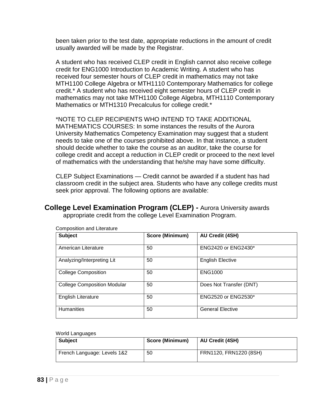been taken prior to the test date, appropriate reductions in the amount of credit usually awarded will be made by the Registrar.

A student who has received CLEP credit in English cannot also receive college credit for ENG1000 Introduction to Academic Writing. A student who has received four semester hours of CLEP credit in mathematics may not take MTH1100 College Algebra or MTH1110 Contemporary Mathematics for college credit.\* A student who has received eight semester hours of CLEP credit in mathematics may not take MTH1100 College Algebra, MTH1110 Contemporary Mathematics or MTH1310 Precalculus for college credit.\*

\*NOTE TO CLEP RECIPIENTS WHO INTEND TO TAKE ADDITIONAL MATHEMATICS COURSES: In some instances the results of the Aurora University Mathematics Competency Examination may suggest that a student needs to take one of the courses prohibited above. In that instance, a student should decide whether to take the course as an auditor, take the course for college credit and accept a reduction in CLEP credit or proceed to the next level of mathematics with the understanding that he/she may have some difficulty.

CLEP Subject Examinations — Credit cannot be awarded if a student has had classroom credit in the subject area. Students who have any college credits must seek prior approval. The following options are available:

**College Level Examination Program (CLEP) -** Aurora University awards appropriate credit from the college Level Examination Program.

| <b>Subject</b>                     | Score (Minimum) | <b>AU Credit (4SH)</b>     |
|------------------------------------|-----------------|----------------------------|
| American Literature                | 50              | <b>ENG2420 or ENG2430*</b> |
| Analyzing/Interpreting Lit         | 50              | <b>English Elective</b>    |
| <b>College Composition</b>         | 50              | <b>ENG1000</b>             |
| <b>College Composition Modular</b> | 50              | Does Not Transfer (DNT)    |
| English Literature                 | 50              | ENG2520 or ENG2530*        |
| <b>Humanities</b>                  | 50              | <b>General Elective</b>    |

Composition and Literature

World Languages

| <b>Subject</b>              | <b>Score (Minimum)</b> | AU Credit (4SH)        |
|-----------------------------|------------------------|------------------------|
| French Language: Levels 1&2 | 50                     | FRN1120, FRN1220 (8SH) |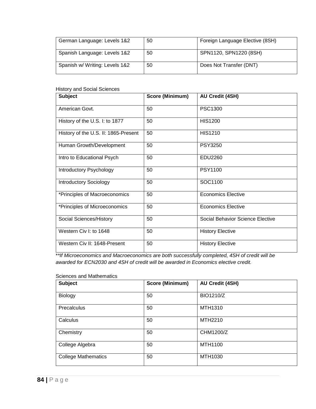| German Language: Levels 1&2    | 50 | Foreign Language Elective (8SH) |
|--------------------------------|----|---------------------------------|
| Spanish Language: Levels 1&2   | 50 | SPN1120, SPN1220 (8SH)          |
| Spanish w/ Writing: Levels 1&2 | 50 | Does Not Transfer (DNT)         |

#### History and Social Sciences

| <b>Subject</b>                       | Score (Minimum) | <b>AU Credit (4SH)</b>           |
|--------------------------------------|-----------------|----------------------------------|
| American Govt.                       | 50              | PSC1300                          |
| History of the U.S. I: to 1877       | 50              | <b>HIS1200</b>                   |
| History of the U.S. II: 1865-Present | 50              | <b>HIS1210</b>                   |
| Human Growth/Development             | 50              | <b>PSY3250</b>                   |
| Intro to Educational Psych           | 50              | EDU2260                          |
| Introductory Psychology              | 50              | <b>PSY1100</b>                   |
| <b>Introductory Sociology</b>        | 50              | SOC1100                          |
| *Principles of Macroeconomics        | 50              | <b>Economics Elective</b>        |
| *Principles of Microeconomics        | 50              | <b>Economics Elective</b>        |
| Social Sciences/History              | 50              | Social Behavior Science Elective |
| Western Civ I: to 1648               | 50              | <b>History Elective</b>          |
| Western Civ II: 1648-Present         | 50              | <b>History Elective</b>          |

\**\*If Microeconomics and Macroeconomics are both successfully completed, 4SH of credit will be awarded for ECN2030 and 4SH of credit will be awarded in Economics elective credit.* 

#### Sciences and Mathematics

| <b>Subject</b>             | Score (Minimum) | <b>AU Credit (4SH)</b> |
|----------------------------|-----------------|------------------------|
|                            |                 |                        |
| Biology                    | 50              | <b>BIO1210/Z</b>       |
| Precalculus                | 50              | MTH1310                |
| Calculus                   | 50              | MTH2210                |
| Chemistry                  | 50              | CHM1200/Z              |
| College Algebra            | 50              | MTH1100                |
| <b>College Mathematics</b> | 50              | MTH1030                |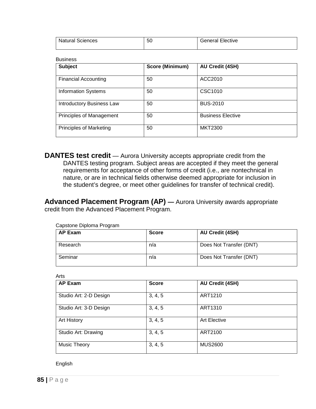| Natural Sciences | $\sim$ $\sim$<br>ას | -lective<br>- 1121 |
|------------------|---------------------|--------------------|
|                  |                     |                    |

| Business |
|----------|
|          |

| <b>Subject</b>                   | Score (Minimum) | AU Credit (4SH)          |
|----------------------------------|-----------------|--------------------------|
| <b>Financial Accounting</b>      | 50              | ACC2010                  |
| <b>Information Systems</b>       | 50              | CSC1010                  |
| <b>Introductory Business Law</b> | 50              | <b>BUS-2010</b>          |
| Principles of Management         | 50              | <b>Business Elective</b> |
| <b>Principles of Marketing</b>   | 50              | <b>MKT2300</b>           |

**DANTES test credit** — Aurora University accepts appropriate credit from the DANTES testing program. Subject areas are accepted if they meet the general requirements for acceptance of other forms of credit (i.e., are nontechnical in nature, or are in technical fields otherwise deemed appropriate for inclusion in the student's degree, or meet other guidelines for transfer of technical credit).

**Advanced Placement Program (AP) —** Aurora University awards appropriate credit from the Advanced Placement Program.

| Capstone Diploma Program |              |                         |
|--------------------------|--------------|-------------------------|
| AP Exam                  | <b>Score</b> | <b>AU Credit (4SH)</b>  |
| Research                 | n/a          | Does Not Transfer (DNT) |
| Seminar                  | n/a          | Does Not Transfer (DNT) |

| $\cdots$               |              |                        |
|------------------------|--------------|------------------------|
| <b>AP Exam</b>         | <b>Score</b> | <b>AU Credit (4SH)</b> |
| Studio Art: 2-D Design | 3, 4, 5      | ART1210                |
| Studio Art: 3-D Design | 3, 4, 5      | ART1310                |
| Art History            | 3, 4, 5      | <b>Art Elective</b>    |
| Studio Art: Drawing    | 3, 4, 5      | ART2100                |
| <b>Music Theory</b>    | 3, 4, 5      | <b>MUS2600</b>         |

English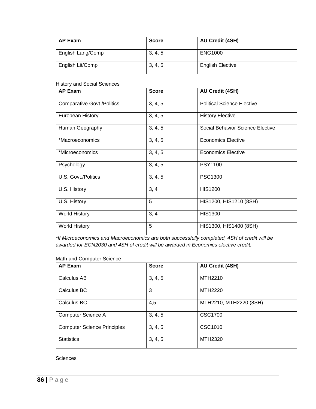| <b>AP Exam</b>    | <b>Score</b> | <b>AU Credit (4SH)</b>  |
|-------------------|--------------|-------------------------|
| English Lang/Comp | 3, 4, 5      | <b>ENG1000</b>          |
| English Lit/Comp  | 3, 4, 5      | <b>English Elective</b> |

History and Social Sciences

| <b>AP Exam</b>                    | <b>Score</b> | <b>AU Credit (4SH)</b>            |
|-----------------------------------|--------------|-----------------------------------|
| <b>Comparative Govt./Politics</b> | 3, 4, 5      | <b>Political Science Elective</b> |
| European History                  | 3, 4, 5      | <b>History Elective</b>           |
| Human Geography                   | 3, 4, 5      | Social Behavior Science Elective  |
| *Macroeconomics                   | 3, 4, 5      | <b>Economics Elective</b>         |
| *Microeconomics                   | 3, 4, 5      | <b>Economics Elective</b>         |
| Psychology                        | 3, 4, 5      | <b>PSY1100</b>                    |
| U.S. Govt./Politics               | 3, 4, 5      | PSC1300                           |
| U.S. History                      | 3, 4         | <b>HIS1200</b>                    |
| U.S. History                      | 5            | HIS1200, HIS1210 (8SH)            |
| <b>World History</b>              | 3, 4         | <b>HIS1300</b>                    |
| <b>World History</b>              | 5            | HIS1300, HIS1400 (8SH)            |

*\*If Microeconomics and Macroeconomics are both successfully completed, 4SH of credit will be awarded for ECN2030 and 4SH of credit will be awarded in Economics elective credit.* 

#### Math and Computer Science

| <b>AP Exam</b>                     | <b>Score</b> | <b>AU Credit (4SH)</b> |
|------------------------------------|--------------|------------------------|
| Calculus AB                        | 3, 4, 5      | MTH2210                |
| Calculus BC                        | 3            | MTH2220                |
| Calculus BC                        | 4,5          | MTH2210, MTH2220 (8SH) |
| Computer Science A                 | 3, 4, 5      | <b>CSC1700</b>         |
| <b>Computer Science Principles</b> | 3, 4, 5      | CSC1010                |
| <b>Statistics</b>                  | 3, 4, 5      | MTH2320                |

**Sciences**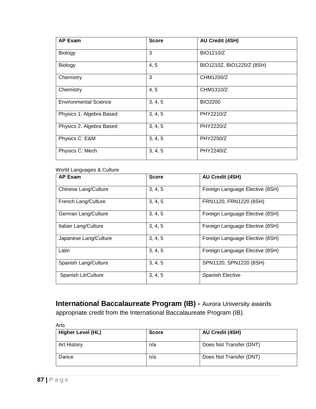| <b>AP Exam</b>               | <b>Score</b> | <b>AU Credit (4SH)</b>    |
|------------------------------|--------------|---------------------------|
| Biology                      | 3            | BIO1210/Z                 |
| Biology                      | 4, 5         | BIO1210Z, BIO1220/Z (8SH) |
| Chemistry                    | 3            | CHM1200/Z                 |
| Chemistry                    | 4, 5         | CHM1310/Z                 |
| <b>Environmental Science</b> | 3, 4, 5      | <b>BIO2200</b>            |
| Physics 1: Algebra Based     | 3, 4, 5      | PHY2210/Z                 |
| Physics 2: Algebra Based     | 3, 4, 5      | PHY2220/Z                 |
| Physics C: E&M               | 3, 4, 5      | <b>PHY2250/Z</b>          |
| Physics C: Mech              | 3, 4, 5      | PHY2240/Z                 |

#### World Languages & Culture

| <b>AP Exam</b>        | <b>Score</b> | <b>AU Credit (4SH)</b>          |
|-----------------------|--------------|---------------------------------|
| Chinese Lang/Culture  | 3, 4, 5      | Foreign Language Elective (8SH) |
| French Lang/Culture   | 3, 4, 5      | FRN1120, FRN1220 (8SH)          |
| German Lang/Culture   | 3, 4, 5      | Foreign Language Elective (8SH) |
| Italian Lang/Culture  | 3, 4, 5      | Foreign Language Elective (8SH) |
| Japanese Lang/Culture | 3, 4, 5      | Foreign Language Elective (8SH) |
| Latin                 | 3, 4, 5      | Foreign Language Elective (8SH) |
| Spanish Lang/Culture  | 3, 4, 5      | SPN1120, SPN1220 (8SH)          |
| Spanish Lit/Culture   | 3, 4, 5      | Spanish Elective                |

**International Baccalaureate Program (IB) -** Aurora University awards appropriate credit from the International Baccalaureate Program (IB).

Arts

| <b>Higher Level (HL)</b> | <b>Score</b> | <b>AU Credit (4SH)</b>  |
|--------------------------|--------------|-------------------------|
| <b>Art History</b>       | n/a          | Does Not Transfer (DNT) |
| Dance                    | n/a          | Does Not Transfer (DNT) |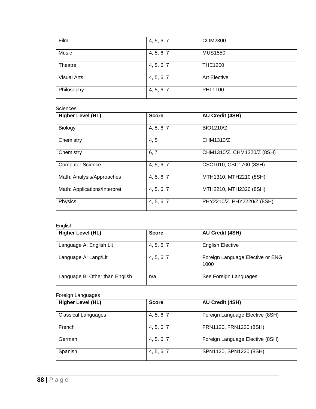| Film               | 4, 5, 6, 7 | COM2300             |
|--------------------|------------|---------------------|
| Music              | 4, 5, 6, 7 | <b>MUS1550</b>      |
| Theatre            | 4, 5, 6, 7 | <b>THE1200</b>      |
| <b>Visual Arts</b> | 4, 5, 6, 7 | <b>Art Elective</b> |
| Philosophy         | 4, 5, 6, 7 | PHL1100             |

#### **Sciences**

| <b>Higher Level (HL)</b>     | <b>Score</b> | <b>AU Credit (4SH)</b>     |
|------------------------------|--------------|----------------------------|
| Biology                      | 4, 5, 6, 7   | <b>BIO1210/Z</b>           |
| Chemistry                    | 4, 5         | CHM1310/Z                  |
| Chemistry                    | 6, 7         | CHM1310/Z, CHM1320/Z (8SH) |
| <b>Computer Science</b>      | 4, 5, 6, 7   | CSC1010, CSC1700 (8SH)     |
| Math: Analysis/Approaches    | 4, 5, 6, 7   | MTH1310, MTH2210 (8SH)     |
| Math: Applications/Interpret | 4, 5, 6, 7   | MTH2210, MTH2320 (8SH)     |
| Physics                      | 4, 5, 6, 7   | PHY2210/Z, PHY2220/Z (8SH) |

#### English

| <b>Higher Level (HL)</b>       | <b>Score</b> | <b>AU Credit (4SH)</b>                   |
|--------------------------------|--------------|------------------------------------------|
| Language A: English Lit        | 4, 5, 6, 7   | <b>English Elective</b>                  |
| Language A: Lang/Lit           | 4, 5, 6, 7   | Foreign Language Elective or ENG<br>1000 |
| Language B: Other than English | n/a          | See Foreign Languages                    |

#### Foreign Languages

| <b>Higher Level (HL)</b>   | <b>Score</b> | <b>AU Credit (4SH)</b>          |
|----------------------------|--------------|---------------------------------|
| <b>Classical Languages</b> | 4, 5, 6, 7   | Foreign Language Elective (8SH) |
| French                     | 4, 5, 6, 7   | FRN1120, FRN1220 (8SH)          |
| German                     | 4, 5, 6, 7   | Foreign Language Elective (8SH) |
| Spanish                    | 4, 5, 6, 7   | SPN1120, SPN1220 (8SH)          |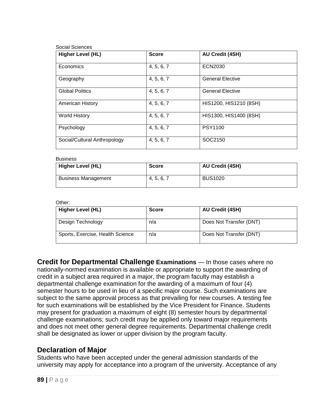| Social Sciences |
|-----------------|
|                 |

| <b>Higher Level (HL)</b>     | <b>Score</b> | <b>AU Credit (4SH)</b>  |
|------------------------------|--------------|-------------------------|
| Economics                    | 4, 5, 6, 7   | ECN2030                 |
| Geography                    | 4, 5, 6, 7   | <b>General Elective</b> |
| <b>Global Politics</b>       | 4, 5, 6, 7   | <b>General Elective</b> |
| <b>American History</b>      | 4, 5, 6, 7   | HIS1200, HIS1210 (8SH)  |
| <b>World History</b>         | 4, 5, 6, 7   | HIS1300, HIS1400 (8SH)  |
| Psychology                   | 4, 5, 6, 7   | <b>PSY1100</b>          |
| Social/Cultural Anthropology | 4, 5, 6, 7   | SOC2150                 |

#### Business

| <b>Higher Level (HL)</b>   | <b>Score</b> | <b>AU Credit (4SH)</b> |
|----------------------------|--------------|------------------------|
| <b>Business Management</b> | 4, 5, 6, 7   | <b>BUS1020</b>         |

#### Other:

| <b>Higher Level (HL)</b>         | Score | <b>AU Credit (4SH)</b>  |
|----------------------------------|-------|-------------------------|
| Design Technology                | n/a   | Does Not Transfer (DNT) |
| Sports, Exercise, Health Science | n/a   | Does Not Transfer (DNT) |

**Credit for Departmental Challenge Examinations** — In those cases where no nationally-normed examination is available or appropriate to support the awarding of credit in a subject area required in a major, the program faculty may establish a departmental challenge examination for the awarding of a maximum of four (4) semester hours to be used in lieu of a specific major course. Such examinations are subject to the same approval process as that prevailing for new courses. A testing fee for such examinations will be established by the Vice President for Finance. Students may present for graduation a maximum of eight (8) semester hours by departmental challenge examinations; such credit may be applied only toward major requirements and does not meet other general degree requirements. Departmental challenge credit shall be designated as lower or upper division by the program faculty.

### **Declaration of Major**

Students who have been accepted under the general admission standards of the university may apply for acceptance into a program of the university. Acceptance of any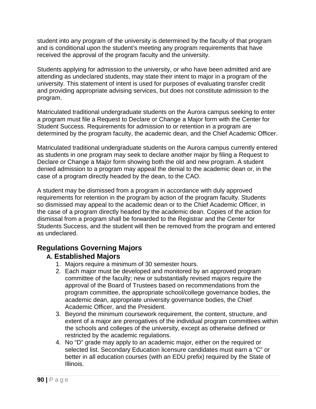student into any program of the university is determined by the faculty of that program and is conditional upon the student's meeting any program requirements that have received the approval of the program faculty and the university.

Students applying for admission to the university, or who have been admitted and are attending as undeclared students, may state their intent to major in a program of the university. This statement of intent is used for purposes of evaluating transfer credit and providing appropriate advising services, but does not constitute admission to the program.

Matriculated traditional undergraduate students on the Aurora campus seeking to enter a program must file a Request to Declare or Change a Major form with the Center for Student Success. Requirements for admission to or retention in a program are determined by the program faculty, the academic dean, and the Chief Academic Officer.

Matriculated traditional undergraduate students on the Aurora campus currently entered as students in one program may seek to declare another major by filing a Request to Declare or Change a Major form showing both the old and new program. A student denied admission to a program may appeal the denial to the academic dean or, in the case of a program directly headed by the dean, to the CAO.

A student may be dismissed from a program in accordance with duly approved requirements for retention in the program by action of the program faculty. Students so dismissed may appeal to the academic dean or to the Chief Academic Officer, in the case of a program directly headed by the academic dean. Copies of the action for dismissal from a program shall be forwarded to the Registrar and the Center for Students Success, and the student will then be removed from the program and entered as undeclared.

# **Regulations Governing Majors**

# **A. Established Majors**

- 1. Majors require a minimum of 30 semester hours.
- 2. Each major must be developed and monitored by an approved program committee of the faculty; new or substantially revised majors require the approval of the Board of Trustees based on recommendations from the program committee, the appropriate school/college governance bodies, the academic dean, appropriate university governance bodies, the Chief Academic Officer, and the President.
- 3. Beyond the minimum coursework requirement, the content, structure, and extent of a major are prerogatives of the individual program committees within the schools and colleges of the university, except as otherwise defined or restricted by the academic regulations.
- 4. No "D" grade may apply to an academic major, either on the required or selected list. Secondary Education licensure candidates must earn a "C" or better in all education courses (with an EDU prefix) required by the State of Illinois.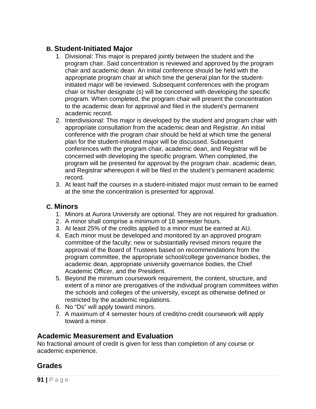# **B. Student-Initiated Major**

- 1. Divisional: This major is prepared jointly between the student and the program chair. Said concentration is reviewed and approved by the program chair and academic dean. An initial conference should be held with the appropriate program chair at which time the general plan for the studentinitiated major will be reviewed. Subsequent conferences with the program chair or his/her designate (s) will be concerned with developing the specific program. When completed, the program chair will present the concentration to the academic dean for approval and filed in the student's permanent academic record.
- 2. Interdivisional: This major is developed by the student and program chair with appropriate consultation from the academic dean and Registrar. An initial conference with the program chair should be held at which time the general plan for the student-initiated major will be discussed. Subsequent conferences with the program chair, academic dean, and Registrar will be concerned with developing the specific program. When completed, the program will be presented for approval by the program chair, academic dean, and Registrar whereupon it will be filed in the student's permanent academic record.
- 3. At least half the courses in a student-initiated major must remain to be earned at the time the concentration is presented for approval.

### **C. Minors**

- 1. Minors at Aurora University are optional. They are not required for graduation.
- 2. A minor shall comprise a minimum of 18 semester hours.
- 3. At least 25% of the credits applied to a minor must be earned at AU.
- 4. Each minor must be developed and monitored by an approved program committee of the faculty; new or substantially revised minors require the approval of the Board of Trustees based on recommendations from the program committee, the appropriate school/college governance bodies, the academic dean, appropriate university governance bodies, the Chief Academic Officer, and the President.
- 5. Beyond the minimum coursework requirement, the content, structure, and extent of a minor are prerogatives of the individual program committees within the schools and colleges of the university, except as otherwise defined or restricted by the academic regulations.
- 6. No "Ds" will apply toward minors.
- 7. A maximum of 4 semester hours of credit/no credit coursework will apply toward a minor.

### **Academic Measurement and Evaluation**

No fractional amount of credit is given for less than completion of any course or academic experience.

# **Grades**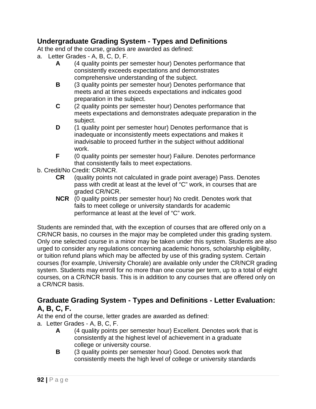# **Undergraduate Grading System - Types and Definitions**

At the end of the course, grades are awarded as defined:

- a. Letter Grades A, B, C, D, F.
	- **A** (4 quality points per semester hour) Denotes performance that consistently exceeds expectations and demonstrates comprehensive understanding of the subject.
	- **B** (3 quality points per semester hour) Denotes performance that meets and at times exceeds expectations and indicates good preparation in the subject.
	- **C** (2 quality points per semester hour) Denotes performance that meets expectations and demonstrates adequate preparation in the subject.
	- **D** (1 quality point per semester hour) Denotes performance that is inadequate or inconsistently meets expectations and makes it inadvisable to proceed further in the subject without additional work.
	- **F** (0 quality points per semester hour) Failure. Denotes performance that consistently fails to meet expectations.
- b. Credit/No Credit: CR/NCR.
	- **CR** (quality points not calculated in grade point average) Pass. Denotes pass with credit at least at the level of "C" work, in courses that are graded CR/NCR.
	- **NCR** (0 quality points per semester hour) No credit. Denotes work that fails to meet college or university standards for academic performance at least at the level of "C" work.

Students are reminded that, with the exception of courses that are offered only on a CR/NCR basis, no courses in the major may be completed under this grading system. Only one selected course in a minor may be taken under this system. Students are also urged to consider any regulations concerning academic honors, scholarship eligibility, or tuition refund plans which may be affected by use of this grading system. Certain courses (for example, University Chorale) are available only under the CR/NCR grading system. Students may enroll for no more than one course per term, up to a total of eight courses, on a CR/NCR basis. This is in addition to any courses that are offered only on a CR/NCR basis.

# **Graduate Grading System - Types and Definitions - Letter Evaluation: A, B, C, F.**

At the end of the course, letter grades are awarded as defined:

a. Letter Grades - A, B, C, F.

- **A** (4 quality points per semester hour) Excellent. Denotes work that is consistently at the highest level of achievement in a graduate college or university course.
- **B** (3 quality points per semester hour) Good. Denotes work that consistently meets the high level of college or university standards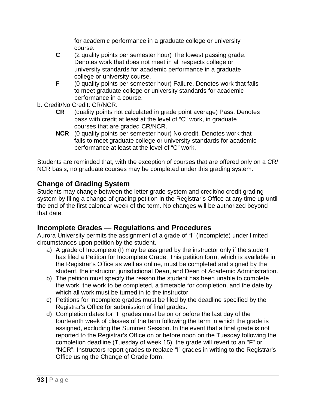for academic performance in a graduate college or university course.

- **C** (2 quality points per semester hour) The lowest passing grade. Denotes work that does not meet in all respects college or university standards for academic performance in a graduate college or university course.
- **F** (0 quality points per semester hour) Failure. Denotes work that fails to meet graduate college or university standards for academic performance in a course.
- b. Credit/No Credit: CR/NCR.
	- **CR** (quality points not calculated in grade point average) Pass. Denotes pass with credit at least at the level of "C" work, in graduate courses that are graded CR/NCR.
	- **NCR** (0 quality points per semester hour) No credit. Denotes work that fails to meet graduate college or university standards for academic performance at least at the level of "C" work.

Students are reminded that, with the exception of courses that are offered only on a CR/ NCR basis, no graduate courses may be completed under this grading system.

# **Change of Grading System**

Students may change between the letter grade system and credit/no credit grading system by filing a change of grading petition in the Registrar's Office at any time up until the end of the first calendar week of the term. No changes will be authorized beyond that date.

# **Incomplete Grades — Regulations and Procedures**

Aurora University permits the assignment of a grade of "I" (Incomplete) under limited circumstances upon petition by the student.

- a) A grade of Incomplete (I) may be assigned by the instructor only if the student has filed a Petition for Incomplete Grade. This petition form, which is available in the Registrar's Office as well as online, must be completed and signed by the student, the instructor, jurisdictional Dean, and Dean of Academic Administration.
- b) The petition must specify the reason the student has been unable to complete the work, the work to be completed, a timetable for completion, and the date by which all work must be turned in to the instructor.
- c) Petitions for Incomplete grades must be filed by the deadline specified by the Registrar's Office for submission of final grades.
- d) Completion dates for "I" grades must be on or before the last day of the fourteenth week of classes of the term following the term in which the grade is assigned, excluding the Summer Session. In the event that a final grade is not reported to the Registrar's Office on or before noon on the Tuesday following the completion deadline (Tuesday of week 15), the grade will revert to an "F" or "NCR". Instructors report grades to replace "I" grades in writing to the Registrar's Office using the Change of Grade form.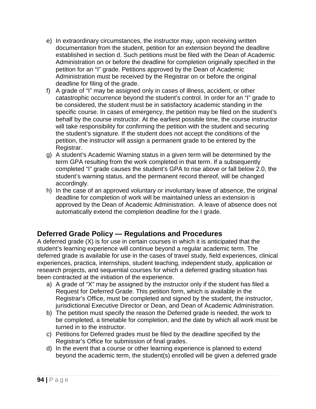- e) In extraordinary circumstances, the instructor may, upon receiving written documentation from the student, petition for an extension beyond the deadline established in section d. Such petitions must be filed with the Dean of Academic Administration on or before the deadline for completion originally specified in the petition for an "I" grade. Petitions approved by the Dean of Academic Administration must be received by the Registrar on or before the original deadline for filing of the grade.
- f) A grade of "I" may be assigned only in cases of illness, accident, or other catastrophic occurrence beyond the student's control. In order for an "I" grade to be considered, the student must be in satisfactory academic standing in the specific course. In cases of emergency, the petition may be filed on the student's behalf by the course instructor. At the earliest possible time, the course instructor will take responsibility for confirming the petition with the student and securing the student's signature. If the student does not accept the conditions of the petition, the instructor will assign a permanent grade to be entered by the Registrar.
- g) A student's Academic Warning status in a given term will be determined by the term GPA resulting from the work completed in that term. If a subsequently completed "I" grade causes the student's GPA to rise above or fall below 2.0, the student's warning status, and the permanent record thereof, will be changed accordingly.
- h) In the case of an approved voluntary or involuntary leave of absence, the original deadline for completion of work will be maintained unless an extension is approved by the Dean of Academic Administration. A leave of absence does not automatically extend the completion deadline for the I grade.

# **Deferred Grade Policy — Regulations and Procedures**

A deferred grade (X) is for use in certain courses in which it is anticipated that the student's learning experience will continue beyond a regular academic term. The deferred grade is available for use in the cases of travel study, field experiences, clinical experiences, practica, internships, student teaching, independent study, application or research projects, and sequential courses for which a deferred grading situation has been contracted at the initiation of the experience.

- a) A grade of "X" may be assigned by the instructor only if the student has filed a Request for Deferred Grade. This petition form, which is available in the Registrar's Office, must be completed and signed by the student, the instructor, jurisdictional Executive Director or Dean, and Dean of Academic Administration.
- b) The petition must specify the reason the Deferred grade is needed, the work to be completed, a timetable for completion, and the date by which all work must be turned in to the instructor.
- c) Petitions for Deferred grades must be filed by the deadline specified by the Registrar's Office for submission of final grades.
- d) In the event that a course or other learning experience is planned to extend beyond the academic term, the student(s) enrolled will be given a deferred grade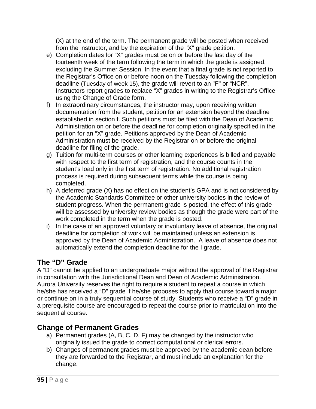(X) at the end of the term. The permanent grade will be posted when received from the instructor, and by the expiration of the "X" grade petition.

- e) Completion dates for "X" grades must be on or before the last day of the fourteenth week of the term following the term in which the grade is assigned, excluding the Summer Session. In the event that a final grade is not reported to the Registrar's Office on or before noon on the Tuesday following the completion deadline (Tuesday of week 15), the grade will revert to an "F" or "NCR". Instructors report grades to replace "X" grades in writing to the Registrar's Office using the Change of Grade form.
- f) In extraordinary circumstances, the instructor may, upon receiving written documentation from the student, petition for an extension beyond the deadline established in section f. Such petitions must be filed with the Dean of Academic Administration on or before the deadline for completion originally specified in the petition for an "X" grade. Petitions approved by the Dean of Academic Administration must be received by the Registrar on or before the original deadline for filing of the grade.
- g) Tuition for multi-term courses or other learning experiences is billed and payable with respect to the first term of registration, and the course counts in the student's load only in the first term of registration. No additional registration process is required during subsequent terms while the course is being completed.
- h) A deferred grade (X) has no effect on the student's GPA and is not considered by the Academic Standards Committee or other university bodies in the review of student progress. When the permanent grade is posted, the effect of this grade will be assessed by university review bodies as though the grade were part of the work completed in the term when the grade is posted.
- i) In the case of an approved voluntary or involuntary leave of absence, the original deadline for completion of work will be maintained unless an extension is approved by the Dean of Academic Administration. A leave of absence does not automatically extend the completion deadline for the I grade.

# **The "D" Grade**

A "D" cannot be applied to an undergraduate major without the approval of the Registrar in consultation with the Jurisdictional Dean and Dean of Academic Administration. Aurora University reserves the right to require a student to repeat a course in which he/she has received a "D" grade if he/she proposes to apply that course toward a major or continue on in a truly sequential course of study. Students who receive a "D" grade in a prerequisite course are encouraged to repeat the course prior to matriculation into the sequential course.

# **Change of Permanent Grades**

- a) Permanent grades (A, B, C, D, F) may be changed by the instructor who originally issued the grade to correct computational or clerical errors.
- b) Changes of permanent grades must be approved by the academic dean before they are forwarded to the Registrar, and must include an explanation for the change.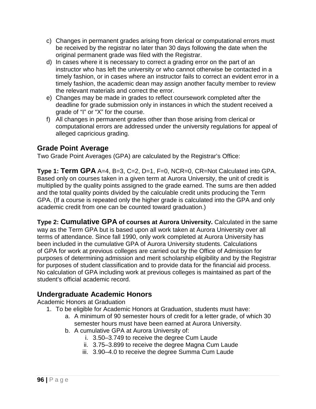- c) Changes in permanent grades arising from clerical or computational errors must be received by the registrar no later than 30 days following the date when the original permanent grade was filed with the Registrar.
- d) In cases where it is necessary to correct a grading error on the part of an instructor who has left the university or who cannot otherwise be contacted in a timely fashion, or in cases where an instructor fails to correct an evident error in a timely fashion, the academic dean may assign another faculty member to review the relevant materials and correct the error.
- e) Changes may be made in grades to reflect coursework completed after the deadline for grade submission only in instances in which the student received a grade of "I" or "X" for the course.
- f) All changes in permanent grades other than those arising from clerical or computational errors are addressed under the university regulations for appeal of alleged capricious grading.

# **Grade Point Average**

Two Grade Point Averages (GPA) are calculated by the Registrar's Office:

**Type 1: Term GPA** A=4, B=3, C=2, D=1, F=0, NCR=0, CR=Not Calculated into GPA. Based only on courses taken in a given term at Aurora University, the unit of credit is multiplied by the quality points assigned to the grade earned. The sums are then added and the total quality points divided by the calculable credit units producing the Term GPA. (If a course is repeated only the higher grade is calculated into the GPA and only academic credit from one can be counted toward graduation.)

**Type 2: Cumulative GPA of courses at Aurora University.** Calculated in the same way as the Term GPA but is based upon all work taken at Aurora University over all terms of attendance. Since fall 1990, only work completed at Aurora University has been included in the cumulative GPA of Aurora University students. Calculations of GPA for work at previous colleges are carried out by the Office of Admission for purposes of determining admission and merit scholarship eligibility and by the Registrar for purposes of student classification and to provide data for the financial aid process. No calculation of GPA including work at previous colleges is maintained as part of the student's official academic record.

# **Undergraduate Academic Honors**

Academic Honors at Graduation

- 1. To be eligible for Academic Honors at Graduation, students must have:
	- a. A minimum of 90 semester hours of credit for a letter grade, of which 30 semester hours must have been earned at Aurora University.
	- b. A cumulative GPA at Aurora University of:
		- i. 3.50–3.749 to receive the degree Cum Laude
		- ii. 3.75–3.899 to receive the degree Magna Cum Laude
		- iii. 3.90–4.0 to receive the degree Summa Cum Laude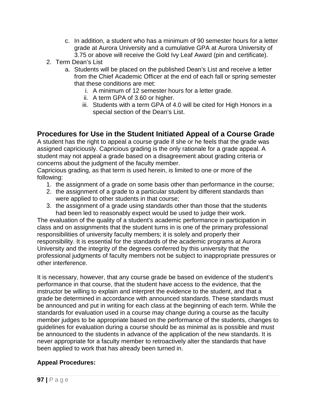- c. In addition, a student who has a minimum of 90 semester hours for a letter grade at Aurora University and a cumulative GPA at Aurora University of 3.75 or above will receive the Gold Ivy Leaf Award (pin and certificate).
- 2. Term Dean's List
	- a. Students will be placed on the published Dean's List and receive a letter from the Chief Academic Officer at the end of each fall or spring semester that these conditions are met:
		- i. A minimum of 12 semester hours for a letter grade.
		- ii. A term GPA of 3.60 or higher.
		- iii. Students with a term GPA of 4.0 will be cited for High Honors in a special section of the Dean's List.

# **Procedures for Use in the Student Initiated Appeal of a Course Grade**

A student has the right to appeal a course grade if she or he feels that the grade was assigned capriciously. Capricious grading is the only rationale for a grade appeal. A student may not appeal a grade based on a disagreement about grading criteria or concerns about the judgment of the faculty member.

Capricious grading, as that term is used herein, is limited to one or more of the following:

- 1. the assignment of a grade on some basis other than performance in the course;
- 2. the assignment of a grade to a particular student by different standards than were applied to other students in that course;
- 3. the assignment of a grade using standards other than those that the students had been led to reasonably expect would be used to judge their work.

The evaluation of the quality of a student's academic performance in participation in class and on assignments that the student turns in is one of the primary professional responsibilities of university faculty members; it is solely and properly their responsibility. It is essential for the standards of the academic programs at Aurora University and the integrity of the degrees conferred by this university that the professional judgments of faculty members not be subject to inappropriate pressures or other interference.

It is necessary, however, that any course grade be based on evidence of the student's performance in that course, that the student have access to the evidence, that the instructor be willing to explain and interpret the evidence to the student, and that a grade be determined in accordance with announced standards. These standards must be announced and put in writing for each class at the beginning of each term. While the standards for evaluation used in a course may change during a course as the faculty member judges to be appropriate based on the performance of the students, changes to guidelines for evaluation during a course should be as minimal as is possible and must be announced to the students in advance of the application of the new standards. It is never appropriate for a faculty member to retroactively alter the standards that have been applied to work that has already been turned in.

#### **Appeal Procedures:**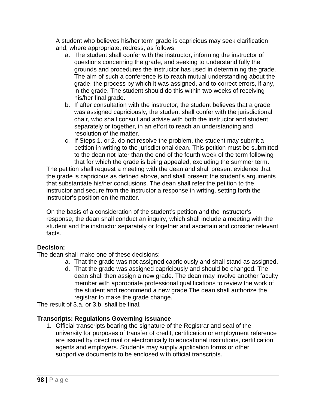A student who believes his/her term grade is capricious may seek clarification and, where appropriate, redress, as follows:

- a. The student shall confer with the instructor, informing the instructor of questions concerning the grade, and seeking to understand fully the grounds and procedures the instructor has used in determining the grade. The aim of such a conference is to reach mutual understanding about the grade, the process by which it was assigned, and to correct errors, if any, in the grade. The student should do this within two weeks of receiving his/her final grade.
- b. If after consultation with the instructor, the student believes that a grade was assigned capriciously, the student shall confer with the jurisdictional chair, who shall consult and advise with both the instructor and student separately or together, in an effort to reach an understanding and resolution of the matter.
- c. If Steps 1. or 2. do not resolve the problem, the student may submit a petition in writing to the jurisdictional dean. This petition must be submitted to the dean not later than the end of the fourth week of the term following that for which the grade is being appealed, excluding the summer term.

The petition shall request a meeting with the dean and shall present evidence that the grade is capricious as defined above, and shall present the student's arguments that substantiate his/her conclusions. The dean shall refer the petition to the instructor and secure from the instructor a response in writing, setting forth the instructor's position on the matter.

On the basis of a consideration of the student's petition and the instructor's response, the dean shall conduct an inquiry, which shall include a meeting with the student and the instructor separately or together and ascertain and consider relevant facts.

#### **Decision:**

The dean shall make one of these decisions:

- a. That the grade was not assigned capriciously and shall stand as assigned.
- d. That the grade was assigned capriciously and should be changed. The dean shall then assign a new grade. The dean may involve another faculty member with appropriate professional qualifications to review the work of the student and recommend a new grade The dean shall authorize the registrar to make the grade change.

The result of 3.a. or 3.b. shall be final.

#### **Transcripts: Regulations Governing Issuance**

1. Official transcripts bearing the signature of the Registrar and seal of the university for purposes of transfer of credit, certification or employment reference are issued by direct mail or electronically to educational institutions, certification agents and employers. Students may supply application forms or other supportive documents to be enclosed with official transcripts.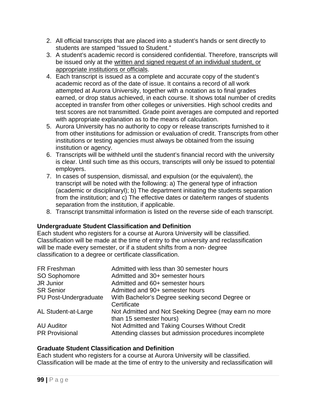- 2. All official transcripts that are placed into a student's hands or sent directly to students are stamped "Issued to Student."
- 3. A student's academic record is considered confidential. Therefore, transcripts will be issued only at the written and signed request of an individual student, or appropriate institutions or officials.
- 4. Each transcript is issued as a complete and accurate copy of the student's academic record as of the date of issue. It contains a record of all work attempted at Aurora University, together with a notation as to final grades earned, or drop status achieved, in each course. It shows total number of credits accepted in transfer from other colleges or universities. High school credits and test scores are not transmitted. Grade point averages are computed and reported with appropriate explanation as to the means of calculation.
- 5. Aurora University has no authority to copy or release transcripts furnished to it from other institutions for admission or evaluation of credit. Transcripts from other institutions or testing agencies must always be obtained from the issuing institution or agency.
- 6. Transcripts will be withheld until the student's financial record with the university is clear. Until such time as this occurs, transcripts will only be issued to potential employers.
- 7. In cases of suspension, dismissal, and expulsion (or the equivalent), the transcript will be noted with the following: a) The general type of infraction (academic or disciplinaryl); b) The department initiating the students separation from the institution; and c) The effective dates or date/term ranges of students separation from the institution, if applicable.
- 8. Transcript transmittal information is listed on the reverse side of each transcript.

#### **Undergraduate Student Classification and Definition**

Each student who registers for a course at Aurora University will be classified. Classification will be made at the time of entry to the university and reclassification will be made every semester, or if a student shifts from a non- degree classification to a degree or certificate classification.

| FR Freshman           | Admitted with less than 30 semester hours             |
|-----------------------|-------------------------------------------------------|
| SO Sophomore          | Admitted and 30+ semester hours                       |
| <b>JR Junior</b>      | Admitted and 60+ semester hours                       |
| <b>SR Senior</b>      | Admitted and 90+ semester hours                       |
| PU Post-Undergraduate | With Bachelor's Degree seeking second Degree or       |
|                       | Certificate                                           |
| AL Student-at-Large   | Not Admitted and Not Seeking Degree (may earn no more |
|                       | than 15 semester hours)                               |
| <b>AU Auditor</b>     | Not Admitted and Taking Courses Without Credit        |
| <b>PR Provisional</b> | Attending classes but admission procedures incomplete |

#### **Graduate Student Classification and Definition**

Each student who registers for a course at Aurora University will be classified. Classification will be made at the time of entry to the university and reclassification will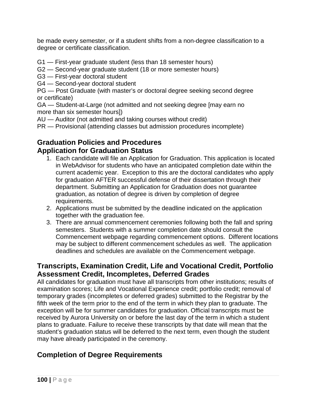be made every semester, or if a student shifts from a non-degree classification to a degree or certificate classification.

G1 — First-year graduate student (less than 18 semester hours)

- G2 Second-year graduate student (18 or more semester hours)
- G3 First-year doctoral student
- G4 Second-year doctoral student

PG — Post Graduate (with master's or doctoral degree seeking second degree or certificate)

GA — Student-at-Large (not admitted and not seeking degree [may earn no more than six semester hours])

AU — Auditor (not admitted and taking courses without credit)

PR — Provisional (attending classes but admission procedures incomplete)

# **Graduation Policies and Procedures Application for Graduation Status**

- 1. Each candidate will file an Application for Graduation. This application is located in WebAdvisor for students who have an anticipated completion date within the current academic year. Exception to this are the doctoral candidates who apply for graduation AFTER successful defense of their dissertation through their department. Submitting an Application for Graduation does not guarantee graduation, as notation of degree is driven by completion of degree requirements.
- 2. Applications must be submitted by the deadline indicated on the application together with the graduation fee.
- 3. There are annual commencement ceremonies following both the fall and spring semesters. Students with a summer completion date should consult the Commencement webpage regarding commencement options. Different locations may be subject to different commencement schedules as well. The application deadlines and schedules are available on the Commencement webpage.

# **Transcripts, Examination Credit, Life and Vocational Credit, Portfolio Assessment Credit, Incompletes, Deferred Grades**

All candidates for graduation must have all transcripts from other institutions; results of examination scores; Life and Vocational Experience credit; portfolio credit; removal of temporary grades (incompletes or deferred grades) submitted to the Registrar by the fifth week of the term prior to the end of the term in which they plan to graduate. The exception will be for summer candidates for graduation. Official transcripts must be received by Aurora University on or before the last day of the term in which a student plans to graduate. Failure to receive these transcripts by that date will mean that the student's graduation status will be deferred to the next term, even though the student may have already participated in the ceremony.

# **Completion of Degree Requirements**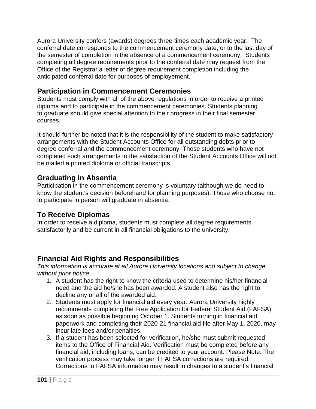Aurora University confers (awards) degrees three times each academic year. The conferral date corresponds to the commencement ceremony date, or to the last day of the semester of completion in the absence of a commencement ceremony. Students completing all degree requirements prior to the conferral date may request from the Office of the Registrar a letter of degree requirement completion including the anticipated conferral date for purposes of employement.

# **Participation in Commencement Ceremonies**

Students must comply with all of the above regulations in order to receive a printed diploma and to participate in the commencement ceremonies. Students planning to graduate should give special attention to their progress in their final semester courses.

It should further be noted that it is the responsibility of the student to make satisfactory arrangements with the Student Accounts Office for all outstanding debts prior to degree conferral and the commencement ceremony. Those students who have not completed such arrangements to the satisfaction of the Student Accounts Office will not be mailed a printed diploma or official transcripts.

### **Graduating in Absentia**

Participation in the commencement ceremony is voluntary (although we do need to know the student's decision beforehand for planning purposes). Those who choose not to participate in person will graduate in absentia.

# **To Receive Diplomas**

In order to receive a diploma, students must complete all degree requirements satisfactorily and be current in all financial obligations to the university.

# **Financial Aid Rights and Responsibilities**

*This information is accurate at all Aurora University locations and subject to change without prior notice.*

- 1. A student has the right to know the criteria used to determine his/her financial need and the aid he/she has been awarded. A student also has the right to decline any or all of the awarded aid.
- 2. Students must apply for financial aid every year. Aurora University highly recommends completing the Free Application for Federal Student Aid (FAFSA) as soon as possible beginning October 1. Students turning in financial aid paperwork and completing their 2020-21 financial aid file after May 1, 2020, may incur late fees and/or penalties.
- 3. If a student has been selected for verification, he/she must submit requested items to the Office of Financial Aid. Verification must be completed before any financial aid, including loans, can be credited to your account. Please Note: The verification process may take longer if FAFSA corrections are required. Corrections to FAFSA information may result in changes to a student's financial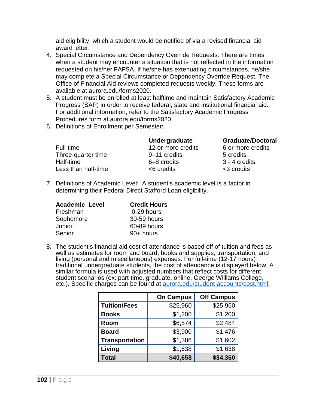aid eligibility, which a student would be notified of via a revised financial aid award letter.

- 4. Special Circumstance and Dependency Override Requests: There are times when a student may encounter a situation that is not reflected in the information requested on his/her FAFSA. If he/she has extenuating circumstances, he/she may complete a Special Circumstance or Dependency Override Request. The Office of Financial Aid reviews completed requests weekly. These forms are available at aurora.edu/forms2020.
- 5. A student must be enrolled at least halftime and maintain Satisfactory Academic Progress (SAP) in order to receive federal, state and institutional financial aid. For additional information, refer to the Satisfactory Academic Progress Procedures form at aurora.edu/forms2020.
- 6. Definitions of Enrollment per Semester:

Full-time 12 or more credits 6 or more credits Three-quarter time **9–11** credits 5 credits Half-time 6–8 credits 3 - 4 credits Less than half-time <6 credits <3 credits

**Undergraduate Graduate/Doctoral**

- 
- 7. Definitions of Academic Level: A student's academic level is a factor in determining their Federal Direct Stafford Loan eligibility.

| <b>Academic Level</b> | <b>Credit Hours</b> |
|-----------------------|---------------------|
| Freshman              | 0-29 hours          |
| Sophomore             | 30-59 hours         |
| Junior                | 60-89 hours         |
| Senior                | 90+ hours           |

8. The student's financial aid cost of attendance is based off of tuition and fees as well as estimates for room and board, books and supplies, transportation, and living (personal and miscellaneous) expenses. For full-time (12-17 hours) traditional undergraduate students, the cost of attendance is displayed below. A similar formula is used with adjusted numbers that reflect costs for different student scenarios (ex: part-time, graduate, online, George Williams College, etc.). Specific charges can be found at [aurora.edu/student-accounts/cost.html.](file://au-fs01.aurora.edu/data/Registrar/Melody/catalog%202018.19/most%20current%20only/aurora.edu/student-accounts/cost.html.)

|                       | <b>On Campus</b> | <b>Off Campus</b> |
|-----------------------|------------------|-------------------|
| <b>Tuition/Fees</b>   | \$25,960         | \$25,960          |
| <b>Books</b>          | \$1,200          | \$1,200           |
| Room                  | \$6,574          | \$2,484           |
| <b>Board</b>          | \$3,900          | \$1,476           |
| <b>Transportation</b> | \$1,386          | \$1,602           |
| Living                | \$1,638          | \$1,638           |
| <b>Total</b>          | \$40,658         | \$34,360          |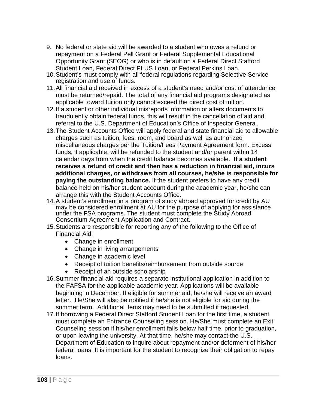- 9. No federal or state aid will be awarded to a student who owes a refund or repayment on a Federal Pell Grant or Federal Supplemental Educational Opportunity Grant (SEOG) or who is in default on a Federal Direct Stafford Student Loan, Federal Direct PLUS Loan, or Federal Perkins Loan.
- 10.Student's must comply with all federal regulations regarding Selective Service registration and use of funds.
- 11.All financial aid received in excess of a student's need and/or cost of attendance must be returned/repaid. The total of any financial aid programs designated as applicable toward tuition only cannot exceed the direct cost of tuition.
- 12.If a student or other individual misreports information or alters documents to fraudulently obtain federal funds, this will result in the cancellation of aid and referral to the U.S. Department of Education's Office of Inspector General.
- 13.The Student Accounts Office will apply federal and state financial aid to allowable charges such as tuition, fees, room, and board as well as authorized miscellaneous charges per the Tuition/Fees Payment Agreement form. Excess funds, if applicable, will be refunded to the student and/or parent within 14 calendar days from when the credit balance becomes available. **If a student receives a refund of credit and then has a reduction in financial aid, incurs additional charges, or withdraws from all courses, he/she is responsible for paying the outstanding balance.** If the student prefers to have any credit balance held on his/her student account during the academic year, he/she can arrange this with the Student Accounts Office.
- 14.A student's enrollment in a program of study abroad approved for credit by AU may be considered enrollment at AU for the purpose of applying for assistance under the FSA programs. The student must complete the Study Abroad Consortium Agreement Application and Contract.
- 15.Students are responsible for reporting any of the following to the Office of Financial Aid:
	- Change in enrollment
	- Change in living arrangements
	- Change in academic level
	- Receipt of tuition benefits/reimbursement from outside source
	- Receipt of an outside scholarship
- 16.Summer financial aid requires a separate institutional application in addition to the FAFSA for the applicable academic year. Applications will be available beginning in December. If eligible for summer aid, he/she will receive an award letter. He/She will also be notified if he/she is not eligible for aid during the summer term. Additional items may need to be submitted if requested.
- 17.If borrowing a Federal Direct Stafford Student Loan for the first time, a student must complete an Entrance Counseling session. He/She must complete an Exit Counseling session if his/her enrollment falls below half time, prior to graduation, or upon leaving the university. At that time, he/she may contact the U.S. Department of Education to inquire about repayment and/or deferment of his/her federal loans. It is important for the student to recognize their obligation to repay loans.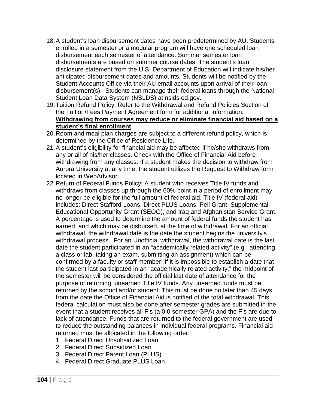- 18.A student's loan disbursement dates have been predetermined by AU. Students enrolled in a semester or a modular program will have one scheduled loan disbursement each semester of attendance. Summer semester loan disbursements are based on summer course dates. The student's loan disclosure statement from the U.S. Department of Education will indicate his/her anticipated disbursement dates and amounts. Students will be notified by the Student Accounts Office via their AU email accounts upon arrival of their loan disbursement(s). Students can manage their federal loans through the National Student Loan Data System (NSLDS) at nslds.ed.gov.
- 19.Tuition Refund Policy: Refer to the Withdrawal and Refund Policies Section of the Tuition/Fees Payment Agreement form for additional information. **Withdrawing from courses may reduce or eliminate financial aid based on a student's final enrollment**.
- 20.Room and meal plan charges are subject to a different refund policy, which is determined by the Office of Residence Life.
- 21.A student's eligibility for financial aid may be affected if he/she withdraws from any or all of his/her classes. Check with the Office of Financial Aid before withdrawing from any classes. If a student makes the decision to withdraw from Aurora University at any time, the student utilizes the Request to Withdraw form located in WebAdvisor.
- 22.Return of Federal Funds Policy: A student who receives Title IV funds and withdraws from classes up through the 60% point in a period of enrollment may no longer be eligible for the full amount of federal aid. Title IV (federal aid) includes: Direct Stafford Loans, Direct PLUS Loans, Pell Grant, Supplemental Educational Opportunity Grant (SEOG), and Iraq and Afghanistan Service Grant. A percentage is used to determine the amount of federal funds the student has earned, and which may be disbursed, at the time of withdrawal. For an official withdrawal, the withdrawal date is the date the student begins the university's withdrawal process. For an Unofficial withdrawal, the withdrawal date is the last date the student participated in an "academically related activity" (e.g., attending a class or lab, taking an exam, submitting an assignment) which can be confirmed by a faculty or staff member. If it is impossible to establish a date that the student last participated in an "academically related activity," the midpoint of the semester will be considered the official last date of attendance for the purpose of returning unearned Title IV funds. Any unearned funds must be returned by the school and/or student. This must be done no later than 45 days from the date the Office of Financial Aid is notified of the total withdrawal. This federal calculation must also be done after semester grades are submitted in the event that a student receives all F's (a 0.0 semester GPA) and the F's are due to lack of attendance. Funds that are returned to the federal government are used to reduce the outstanding balances in individual federal programs. Financial aid returned must be allocated in the following order:
	- 1. Federal Direct Unsubsidized Loan
	- 2. Federal Direct Subsidized Loan
	- 3. Federal Direct Parent Loan (PLUS)
	- 4. Federal Direct Graduate PLUS Loan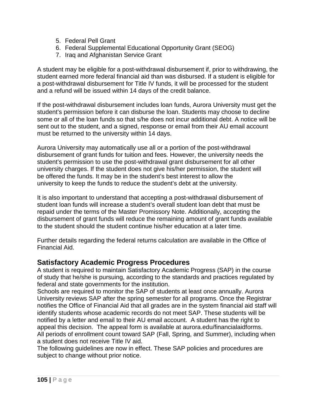- 5. Federal Pell Grant
- 6. Federal Supplemental Educational Opportunity Grant (SEOG)
- 7. Iraq and Afghanistan Service Grant

A student may be eligible for a post-withdrawal disbursement if, prior to withdrawing, the student earned more federal financial aid than was disbursed. If a student is eligible for a post-withdrawal disbursement for Title IV funds, it will be processed for the student and a refund will be issued within 14 days of the credit balance.

If the post-withdrawal disbursement includes loan funds, Aurora University must get the student's permission before it can disburse the loan. Students may choose to decline some or all of the loan funds so that s/he does not incur additional debt. A notice will be sent out to the student, and a signed, response or email from their AU email account must be returned to the university within 14 days.

Aurora University may automatically use all or a portion of the post-withdrawal disbursement of grant funds for tuition and fees. However, the university needs the student's permission to use the post-withdrawal grant disbursement for all other university charges. If the student does not give his/her permission, the student will be offered the funds. It may be in the student's best interest to allow the university to keep the funds to reduce the student's debt at the university.

It is also important to understand that accepting a post-withdrawal disbursement of student loan funds will increase a student's overall student loan debt that must be repaid under the terms of the Master Promissory Note. Additionally, accepting the disbursement of grant funds will reduce the remaining amount of grant funds available to the student should the student continue his/her education at a later time.

Further details regarding the federal returns calculation are available in the Office of Financial Aid.

# **Satisfactory Academic Progress Procedures**

A student is required to maintain Satisfactory Academic Progress (SAP) in the course of study that he/she is pursuing, according to the standards and practices regulated by federal and state governments for the institution.

Schools are required to monitor the SAP of students at least once annually. Aurora University reviews SAP after the spring semester for all programs. Once the Registrar notifies the Office of Financial Aid that all grades are in the system financial aid staff will identify students whose academic records do not meet SAP. These students will be notified by a letter and email to their AU email account. A student has the right to appeal this decision. The appeal form is available at aurora.edu/financialaidforms. All periods of enrollment count toward SAP (Fall, Spring, and Summer), including when a student does not receive Title IV aid.

The following guidelines are now in effect. These SAP policies and procedures are subject to change without prior notice.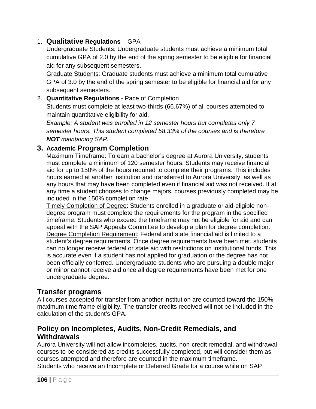### 1. **Qualitative Regulations** – GPA

Undergraduate Students: Undergraduate students must achieve a minimum total cumulative GPA of 2.0 by the end of the spring semester to be eligible for financial aid for any subsequent semesters.

Graduate Students: Graduate students must achieve a minimum total cumulative GPA of 3.0 by the end of the spring semester to be eligible for financial aid for any subsequent semesters.

#### 2. **Quantitative Regulations** - Pace of Completion Students must complete at least two-thirds (66.67%) of all courses attempted to maintain quantitative eligibility for aid.

*Example: A student was enrolled in 12 semester hours but completes only 7 semester hours. This student completed 58.33% of the courses and is therefore NOT maintaining SAP.*

# **3. Academic Program Completion**

Maximum Timeframe: To earn a bachelor's degree at Aurora University, students must complete a minimum of 120 semester hours. Students may receive financial aid for up to 150% of the hours required to complete their programs. This includes hours earned at another institution and transferred to Aurora University, as well as any hours that may have been completed even if financial aid was not received. If at any time a student chooses to change majors, courses previously completed may be included in the 150% completion rate.

Timely Completion of Degree: Students enrolled in a graduate or aid-eligible nondegree program must complete the requirements for the program in the specified timeframe. Students who exceed the timeframe may not be eligible for aid and can appeal with the SAP Appeals Committee to develop a plan for degree completion. Degree Completion Requirement: Federal and state financial aid is limited to a student's degree requirements. Once degree requirements have been met, students can no longer receive federal or state aid with restrictions on institutional funds. This is accurate even if a student has not applied for graduation or the degree has not been officially conferred. Undergraduate students who are pursuing a double major or minor cannot receive aid once all degree requirements have been met for one undergraduate degree.

# **Transfer programs**

All courses accepted for transfer from another institution are counted toward the 150% maximum time frame eligibility. The transfer credits received will not be included in the calculation of the student's GPA.

# **Policy on Incompletes, Audits, Non-Credit Remedials, and Withdrawals**

Aurora University will not allow incompletes, audits, non-credit remedial, and withdrawal courses to be considered as credits successfully completed, but will consider them as courses attempted and therefore are counted in the maximum timeframe. Students who receive an Incomplete or Deferred Grade for a course while on SAP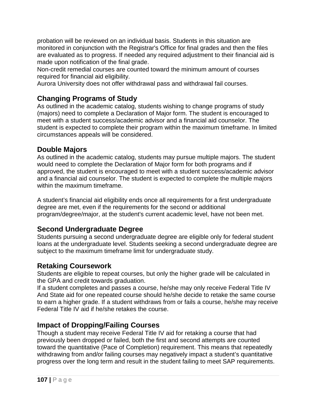probation will be reviewed on an individual basis. Students in this situation are monitored in conjunction with the Registrar's Office for final grades and then the files are evaluated as to progress. If needed any required adjustment to their financial aid is made upon notification of the final grade.

Non-credit remedial courses are counted toward the minimum amount of courses required for financial aid eligibility.

Aurora University does not offer withdrawal pass and withdrawal fail courses.

# **Changing Programs of Study**

As outlined in the academic catalog, students wishing to change programs of study (majors) need to complete a Declaration of Major form. The student is encouraged to meet with a student success/academic advisor and a financial aid counselor. The student is expected to complete their program within the maximum timeframe. In limited circumstances appeals will be considered.

# **Double Majors**

As outlined in the academic catalog, students may pursue multiple majors. The student would need to complete the Declaration of Major form for both programs and if approved, the student is encouraged to meet with a student success/academic advisor and a financial aid counselor. The student is expected to complete the multiple majors within the maximum timeframe.

A student's financial aid eligibility ends once all requirements for a first undergraduate degree are met, even if the requirements for the second or additional program/degree/major, at the student's current academic level, have not been met.

# **Second Undergraduate Degree**

Students pursuing a second undergraduate degree are eligible only for federal student loans at the undergraduate level. Students seeking a second undergraduate degree are subject to the maximum timeframe limit for undergraduate study.

# **Retaking Coursework**

Students are eligible to repeat courses, but only the higher grade will be calculated in the GPA and credit towards graduation.

If a student completes and passes a course, he/she may only receive Federal Title IV And State aid for one repeated course should he/she decide to retake the same course to earn a higher grade. If a student withdraws from or fails a course, he/she may receive Federal Title IV aid if he/she retakes the course.

# **Impact of Dropping/Failing Courses**

Though a student may receive Federal Title IV aid for retaking a course that had previously been dropped or failed, both the first and second attempts are counted toward the quantitative (Pace of Completion) requirement. This means that repeatedly withdrawing from and/or failing courses may negatively impact a student's quantitative progress over the long term and result in the student failing to meet SAP requirements.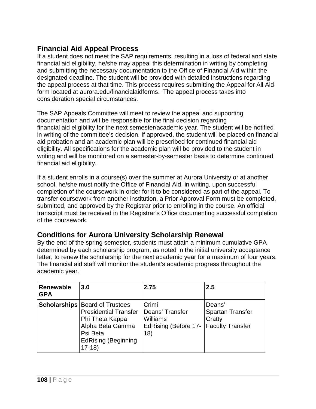# **Financial Aid Appeal Process**

If a student does not meet the SAP requirements, resulting in a loss of federal and state financial aid eligibility, he/she may appeal this determination in writing by completing and submitting the necessary documentation to the Office of Financial Aid within the designated deadline. The student will be provided with detailed instructions regarding the appeal process at that time. This process requires submitting the Appeal for All Aid form located at aurora.edu/financialaidforms. The appeal process takes into consideration special circumstances.

The SAP Appeals Committee will meet to review the appeal and supporting documentation and will be responsible for the final decision regarding financial aid eligibility for the next semester/academic year. The student will be notified in writing of the committee's decision. If approved, the student will be placed on financial aid probation and an academic plan will be prescribed for continued financial aid eligibility. All specifications for the academic plan will be provided to the student in writing and will be monitored on a semester-by-semester basis to determine continued financial aid eligibility.

If a student enrolls in a course(s) over the summer at Aurora University or at another school, he/she must notify the Office of Financial Aid, in writing, upon successful completion of the coursework in order for it to be considered as part of the appeal. To transfer coursework from another institution, a Prior Approval Form must be completed, submitted, and approved by the Registrar prior to enrolling in the course. An official transcript must be received in the Registrar's Office documenting successful completion of the coursework.

# **Conditions for Aurora University Scholarship Renewal**

By the end of the spring semester, students must attain a minimum cumulative GPA determined by each scholarship program, as noted in the initial university acceptance letter, to renew the scholarship for the next academic year for a maximum of four years. The financial aid staff will monitor the student's academic progress throughout the academic year.

| Renewable<br><b>GPA</b> | <b>3.0</b>                                                                                                                                                          | 2.75                                                                | 2.5                                                                    |
|-------------------------|---------------------------------------------------------------------------------------------------------------------------------------------------------------------|---------------------------------------------------------------------|------------------------------------------------------------------------|
|                         | <b>Scholarships   Board of Trustees</b><br><b>Presidential Transfer</b><br>Phi Theta Kappa<br>Alpha Beta Gamma<br>Psi Beta<br><b>EdRising (Beginning</b><br>$17-18$ | Crimi<br>Deans' Transfer<br>Williams<br>EdRising (Before 17-<br>18) | Deans'<br><b>Spartan Transfer</b><br>Cratty<br><b>Faculty Transfer</b> |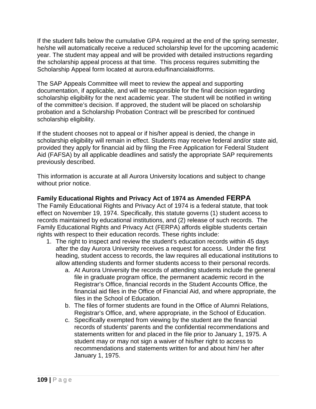If the student falls below the cumulative GPA required at the end of the spring semester, he/she will automatically receive a reduced scholarship level for the upcoming academic year. The student may appeal and will be provided with detailed instructions regarding the scholarship appeal process at that time. This process requires submitting the Scholarship Appeal form located at aurora.edu/financialaidforms.

The SAP Appeals Committee will meet to review the appeal and supporting documentation, if applicable, and will be responsible for the final decision regarding scholarship eligibility for the next academic year. The student will be notified in writing of the committee's decision. If approved, the student will be placed on scholarship probation and a Scholarship Probation Contract will be prescribed for continued scholarship eligibility.

If the student chooses not to appeal or if his/her appeal is denied, the change in scholarship eligibility will remain in effect. Students may receive federal and/or state aid, provided they apply for financial aid by filing the Free Application for Federal Student Aid (FAFSA) by all applicable deadlines and satisfy the appropriate SAP requirements previously described.

This information is accurate at all Aurora University locations and subject to change without prior notice.

### **Family Educational Rights and Privacy Act of 1974 as Amended FERPA**

The Family Educational Rights and Privacy Act of 1974 is a federal statute, that took effect on November 19, 1974. Specifically, this statute governs (1) student access to records maintained by educational institutions, and (2) release of such records. The Family Educational Rights and Privacy Act (FERPA) affords eligible students certain rights with respect to their education records. These rights include:

- 1. The right to inspect and review the student's education records within 45 days after the day Aurora University receives a request for access. Under the first heading, student access to records, the law requires all educational institutions to allow attending students and former students access to their personal records.
	- a. At Aurora University the records of attending students include the general file in graduate program office, the permanent academic record in the Registrar's Office, financial records in the Student Accounts Office, the financial aid files in the Office of Financial Aid, and where appropriate, the files in the School of Education.
	- b. The files of former students are found in the Office of Alumni Relations, Registrar's Office, and, where appropriate, in the School of Education.
	- c. Specifically exempted from viewing by the student are the financial records of students' parents and the confidential recommendations and statements written for and placed in the file prior to January 1, 1975. A student may or may not sign a waiver of his/her right to access to recommendations and statements written for and about him/ her after January 1, 1975.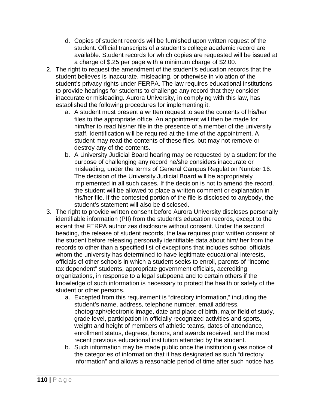- d. Copies of student records will be furnished upon written request of the student. Official transcripts of a student's college academic record are available. Student records for which copies are requested will be issued at a charge of \$.25 per page with a minimum charge of \$2.00.
- 2. The right to request the amendment of the student's education records that the student believes is inaccurate, misleading, or otherwise in violation of the student's privacy rights under FERPA. The law requires educational institutions to provide hearings for students to challenge any record that they consider inaccurate or misleading. Aurora University, in complying with this law, has established the following procedures for implementing it.
	- a. A student must present a written request to see the contents of his/her files to the appropriate office. An appointment will then be made for him/her to read his/her file in the presence of a member of the university staff. Identification will be required at the time of the appointment. A student may read the contents of these files, but may not remove or destroy any of the contents.
	- b. A University Judicial Board hearing may be requested by a student for the purpose of challenging any record he/she considers inaccurate or misleading, under the terms of General Campus Regulation Number 16. The decision of the University Judicial Board will be appropriately implemented in all such cases. If the decision is not to amend the record, the student will be allowed to place a written comment or explanation in his/her file. If the contested portion of the file is disclosed to anybody, the student's statement will also be disclosed.
- 3. The right to provide written consent before Aurora University discloses personally identifiable information (PII) from the student's education records, except to the extent that FERPA authorizes disclosure without consent. Under the second heading, the release of student records, the law requires prior written consent of the student before releasing personally identifiable data about him/ her from the records to other than a specified list of exceptions that includes school officials, whom the university has determined to have legitimate educational interests, officials of other schools in which a student seeks to enroll, parents of "income tax dependent" students, appropriate government officials, accrediting organizations, in response to a legal subpoena and to certain others if the knowledge of such information is necessary to protect the health or safety of the student or other persons.
	- a. Excepted from this requirement is "directory information," including the student's name, address, telephone number, email address, photograph/electronic image, date and place of birth, major field of study, grade level, participation in officially recognized activities and sports, weight and height of members of athletic teams, dates of attendance, enrollment status, degrees, honors, and awards received, and the most recent previous educational institution attended by the student.
	- b. Such information may be made public once the institution gives notice of the categories of information that it has designated as such "directory information" and allows a reasonable period of time after such notice has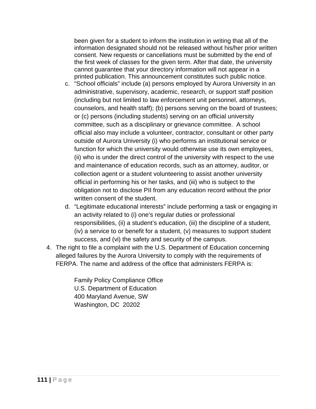been given for a student to inform the institution in writing that all of the information designated should not be released without his/her prior written consent. New requests or cancellations must be submitted by the end of the first week of classes for the given term. After that date, the university cannot guarantee that your directory information will not appear in a printed publication. This announcement constitutes such public notice.

- c. "School officials" include (a) persons employed by Aurora University in an administrative, supervisory, academic, research, or support staff position (including but not limited to law enforcement unit personnel, attorneys, counselors, and health staff); (b) persons serving on the board of trustees; or (c) persons (including students) serving on an official university committee, such as a disciplinary or grievance committee. A school official also may include a volunteer, contractor, consultant or other party outside of Aurora University (i) who performs an institutional service or function for which the university would otherwise use its own employees, (ii) who is under the direct control of the university with respect to the use and maintenance of education records, such as an attorney, auditor, or collection agent or a student volunteering to assist another university official in performing his or her tasks, and (iii) who is subject to the obligation not to disclose PII from any education record without the prior written consent of the student.
- d. "Legitimate educational interests" include performing a task or engaging in an activity related to (i) one's regular duties or professional responsibilities, (ii) a student's education, (iii) the discipline of a student, (iv) a service to or benefit for a student, (v) measures to support student success, and (vi) the safety and security of the campus.
- 4. The right to file a complaint with the U.S. Department of Education concerning alleged failures by the Aurora University to comply with the requirements of FERPA. The name and address of the office that administers FERPA is:

Family Policy Compliance Office U.S. Department of Education 400 Maryland Avenue, SW Washington, DC 20202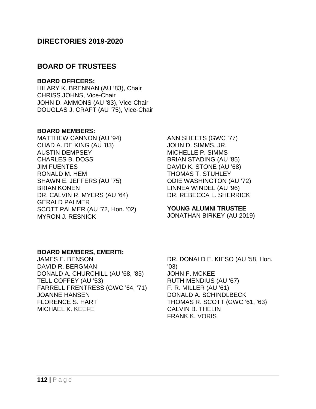## **DIRECTORIES 2019-2020**

## **BOARD OF TRUSTEES**

#### **BOARD OFFICERS:**

HILARY K. BRENNAN (AU '83), Chair CHRISS JOHNS, Vice-Chair JOHN D. AMMONS (AU '83), Vice-Chair DOUGLAS J. CRAFT (AU '75), Vice-Chair

#### **BOARD MEMBERS:**

MATTHEW CANNON (AU '94) CHAD A. DE KING (AU '83) AUSTIN DEMPSEY CHARLES B. DOSS JIM FUENTES RONALD M. HEM SHAWN E. JEFFERS (AU '75) BRIAN KONEN DR. CALVIN R. MYERS (AU '64) GERALD PALMER SCOTT PALMER (AU '72, Hon. '02) MYRON J. RESNICK

ANN SHEETS (GWC '77) JOHN D. SIMMS, JR. MICHELLE P. SIMMS BRIAN STADING (AU '85) DAVID K. STONE (AU '68) THOMAS T. STUHLEY ODIE WASHINGTON (AU '72) LINNEA WINDEL (AU '96) DR. REBECCA L. SHERRICK

#### **YOUNG ALUMNI TRUSTEE**

JONATHAN BIRKEY (AU 2019)

#### **BOARD MEMBERS, EMERITI:**

JAMES E. BENSON DAVID R. BERGMAN DONALD A. CHURCHILL (AU '68, '85) TELL COFFEY (AU '53) FARRELL FRENTRESS (GWC '64, '71) JOANNE HANSEN FLORENCE S. HART MICHAEL K. KEEFE

DR. DONALD E. KIESO (AU '58, Hon. '03) JOHN F. MCKEE RUTH MENDIUS (AU '67) F. R. MILLER (AU '61) DONALD A. SCHINDLBECK THOMAS R. SCOTT (GWC '61, '63) CALVIN B. THELIN FRANK K. VORIS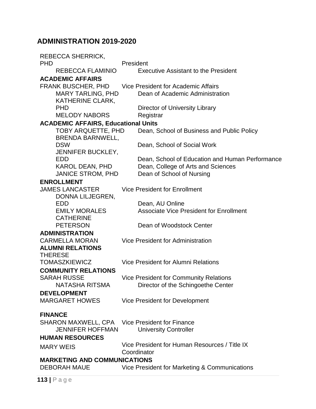# **ADMINISTRATION 2019-2020**

| <b>REBECCA SHERRICK,</b>                              |                                                 |  |
|-------------------------------------------------------|-------------------------------------------------|--|
| <b>PHD</b>                                            | President                                       |  |
| <b>REBECCA FLAMINIO</b>                               | <b>Executive Assistant to the President</b>     |  |
| <b>ACADEMIC AFFAIRS</b>                               |                                                 |  |
| FRANK BUSCHER, PHD                                    | Vice President for Academic Affairs             |  |
| <b>MARY TARLING, PHD</b>                              | Dean of Academic Administration                 |  |
| <b>KATHERINE CLARK,</b>                               |                                                 |  |
| <b>PHD</b>                                            | Director of University Library                  |  |
| <b>MELODY NABORS</b>                                  | Registrar                                       |  |
| <b>ACADEMIC AFFAIRS, Educational Units</b>            |                                                 |  |
| <b>TOBY ARQUETTE, PHD</b>                             | Dean, School of Business and Public Policy      |  |
| <b>BRENDA BARNWELL,</b>                               |                                                 |  |
| <b>DSW</b><br><b>JENNIFER BUCKLEY,</b>                | Dean, School of Social Work                     |  |
| <b>EDD</b>                                            | Dean, School of Education and Human Performance |  |
| <b>KAROL DEAN, PHD</b>                                | Dean, College of Arts and Sciences              |  |
| <b>JANICE STROM, PHD</b>                              | Dean of School of Nursing                       |  |
| <b>ENROLLMENT</b>                                     |                                                 |  |
| <b>JAMES LANCASTER</b>                                | <b>Vice President for Enrollment</b>            |  |
| DONNA LILJEGREN,                                      |                                                 |  |
| <b>EDD</b>                                            | Dean, AU Online                                 |  |
| <b>EMILY MORALES</b>                                  | <b>Associate Vice President for Enrollment</b>  |  |
| <b>CATHERINE</b>                                      |                                                 |  |
| <b>PETERSON</b>                                       | Dean of Woodstock Center                        |  |
| <b>ADMINISTRATION</b>                                 |                                                 |  |
| <b>CARMELLA MORAN</b>                                 | Vice President for Administration               |  |
| <b>ALUMNI RELATIONS</b>                               |                                                 |  |
| <b>THERESE</b>                                        |                                                 |  |
| <b>TOMASZKIEWICZ</b>                                  | Vice President for Alumni Relations             |  |
| <b>COMMUNITY RELATIONS</b>                            |                                                 |  |
| <b>SARAH RUSSE</b>                                    | Vice President for Community Relations          |  |
| <b>NATASHA RITSMA</b>                                 | Director of the Schingoethe Center              |  |
| <b>DEVELOPMENT</b>                                    |                                                 |  |
| <b>MARGARET HOWES</b>                                 | Vice President for Development                  |  |
| <b>FINANCE</b>                                        |                                                 |  |
| <b>SHARON MAXWELL, CPA</b> Vice President for Finance |                                                 |  |
| <b>JENNIFER HOFFMAN</b>                               | <b>University Controller</b>                    |  |
| <b>HUMAN RESOURCES</b>                                |                                                 |  |
|                                                       | Vice President for Human Resources / Title IX   |  |
| <b>MARY WEIS</b>                                      | Coordinator                                     |  |
| <b>MARKETING AND COMMUNICATIONS</b>                   |                                                 |  |
| DEBORAH MAUE                                          | Vice President for Marketing & Communications   |  |
|                                                       |                                                 |  |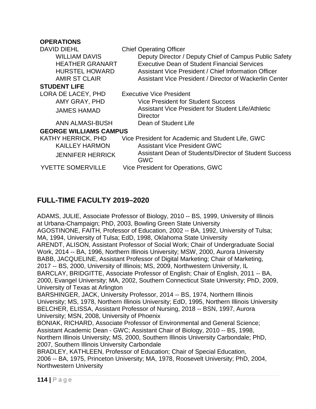#### **OPERATIONS**

| DAVID DIEHL<br><b>WILLIAM DAVIS</b><br><b>HEATHER GRANART</b><br><b>HURSTEL HOWARD</b><br><b>AMIR ST CLAIR</b> | <b>Chief Operating Officer</b><br>Deputy Director / Deputy Chief of Campus Public Safety<br><b>Executive Dean of Student Financial Services</b><br>Assistant Vice President / Chief Information Officer<br>Assistant Vice President / Director of Wackerlin Center |
|----------------------------------------------------------------------------------------------------------------|--------------------------------------------------------------------------------------------------------------------------------------------------------------------------------------------------------------------------------------------------------------------|
| <b>STUDENT LIFE</b>                                                                                            |                                                                                                                                                                                                                                                                    |
| LORA DE LACEY, PHD                                                                                             | <b>Executive Vice President</b>                                                                                                                                                                                                                                    |
| AMY GRAY, PHD                                                                                                  | Vice President for Student Success                                                                                                                                                                                                                                 |
| <b>JAMES HAMAD</b>                                                                                             | Assistant Vice President for Student Life/Athletic<br>Director                                                                                                                                                                                                     |
| ANN ALMASI-BUSH                                                                                                | Dean of Student Life                                                                                                                                                                                                                                               |
| <b>GEORGE WILLIAMS CAMPUS</b>                                                                                  |                                                                                                                                                                                                                                                                    |
| KATHY HERRICK, PHD                                                                                             | Vice President for Academic and Student Life, GWC                                                                                                                                                                                                                  |
| <b>KAILLEY HARMON</b>                                                                                          | <b>Assistant Vice President GWC</b>                                                                                                                                                                                                                                |
| <b>JENNIFER HERRICK</b>                                                                                        | Assistant Dean of Students/Director of Student Success<br><b>GWC</b>                                                                                                                                                                                               |
| <b>YVETTE SOMERVILLE</b>                                                                                       | Vice President for Operations, GWC                                                                                                                                                                                                                                 |
|                                                                                                                |                                                                                                                                                                                                                                                                    |

# **FULL-TIME FACULTY 2019–2020**

ADAMS, JULIE, Associate Professor of Biology, 2010 -- BS, 1999, University of Illinois at Urbana-Champaign; PhD, 2003, Bowling Green State University AGOSTINONE, FAITH, Professor of Education, 2002 -- BA, 1992, University of Tulsa; MA, 1994, University of Tulsa; EdD, 1998, Oklahoma State University ARENDT, ALISON, Assistant Professor of Social Work; Chair of Undergraduate Social Work, 2014 -- BA, 1996, Northern Illinois University; MSW, 2000, Aurora University BABB, JACQUELINE, Assistant Professor of Digital Marketing; Chair of Marketing, 2017 -- BS, 2000, University of Illinois; MS, 2009, Northwestern University, IL BARCLAY, BRIDGITTE, Associate Professor of English; Chair of English, 2011 -- BA, 2000, Evangel University; MA, 2002, Southern Connecticut State University; PhD, 2009, University of Texas at Arlington

BARSHINGER, JACK, University Professor, 2014 -- BS, 1974, Northern Illinois University; MS, 1978, Northern Illinois University; EdD, 1995, Northern Illinois University BELCHER, ELISSA, Assistant Professor of Nursing, 2018 -- BSN, 1997, Aurora University; MSN, 2008, University of Phoenix

BONIAK, RICHARD, Associate Professor of Environmental and General Science; Assistant Academic Dean - GWC; Assistant Chair of Biology, 2010 -- BS, 1998, Northern Illinois University; MS, 2000, Southern Illinois University Carbondale; PhD, 2007, Southern Illinois University Carbondale

BRADLEY, KATHLEEN, Professor of Education; Chair of Special Education, 2006 -- BA, 1975, Princeton University; MA, 1978, Roosevelt University; PhD, 2004, Northwestern University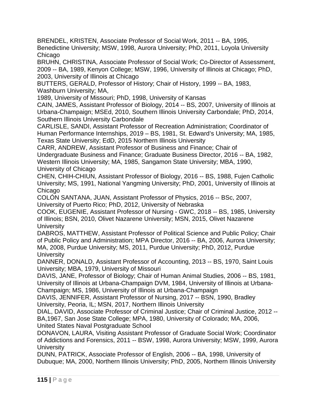BRENDEL, KRISTEN, Associate Professor of Social Work, 2011 -- BA, 1995, Benedictine University; MSW, 1998, Aurora University; PhD, 2011, Loyola University **Chicago** 

BRUHN, CHRISTINA, Associate Professor of Social Work; Co-Director of Assessment, 2009 -- BA, 1989, Kenyon College; MSW, 1996, University of Illinois at Chicago; PhD, 2003, University of Illinois at Chicago

BUTTERS, GERALD, Professor of History; Chair of History, 1999 -- BA, 1983, Washburn University; MA,

1989, University of Missouri; PhD, 1998, University of Kansas

CAIN, JAMES, Assistant Professor of Biology, 2014 -- BS, 2007, University of Illinois at Urbana-Champaign; MSEd, 2010, Southern Illinois University Carbondale; PhD, 2014, Southern Illinois University Carbondale

CARLISLE, SANDI, Assistant Professor of Recreation Administration; Coordinator of Human Performance Internships, 2019 – BS, 1981, St. Edward's University; MA, 1985, Texas State University; EdD, 2015 Northern Illinois University

CARR, ANDREW, Assistant Professor of Business and Finance; Chair of Undergraduate Business and Finance; Graduate Business Director, 2016 -- BA, 1982, Western Illinois University; MA, 1985, Sangamon State University; MBA, 1990, University of Chicago

CHEN, CHIH-CHIUN, Assistant Professor of Biology, 2016 -- BS, 1988, Fujen Catholic University; MS, 1991, National Yangming University; PhD, 2001, University of Illinois at **Chicago** 

COLÓN SANTANA, JUAN, Assistant Professor of Physics, 2016 -- BSc, 2007, University of Puerto Rico; PhD, 2012, University of Nebraska

COOK, EUGENIE, Assistant Professor of Nursing - GWC, 2018 -- BS, 1985, University of Illinois; BSN, 2010, Olivet Nazarene University; MSN, 2015, Olivet Nazarene **University** 

DABROS, MATTHEW, Assistant Professor of Political Science and Public Policy; Chair of Public Policy and Administration; MPA Director, 2016 -- BA, 2006, Aurora University; MA, 2008, Purdue University; MS, 2011, Purdue University; PhD, 2012, Purdue **University** 

DANNER, DONALD, Assistant Professor of Accounting, 2013 -- BS, 1970, Saint Louis University; MBA, 1979, University of Missouri

DAVIS, JANE, Professor of Biology; Chair of Human Animal Studies, 2006 -- BS, 1981, University of Illinois at Urbana-Champaign DVM, 1984, University of Illinois at Urbana-Champaign; MS, 1986, University of Illinois at Urbana-Champaign

DAVIS, JENNIFER, Assistant Professor of Nursing, 2017 -- BSN, 1990, Bradley University, Peoria, IL; MSN, 2017, Northern Illinois University

DIAL, DAVID, Associate Professor of Criminal Justice; Chair of Criminal Justice, 2012 -- BA,1967, San Jose State College; MPA, 1980, University of Colorado; MA, 2006, United States Naval Postgraduate School

DONAVON, LAURA, Visiting Assistant Professor of Graduate Social Work; Coordinator of Addictions and Forensics, 2011 -- BSW, 1998, Aurora University; MSW, 1999, Aurora **University** 

DUNN, PATRICK, Associate Professor of English, 2006 -- BA, 1998, University of Dubuque; MA, 2000, Northern Illinois University; PhD, 2005, Northern Illinois University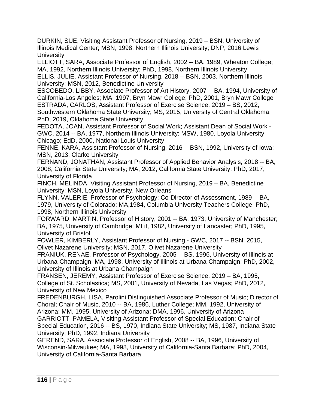DURKIN, SUE, Visiting Assistant Professor of Nursing, 2019 – BSN, University of Illinois Medical Center; MSN, 1998, Northern Illinois University; DNP, 2016 Lewis **University** 

ELLIOTT, SARA, Associate Professor of English, 2002 -- BA, 1989, Wheaton College; MA, 1992, Northern Illinois University; PhD, 1998, Northern Illinois University ELLIS, JULIE, Assistant Professor of Nursing, 2018 -- BSN, 2003, Northern Illinois University; MSN, 2012, Benedictine University

ESCOBEDO, LIBBY, Associate Professor of Art History, 2007 -- BA, 1994, University of California-Los Angeles; MA, 1997, Bryn Mawr College; PhD, 2001, Bryn Mawr College ESTRADA, CARLOS, Assistant Professor of Exercise Science, 2019 – BS, 2012, Southwestern Oklahoma State University; MS, 2015, University of Central Oklahoma; PhD, 2019, Oklahoma State University

FEDOTA, JOAN, Assistant Professor of Social Work; Assistant Dean of Social Work - GWC, 2014 -- BA, 1977, Northern Illinois University; MSW, 1980, Loyola University Chicago; EdD, 2000, National Louis University

FENNE, KARA, Assistant Professor of Nursing, 2016 -- BSN, 1992, University of Iowa; MSN, 2013, Clarke University

FERNAND, JONATHAN, Assistant Professor of Applied Behavior Analysis, 2018 -- BA, 2008, California State University; MA, 2012, California State University; PhD, 2017, University of Florida

FINCH, MELINDA, Visiting Assistant Professor of Nursing, 2019 – BA, Benedictine University; MSN, Loyola University, New Orleans

FLYNN, VALERIE, Professor of Psychology; Co-Director of Assessment, 1989 -- BA, 1979, University of Colorado; MA,1984, Columbia University Teachers College; PhD, 1998, Northern Illinois University

FORWARD, MARTIN, Professor of History, 2001 -- BA, 1973, University of Manchester; BA, 1975, University of Cambridge; MLit, 1982, University of Lancaster; PhD, 1995, University of Bristol

FOWLER, KIMBERLY, Assistant Professor of Nursing - GWC, 2017 -- BSN, 2015, Olivet Nazarene University; MSN, 2017, Olivet Nazarene University

FRANIUK, RENAE, Professor of Psychology, 2005 -- BS, 1996, University of Illinois at Urbana-Champaign; MA, 1998, University of Illinois at Urbana-Champaign; PhD, 2002, University of Illinois at Urbana-Champaign

FRANSEN, JEREMY, Assistant Professor of Exercise Science, 2019 – BA, 1995, College of St. Scholastica; MS, 2001, University of Nevada, Las Vegas; PhD, 2012, University of New Mexico

FREDENBURGH, LISA, Parolini Distinguished Associate Professor of Music; Director of Choral; Chair of Music, 2010 -- BA, 1986, Luther College; MM, 1992, University of Arizona; MM, 1995, University of Arizona; DMA, 1996, University of Arizona GARRIOTT, PAMELA, Visiting Assistant Professor of Special Education; Chair of

Special Education, 2016 -- BS, 1970, Indiana State University; MS, 1987, Indiana State University; PhD, 1992, Indiana University

GEREND, SARA, Associate Professor of English, 2008 -- BA, 1996, University of Wisconsin-Milwaukee; MA, 1998, University of California-Santa Barbara; PhD, 2004, University of California-Santa Barbara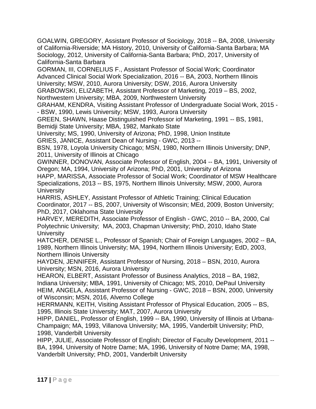GOALWIN, GREGORY, Assistant Professor of Sociology, 2018 -- BA, 2008, University of California-Riverside; MA History, 2010, University of California-Santa Barbara; MA Sociology, 2012, University of California-Santa Barbara; PhD, 2017, University of California-Santa Barbara

GORMAN, III, CORNELIUS F., Assistant Professor of Social Work; Coordinator Advanced Clinical Social Work Specialization, 2016 -- BA, 2003, Northern Illinois University; MSW, 2010, Aurora University; DSW, 2016, Aurora University

GRABOWSKI, ELIZABETH, Assistant Professor of Marketing, 2019 – BS, 2002, Northwestern University; MBA, 2009, Northwestern University

GRAHAM, KENDRA, Visiting Assistant Professor of Undergraduate Social Work, 2015 - - BSW, 1990, Lewis University; MSW, 1993, Aurora University

GREEN, SHAWN, Haase Distinguished Professor iof Marketing, 1991 -- BS, 1981, Bemidji State University; MBA, 1982, Mankato State

University; MS, 1990, University of Arizona; PhD, 1998, Union Institute

GRIES, JANICE, Assistant Dean of Nursing - GWC, 2013 --

BSN, 1978, Loyola University Chicago; MSN, 1980, Northern Illinois University; DNP, 2011, University of Illinois at Chicago

GWINNER, DONOVAN, Associate Professor of English, 2004 -- BA, 1991, University of Oregon; MA, 1994, University of Arizona; PhD, 2001, University of Arizona

HAPP, MARISSA, Associate Professor of Social Work; Coordinator of MSW Healthcare Specializations, 2013 -- BS, 1975, Northern Illinois University; MSW, 2000, Aurora **University** 

HARRIS, ASHLEY, Assistant Professor of Athletic Training; Clinical Education Coordinator, 2017 -- BS, 2007, University of Wisconsin; MEd, 2009, Boston University; PhD, 2017, Oklahoma State University

HARVEY, MEREDITH, Associate Professor of English - GWC, 2010 -- BA, 2000, Cal Polytechnic University; MA, 2003, Chapman University; PhD, 2010, Idaho State **University** 

HATCHER, DENISE L., Professor of Spanish; Chair of Foreign Languages, 2002 -- BA, 1989, Northern Illinois University; MA, 1994, Northern Illinois University; EdD, 2003, Northern Illinois University

HAYDEN, JENNIFER, Assistant Professor of Nursing, 2018 – BSN, 2010, Aurora University; MSN, 2016, Aurora University

HEARON, ELBERT, Assistant Professor of Business Analytics, 2018 – BA, 1982, Indiana University; MBA, 1991, University of Chicago; MS, 2010, DePaul University HEIM, ANGELA, Assistant Professor of Nursing - GWC, 2018 – BSN, 2000, University of Wisconsin; MSN, 2016, Alverno College

HERRMANN, KEITH, Visiting Assistant Professor of Physical Education, 2005 -- BS, 1995, Illinois State University; MAT, 2007, Aurora University

HIPP, DANIEL, Professor of English, 1999 -- BA, 1990, University of Illinois at Urbana-Champaign; MA, 1993, Villanova University; MA, 1995, Vanderbilt University; PhD, 1998, Vanderbilt University

HIPP, JULIE, Associate Professor of English; Director of Faculty Development, 2011 -- BA, 1994, University of Notre Dame; MA, 1996, University of Notre Dame; MA, 1998, Vanderbilt University; PhD, 2001, Vanderbilt University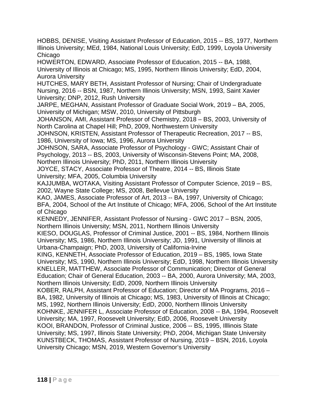HOBBS, DENISE, Visiting Assistant Professor of Education, 2015 -- BS, 1977, Northern Illinois University; MEd, 1984, National Louis University; EdD, 1999, Loyola University Chicago

HOWERTON, EDWARD, Associate Professor of Education, 2015 -- BA, 1988, University of Illinois at Chicago; MS, 1995, Northern Illinois University; EdD, 2004, Aurora University

HUTCHES, MARY BETH, Assistant Professor of Nursing; Chair of Undergraduate Nursing, 2016 -- BSN, 1987, Northern Illinois University; MSN, 1993, Saint Xavier University; DNP, 2012, Rush University

JARPE, MEGHAN, Assistant Professor of Graduate Social Work, 2019 – BA, 2005, University of Michigan; MSW, 2010, University of Pittsburgh

JOHANSON, AMI, Assistant Professor of Chemistry, 2018 – BS, 2003, University of North Carolina at Chapel Hill; PhD, 2009, Northwestern University

JOHNSON, KRISTEN, Assistant Professor of Therapeutic Recreation, 2017 -- BS, 1986, University of Iowa; MS, 1996, Aurora University

JOHNSON, SARA, Associate Professor of Psychology - GWC; Assistant Chair of Psychology, 2013 -- BS, 2003, University of Wisconsin-Stevens Point; MA, 2008,

Northern Illinois University; PhD, 2011, Northern Illinois University

JOYCE, STACY, Associate Professor of Theatre, 2014 -- BS, Illinois State University; MFA, 2005, Columbia University

KAJJUMBA, WOTAKA, Visiting Assistant Professor of Computer Science, 2019 – BS, 2002, Wayne State College; MS, 2008, Bellevue University

KAO, JAMES, Associate Professor of Art, 2013 -- BA, 1997, University of Chicago; BFA, 2004, School of the Art Institute of Chicago; MFA, 2006, School of the Art Institute of Chicago

KENNEDY, JENNIFER, Assistant Professor of Nursing - GWC 2017 – BSN, 2005, Northern Illinois University; MSN, 2011, Northern Illinois University

KIESO, DOUGLAS, Professor of Criminal Justice, 2001 -- BS, 1984, Northern Illinois University; MS, 1986, Northern Illinois University; JD, 1991, University of Illinois at Urbana-Champaign; PhD, 2003, University of California-Irvine

KING, KENNETH, Associate Professor of Education, 2019 – BS, 1985, Iowa State University; MS, 1990, Northern Illinois University; EdD, 1998, Northern Illinois University KNELLER, MATTHEW, Associate Professor of Communication; Director of General Education; Chair of General Education, 2003 -- BA, 2000, Aurora University; MA, 2003, Northern Illinois University; EdD, 2009, Northern Illinois University

KOBER, RALPH, Assistant Professor of Education; Director of MA Programs, 2016 – BA, 1982, University of Illinois at Chicago; MS, 1983, University of Illinois at Chicago; MS, 1992, Northern Illinois University; EdD, 2000, Northern Illinois University

KOHNKE, JENNIFER L, Associate Professor of Education, 2008 -- BA, 1994, Roosevelt University; MA, 1997, Roosevelt University; EdD, 2006, Roosevelt University

KOOI, BRANDON, Professor of Criminal Justice, 2006 -- BS, 1995, Illlinois State University; MS, 1997, Illinois State University; PhD, 2004, Michigan State University KUNSTBECK, THOMAS, Assistant Professor of Nursing, 2019 – BSN, 2016, Loyola University Chicago; MSN, 2019, Western Governor's University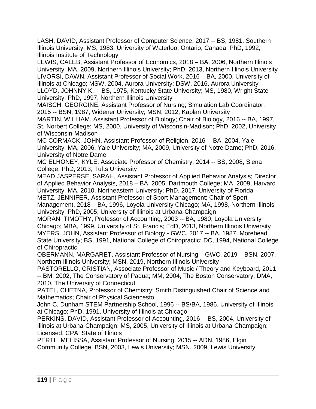LASH, DAVID, Assistant Professor of Computer Science, 2017 -- BS, 1981, Southern Illinois University; MS, 1983, University of Waterloo, Ontario, Canada; PhD, 1992, Illinois Institute of Technology

LEWIS, CALEB, Assistant Professor of Economics, 2018 – BA, 2006, Northern Illinois University; MA, 2009, Northern Illinois University; PhD, 2013, Northern Illinois University LIVORSI, DAWN, Assistant Professor of Social Work, 2016 – BA, 2000, University of Illinois at Chicago; MSW, 2004, Aurora University; DSW, 2016, Aurora University LLOYD, JOHNNY K. -- BS, 1975, Kentucky State University; MS, 1980, Wright State University; PhD, 1997, Northern Illinois University

MAISCH, GEORGINE, Assistant Professor of Nursing; Simulation Lab Coordinator, 2015 -- BSN, 1987, Widener University; MSN, 2012, Kaplan University

MARTIN, WILLIAM, Assistant Professor of Biology; Chair of Biology, 2016 -- BA, 1997, St. Norbert College; MS, 2000, University of Wisconsin-Madison; PhD, 2002, University of Wisconsin-Madison

MC CORMACK, JOHN, Assistant Professor of Religion, 2016 -- BA, 2004, Yale University; MA, 2006, Yale University; MA, 2009, University of Notre Dame; PhD, 2016, University of Notre Dame

MC ELHONEY, KYLE, Associate Professor of Chemistry, 2014 -- BS, 2008, Siena College; PhD, 2013, Tufts University

MEAD JASPERSE, SARAH, Assistant Professor of Applied Behavior Analysis; Director of Applied Behavior Analysis, 2018 – BA, 2005, Dartmouth College; MA, 2009, Harvard University; MA, 2010, Northeastern University; PhD, 2017, University of Florida METZ, JENNIFER, Assistant Professor of Sport Management; Chair of Sport Management, 2018 – BA, 1996, Loyola University Chicago; MA, 1998, Northern Illinois University; PhD, 2005, University of Illinois at Urbana-Champaign

MORAN, TIMOTHY, Professor of Accounting, 2003 -- BA, 1980, Loyola University Chicago; MBA, 1999, University of St. Francis; EdD, 2013, Northern Illinois University MYERS, JOHN, Assistant Professor of Biology - GWC, 2017 -- BA, 1987, Morehead State University; BS, 1991, National College of Chiropractic; DC, 1994, National College of Chiropractic

OBERMANN, MARGARET, Assistant Professor of Nursing – GWC, 2019 – BSN, 2007, Northern Illinois University; MSN, 2019, Northern Illinois University

PASTORELLO, CRISTIAN, Associate Professor of Music / Theory and Keyboard, 2011 -- BM, 2002, The Conservatory of Padua; MM, 2004, The Boston Conservatory; DMA, 2010, The University of Connecticut

PATEL, CHETNA, Professor of Chemistry; Smith Distinguished Chair of Science and Mathematics; Chair of Physical Sciencesto

John C. Dunham STEM Partnership School, 1996 -- BS/BA, 1986, University of Illinois at Chicago; PhD, 1991, University of Illinois at Chicago

PERKINS, DAVID, Assistant Professor of Accounting, 2016 -- BS, 2004, University of Illinois at Urbana-Champaign; MS, 2005, University of Illinois at Urbana-Champaign; Licensed, CPA, State of Illinois

PERTL, MELISSA, Assistant Professor of Nursing, 2015 -- ADN, 1986, Elgin Community College; BSN, 2003, Lewis University; MSN, 2009, Lewis University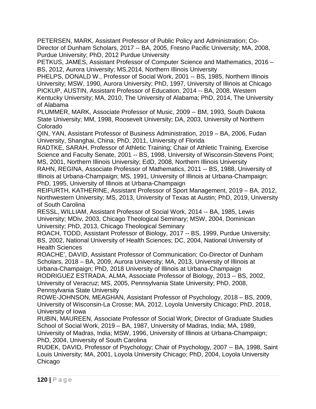PETERSEN, MARK, Assistant Professor of Public Policy and Administration; Co-Director of Dunham Scholars, 2017 -- BA, 2005, Fresno Pacific University; MA, 2008, Purdue University; PhD, 2012 Purdue University

PETKUS, JAMES, Assistant Professor of Computer Science and Mathematics, 2016 – BS, 2012, Aurora University; MS,2014, Northern Illinois University

PHELPS, DONALD W., Professor of Social Work, 2001 -- BS, 1985, Northern Illinois University; MSW, 1990, Aurora University; PhD, 1997, University of Illinois at Chicago PICKUP, AUSTIN, Assistant Professor of Education, 2014 -- BA, 2008, Western Kentucky University; MA, 2010, The University of Alabama; PhD, 2014, The University of Alabama

PLUMMER, MARK, Associate Professor of Music, 2009 -- BM, 1993, South Dakota State University; MM, 1998, Roosevelt University; DA, 2003, University of Northern Colorado

QIN, YAN, Assistant Professor of Business Administration, 2019 – BA, 2006, Fudan University, Shanghai, China; PhD, 2011, University of Florida

RADTKE, SARAH, Professor of Athletic Training; Chair of Athletic Training, Exercise Science and Faculty Senate, 2001 -- BS, 1998, University of Wisconsin-Stevens Point; MS, 2001, Northern Illinois University; EdD, 2008, Northern Illinois University

RAHN, REGINA, Associate Professor of Mathematics, 2011 -- BS, 1988, University of Illinois at Urbana-Champaign; MS, 1991, University of Illinois at Urbana-Champaign; PhD, 1995, University of Illinois at Urbana-Champaign

REIFURTH, KATHERINE, Assistant Professor of Sport Management, 2019 – BA, 2012, Northwestern University; MS, 2013, University of Texas at Austin; PhD, 2019, University of South Carolina

RESSL, WILLIAM, Assistant Professor of Social Work, 2014 -- BA, 1985, Lewis University; MDiv, 2003, Chicago Theological Seminary; MSW, 2004, Dominican University; PhD, 2013, Chicago Theological Seminary

ROACH, TODD, Assistant Professor of Biology, 2017 -- BS, 1999, Purdue University; BS, 2002, National University of Health Sciences; DC, 2004, National University of Health Sciences

ROACHE', DAVID, Assistant Professor of Communication; Co-Director of Dunham Scholars, 2018 – BA, 2009, Aurora University; MA, 2013, University of Illinois at Urbana-Champaign; PhD, 2018 University of Illinois at Urbana-Champaign

RODRIGUEZ ESTRADA, ALMA, Associate Professor of Biology, 2013 -- BS, 2002, University of Veracruz; MS, 2005, Pennsylvania State University; PhD, 2008, Pennsylvania State University

ROWE-JOHNSON, MEAGHAN, Assistant Professor of Psychology, 2018 – BS, 2009, University of Wisconsin-La Crosse; MA, 2012, Loyola University Chicago; PhD, 2018, University of Iowa

RUBIN, MAUREEN, Associate Professor of Social Work; Director of Graduate Studies School of Social Work, 2019 – BA, 1987, University of Madras, India; MA, 1989,

University of Madras, India; MSW, 1996, University of Illinois at Urbana-Champaign; PhD, 2004, University of South Carolina

RUDEK, DAVID, Professor of Psychology; Chair of Psychology, 2007 -- BA, 1998, Saint Louis University; MA, 2001, Loyola University Chicago; PhD, 2004, Loyola University Chicago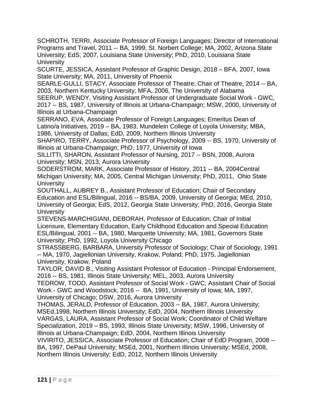SCHROTH, TERRI, Associate Professor of Foreign Languages; Director of International Programs and Travel, 2011 -- BA, 1999, St. Norbert College; MA, 2002, Arizona State University; EdS, 2007, Louisiana State University; PhD, 2010, Louisiana State **University** 

SCURTE, JESSICA, Assistant Professor of Graphic Design, 2018 – BFA, 2007, Iowa State University; MA, 2011, University of Phoenix

SEARLE-GULLI, STACY, Associate Professor of Theatre; Chair of Theatre, 2014 -- BA, 2003, Northern Kentucky University; MFA, 2006, The University of Alabama

SEERUP, WENDY, Visiting Assistant Professor of Undergraduate Social Work - GWC, 2017 -- BS, 1987, University of Illinois at Urbana-Champaign; MSW, 2000, University of Illinois at Urbana-Champaign

SERRANO, EVA, Associate Professor of Foreign Languages; Emeritus Dean of Latino/a Initiatives, 2019 – BA, 1983, Mundelein College of Loyola University; MBA, 1986, University of Dallas; EdD, 2009, Northern Illinois University

SHAPIRO, TERRY, Associate Professor of Psychology, 2009 -- BS, 1970, University of Illinois at Urbana-Champaign; PhD, 1977, University of Iowa

SILLITTI, SHARON, Assistant Professor of Nursing, 2017 -- BSN, 2008, Aurora University; MSN, 2013, Aurora University

SODERSTROM, MARK, Associate Professor of History, 2011 -- BA, 2004Central Michigan University; MA, 2005, Central Michigan University; PhD, 2011, Ohio State **University** 

SOUTHALL, AUBREY B., Assistant Professor of Education; Chair of Secondary Education and ESL/Bilingual, 2016 -- BS/BA, 2009, University of Georgia; MEd, 2010, University of Georgia; EdS, 2012, Georgia State University; PhD, 2016, Georgia State **University** 

STEVENS-MARCHIGIANI, DEBORAH, Professor of Education; Chair of Initial Licensure, Elementary Education, Early Childhood Education and Special Education ESL/Bilingual, 2001 -- BA, 1980, Marquette University; MA, 1981, Governors State University; PhD, 1992, Loyola University Chicago

STRASSBERG, BARBARA, University Professor of Sociology; Chair of Sociology, 1991 -- MA, 1970, Jagiellonian University, Krakow, Poland; PhD, 1975, Jagiellonian University, Krakow, Poland

TAYLOR, DAVID B., Visiting Assistant Professor of Education - Principal Endorsement, 2016 -- BS, 1981, Illinois State University; MEL, 2003, Aurora University

TEDROW, TODD, Assistant Professor of Social Work - GWC; Assistant Chair of Social Work - GWC and Woodstock, 2016 -- BA, 1991, University of Iowa; MA, 1997, University of Chicago; DSW, 2016, Aurora University

THOMAS, JERALD, Professor of Education, 2003 -- BA, 1987, Aurora University; MSEd,1998, Northern Illinois University; EdD, 2004, Northern Illinois University VARGAS, LAURA, Assistant Professor of Social Work; Coordinator of Child Welfare Specialization, 2019 – BS, 1993, Illinois State University; MSW, 1996, University of Illinois at Urbana-Champaign; EdD, 2004, Northern Illinois University

VIVIRITO, JESSICA, Associate Professor of Education; Chair of EdD Program, 2008 -- BA, 1997, DePaul University; MSEd, 2001, Northern Illinois University; MSEd, 2008, Northern Illinois University; EdD, 2012, Northern Illinois University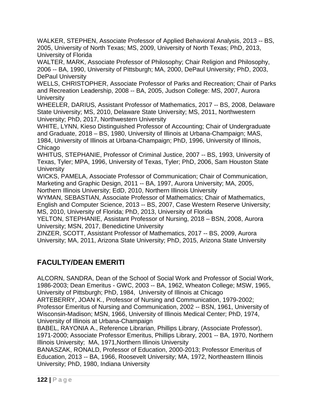WALKER, STEPHEN, Associate Professor of Applied Behavioral Analysis, 2013 -- BS, 2005, University of North Texas; MS, 2009, University of North Texas; PhD, 2013, University of Florida

WALTER, MARK, Associate Professor of Philosophy; Chair Religion and Philosophy, 2006 -- BA, 1990, University of Pittsburgh; MA, 2000, DePaul University; PhD, 2003, DePaul University

WELLS, CHRISTOPHER, Associate Professor of Parks and Recreation; Chair of Parks and Recreation Leadership, 2008 -- BA, 2005, Judson College: MS, 2007, Aurora **University** 

WHEELER, DARIUS, Assistant Professor of Mathematics, 2017 -- BS, 2008, Delaware State University; MS, 2010, Delaware State University; MS, 2011, Northwestern University; PhD, 2017, Northwestern University

WHITE, LYNN, Kieso Distinguished Professor of Accounting; Chair of Undergraduate and Graduate, 2018 – BS, 1980, University of Illinois at Urbana-Champaign; MAS, 1984, University of Illinois at Urbana-Champaign; PhD, 1996, University of Illinois, Chicago

WHITUS, STEPHANIE, Professor of Criminal Justice, 2007 -- BS, 1993, University of Texas, Tyler; MPA, 1996, University of Texas, Tyler; PhD, 2006, Sam Houston State **University** 

WICKS, PAMELA, Associate Professor of Communication; Chair of Communication, Marketing and Graphic Design, 2011 -- BA, 1997, Aurora University; MA, 2005,

Northern Illinois University; EdD, 2010, Northern Illinois University

WYMAN, SEBASTIAN, Associate Professor of Mathematics; Chair of Mathematics, English and Computer Science, 2013 -- BS, 2007, Case Western Reserve University; MS, 2010, University of Florida; PhD, 2013, University of Florida

YELTON, STEPHANIE, Assistant Professor of Nursing, 2018 – BSN, 2008, Aurora University; MSN, 2017, Benedictine University

ZINZER, SCOTT, Assistant Professor of Mathematics, 2017 -- BS, 2009, Aurora University; MA, 2011, Arizona State University; PhD, 2015, Arizona State University

# **FACULTY/DEAN EMERITI**

ALCORN, SANDRA, Dean of the School of Social Work and Professor of Social Work, 1986-2003; Dean Emeritus - GWC, 2003 -- BA, 1962, Wheaton College; MSW, 1965, University of Pittsburgh; PhD, 1984, University of Illinois at Chicago

ARTEBERRY, JOAN K., Professor of Nursing and Communication, 1979-2002; Professor Emeritus of Nursing and Communication, 2002 -- BSN, 1961, University of Wisconsin-Madison; MSN, 1966, University of Illinois Medical Center; PhD, 1974, University of Illinois at Urbana-Champaign

BABEL, RAYONIA A., Reference Librarian, Phillips Library, (Associate Professor), 1971-2000; Associate Professor Emeritus, Phillips Library, 2001 -- BA, 1970, Northern Illinois University; MA, 1971,Northern Illinois University

BANASZAK, RONALD, Professor of Education, 2000-2013; Professor Emeritus of Education, 2013 -- BA, 1966, Roosevelt University; MA, 1972, Northeastern Illinois University; PhD, 1980, Indiana University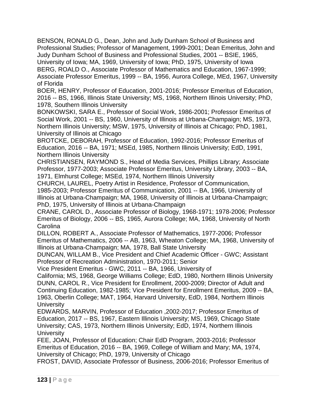BENSON, RONALD G., Dean, John and Judy Dunham School of Business and Professional Studies; Professor of Management, 1999-2001; Dean Emeritus, John and Judy Dunham School of Business and Professional Studies, 2001 -- BSIE, 1965, University of Iowa; MA, 1969, University of Iowa; PhD, 1975, University of Iowa BERG, ROALD O., Associate Professor of Mathematics and Education, 1967-1999; Associate Professor Emeritus, 1999 -- BA, 1956, Aurora College, MEd, 1967, University of Florida

BOER, HENRY, Professor of Education, 2001-2016; Professor Emeritus of Education, 2016 -- BS, 1966, Illinois State University; MS, 1968, Northern Illinois University; PhD, 1978, Southern Illinois University

BONKOWSKI, SARA E., Professor of Social Work, 1986-2001; Professor Emeritus of Social Work, 2001 -- BS, 1960, University of Illinois at Urbana-Champaign; MS, 1973, Northern Illinois University; MSW, 1975, University of Illinois at Chicago; PhD, 1981, University of Illinois at Chicago

BROTCKE, DEBORAH, Professor of Education, 1992-2016; Professor Emeritus of Education, 2016 -- BA, 1971; MSEd, 1985, Northern Illinois University; EdD, 1991, Northern Illinois University

CHRISTIANSEN, RAYMOND S., Head of Media Services, Phillips Library; Associate Professor, 1977-2003; Associate Professor Emeritus, University Library, 2003 -- BA, 1971, Elmhurst College; MSEd, 1974, Northern Illinois University

CHURCH, LAUREL, Poetry Artist in Residence, Professor of Communication, 1985-2003; Professor Emeritus of Communication, 2001 -- BA, 1966, University of Illinois at Urbana-Champaign; MA, 1968, University of Illinois at Urbana-Champaign; PhD, 1975, University of Illinois at Urbana-Champaign

CRANE, CAROL D., Associate Professor of Biology, 1968-1971; 1978-2006; Professor Emeritus of Biology, 2006 -- BS, 1965, Aurora College; MA, 1968, University of North **Carolina** 

DILLON, ROBERT A., Associate Professor of Mathematics, 1977-2006; Professor Emeritus of Mathematics, 2006 -- AB, 1963, Wheaton College; MA, 1968, University of Illinois at Urbana-Champaign; MA, 1978, Ball State University

DUNCAN, WILLAM B., Vice President and Chief Academic Officer - GWC; Assistant Professor of Recreation Administration, 1970-2011; Senior

Vice President Emeritus - GWC, 2011 -- BA, 1966, University of

California; MS, 1968, George Williams College; EdD, 1980, Northern Illinois University DUNN, CAROL R., Vice President for Enrollment, 2000-2009; Director of Adult and Continuing Education, 1982-1985; Vice President for Enrollment Emeritus, 2009 -- BA, 1963, Oberlin College; MAT, 1964, Harvard University, EdD, 1984, Northern Illinois **University** 

EDWARDS, MARVIN, Professor of Education ,2002-2017; Professor Emeritus of Education, 2017 -- BS, 1967, Eastern Illinois University; MS, 1969, Chicago State University; CAS, 1973, Northern Illinois University; EdD, 1974, Northern Illinois **University** 

FEE, JOAN, Professor of Education; Chair EdD Program, 2003-2016; Professor Emeritus of Education, 2016 -- BA, 1969, College of William and Mary; MA, 1974, University of Chicago; PhD, 1979, University of Chicago

FROST, DAVID, Associate Professor of Business, 2006-2016; Professor Emeritus of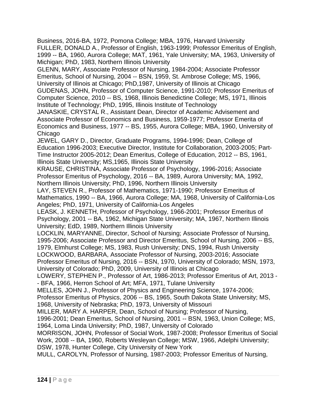Business, 2016-BA, 1972, Pomona College; MBA, 1976, Harvard University FULLER, DONALD A., Professor of English, 1963-1999; Professor Emeritus of English, 1999 -- BA, 1960, Aurora College; MAT, 1961, Yale University; MA, 1963, University of Michigan; PhD, 1983, Northern Illinois University

GLENN, MARY, Associate Professor of Nursing, 1984-2004; Associate Professor Emeritus, School of Nursing, 2004 -- BSN, 1959, St. Ambrose College; MS, 1966, University of Illinois at Chicago; PhD,1987, University of Illinois at Chicago

GUDENAS, JOHN, Professor of Computer Science, 1991-2010; Professor Emeritus of Computer Science, 2010 -- BS, 1968, Illinois Benedictine College; MS, 1971, Illinois Institute of Technology; PhD, 1995, Illinois Institute of Technology

JANASKIE, CRYSTAL R., Assistant Dean, Director of Academic Advisement and Associate Professor of Economics and Business, 1959-1977; Professor Emerita of Economics and Business, 1977 -- BS, 1955, Aurora College; MBA, 1960, University of Chicago

JEWEL, GARY D., Director, Graduate Programs, 1994-1996; Dean, College of Education 1996-2003; Executive Director, Institute for Collaboration, 2003-2005; Part-Time Instructor 2005-2012; Dean Emeritus, College of Education, 2012 -- BS, 1961, Illinois State University; MS,1965, Illinois State University

KRAUSE, CHRISTINA, Associate Professor of Psychology, 1996-2016; Associate Professor Emeritus of Psychology, 2016 -- BA, 1989, Aurora University; MA, 1992, Northern Illinois University; PhD, 1996, Northern Illinois University

LAY, STEVEN R., Professor of Mathematics, 1971-1990; Professor Emeritus of Mathematics, 1990 -- BA, 1966, Aurora College; MA, 1968, University of California-Los Angeles; PhD, 1971, University of California-Los Angeles

LEASK, J. KENNETH, Professor of Psychology, 1966-2001; Professor Emeritus of Psychology, 2001 -- BA, 1962, Michigan State University; MA, 1967, Northern Illinois University; EdD, 1989, Northern Illinois University

LOCKLIN, MARYANNE, Director, School of Nursing; Associate Professor of Nursing, 1995-2006; Associate Professor and Director Emeritus, School of Nursing, 2006 -- BS, 1979, Elmhurst College; MS, 1983, Rush University; DNS, 1994, Rush University

LOCKWOOD, BARBARA, Associate Professor of Nursing, 2003-2016; Associate

Professor Emeritus of Nursing, 2016 -- BSN, 1970, University of Colorado; MSN, 1973, University of Colorado; PhD, 2009, University of Illinois at Chicago

LOWERY, STEPHEN P., Professor of Art, 1986-2013; Professor Emeritus of Art, 2013 - - BFA, 1966, Herron School of Art; MFA, 1971, Tulane University

MELLES, JOHN J., Professor of Physics and Engineering Science, 1974-2006;

Professor Emeritus of Physics, 2006 -- BS, 1965, South Dakota State University; MS, 1968, University of Nebraska; PhD, 1973, University of Missouri

MILLER, MARY A. HARPER, Dean, School of Nursing; Professor of Nursing,

1996-2001; Dean Emeritus, School of Nursing, 2001 -- BSN, 1963, Union College; MS, 1964, Loma Linda University; PhD, 1987, University of Colorado

MORRISON, JOHN, Professor of Social Work, 1987-2008; Professor Emeritus of Social Work, 2008 -- BA, 1960, Roberts Wesleyan College; MSW, 1966, Adelphi University; DSW, 1978, Hunter College, City University of New York

MULL, CAROLYN, Professor of Nursing, 1987-2003; Professor Emeritus of Nursing,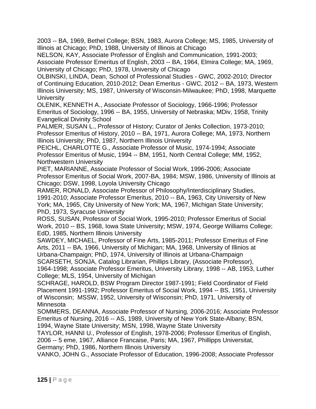2003 -- BA, 1969, Bethel College; BSN, 1983, Aurora College; MS, 1985, University of Illinois at Chicago; PhD, 1988, University of Illinois at Chicago

NELSON, KAY, Associate Professor of English and Communication, 1991-2003; Associate Professor Emeritus of English, 2003 -- BA, 1964, Elmira College; MA, 1969, University of Chicago; PhD, 1978, University of Chicago

OLBINSKI, LINDA, Dean, School of Professional Studies - GWC, 2002-2010; Director of Continuing Education, 2010-2012; Dean Emeritus - GWC, 2012 -- BA, 1973, Western Illinois University; MS, 1987, University of Wisconsin-Milwaukee; PhD, 1998, Marquette **University** 

OLENIK, KENNETH A., Associate Professor of Sociology, 1966-1996; Professor Emeritus of Sociology, 1996 -- BA, 1955, University of Nebraska; MDiv, 1958, Trinity Evangelical Divinity School

PALMER, SUSAN L., Professor of History; Curator of Jenks Collection, 1973-2010; Professor Emeritus of History, 2010 -- BA, 1971, Aurora College; MA, 1973, Northern Illinois University; PhD, 1987, Northern Illinois University

PEICHL, CHARLOTTE G., Associate Professor of Music, 1974-1994; Associate Professor Emeritus of Music, 1994 -- BM, 1951, North Central College; MM, 1952, Northwestern University

PIET, MARIANNE, Associate Professor of Social Work, 1996-2006; Associate Professor Emeritus of Social Work, 2007-BA, 1984; MSW, 1986, University of Illinois at Chicago; DSW, 1998, Loyola University Chicago

RAMER, RONALD, Associate Professor of Philosophy/Interdisciplinary Studies, 1991-2010; Associate Professor Emeritus, 2010 -- BA, 1963, City University of New York; MA, 1965, City University of New York; MA, 1967, Michigan State University; PhD, 1973, Syracuse University

ROSS, SUSAN, Professor of Social Work, 1995-2010; Professor Emeritus of Social Work, 2010 -- BS, 1968, Iowa State University; MSW, 1974, George Williams College; EdD, 1985, Northern Illinois University

SAWDEY, MICHAEL, Professor of Fine Arts, 1985-2011; Professor Emeritus of Fine Arts, 2011 -- BA, 1966, University of Michigan; MA, 1968, University of Illinios at Urbana-Champaign; PhD, 1974, University of Illinois at Urbana-Champaign SCARSETH, SONJA, Catalog Librarian, Phillips Library, (Associate Professor),

1964-1998; Associate Professor Emeritus, University Library, 1998 -- AB, 1953, Luther College; MLS, 1954, University of Michigan

SCHRAGE, HAROLD, BSW Program Director 1987-1991; Field Coordinator of Field Placement 1991-1992; Professor Emeritus of Social Work, 1994 -- BS, 1951, University of Wisconsin; MSSW, 1952, University of Wisconsin; PhD, 1971, University of Minnesota

SOMMERS, DEANNA, Associate Professor of Nursing, 2006-2016; Associate Professor Emeritus of Nursing, 2016 -- AS, 1989, University of New York State-Albany; BSN, 1994, Wayne State University; MSN, 1998, Wayne State University

TAYLOR, HANNI U., Professor of English, 1978-2006; Professor Emeritus of English, 2006 -- 5 eme, 1967, Alliance Francaise, Paris; MA, 1967, Phillipps Universitat, Germany; PhD, 1986, Northern Illinois University

VANKO, JOHN G., Associate Professor of Education, 1996-2008; Associate Professor